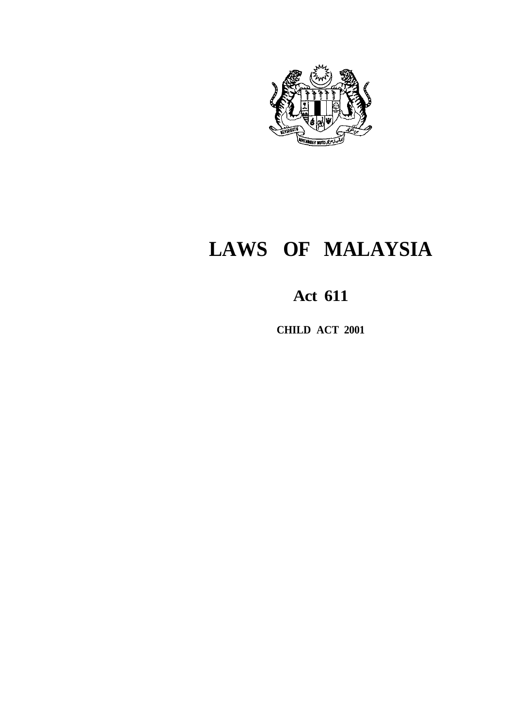

# **LAWS OF MALAYSIA**

# **Act 611**

**CHILD ACT 2001**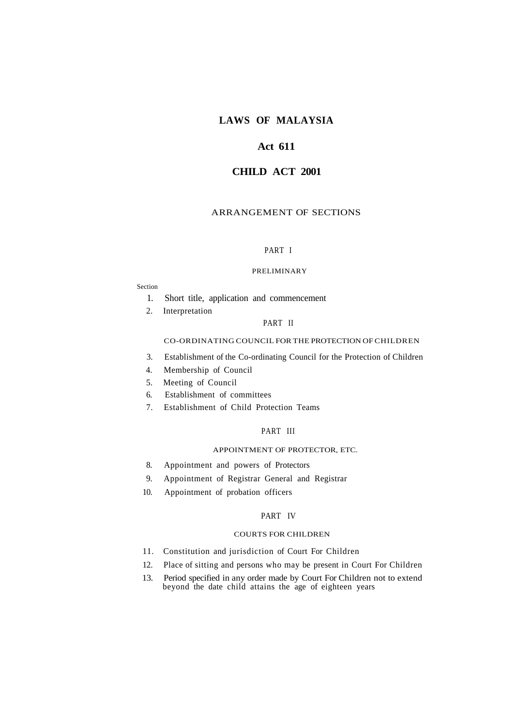# **LAWS OF MALAYSIA**

# **Act 611**

# **CHILD ACT 2001**

## ARRANGEMENT OF SECTIONS

#### PART I

#### PRELIMINARY

#### Section

- 1. Short title, application and commencement
- 2. Interpretation

# PART II

# CO-ORDINATING COUNCIL FOR THE PROTECTION OF CHILDREN

- 3. Establishment of the Co-ordinating Council for the Protection of Children
- 4. Membership of Council
- 5. Meeting of Council
- 6. Establishment of committees
- 7. Establishment of Child Protection Teams

## PART III

## APPOINTMENT OF PROTECTOR, ETC.

- 8. Appointment and powers of Protectors
- 9. Appointment of Registrar General and Registrar
- 10. Appointment of probation officers

## PART IV

# COURTS FOR CHILDREN

- 11. Constitution and jurisdiction of Court For Children
- 12. Place of sitting and persons who may be present in Court For Children
- 13. Period specified in any order made by Court For Children not to extend beyond the date child attains the age of eighteen years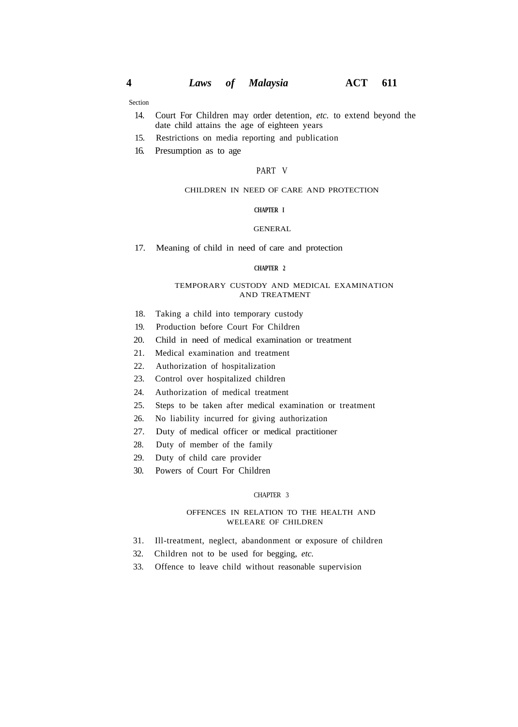Section

- 14. Court For Children may order detention, *etc.* to extend beyond the date child attains the age of eighteen years
- 15. Restrictions on media reporting and publication
- 16. Presumption as to age

## PART V

## CHILDREN IN NEED OF CARE AND PROTECTION

#### **CHAPTER I**

#### GENERAL

17. Meaning of child in need of care and protection

#### **CHAPTER 2**

#### TEMPORARY CUSTODY AND MEDICAL EXAMINATION AND TREATMENT

- 18. Taking a child into temporary custody
- 19. Production before Court For Children
- 20. Child in need of medical examination or treatment
- 21. Medical examination and treatment
- 22. Authorization of hospitalization
- 23. Control over hospitalized children
- 24. Authorization of medical treatment
- 25. Steps to be taken after medical examination or treatment
- 26. No liability incurred for giving authorization
- 27. Duty of medical officer or medical practitioner
- 28. Duty of member of the family
- 29. Duty of child care provider
- 30. Powers of Court For Children

## CHAPTER 3

## OFFENCES IN RELATION TO THE HEALTH AND WELEARE OF CHILDREN

- 31. Ill-treatment, neglect, abandonment or exposure of children
- 32. Children not to be used for begging, *etc.*
- 33. Offence to leave child without reasonable supervision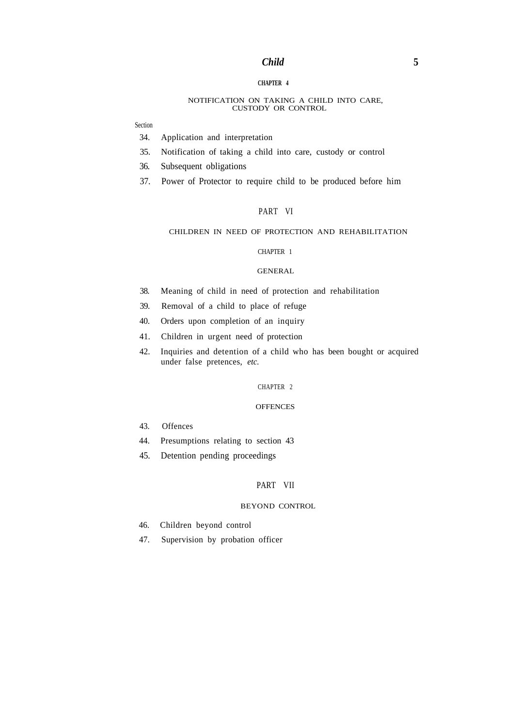#### **CHAPTER 4**

#### NOTIFICATION ON TAKING A CHILD INTO CARE, CUSTODY OR CONTROL

# Section

- 34. Application and interpretation
- 35. Notification of taking a child into care, custody or control
- 36. Subsequent obligations
- 37. Power of Protector to require child to be produced before him

#### PART VI

# CHILDREN IN NEED OF PROTECTION AND REHABILITATION

### CHAPTER 1

## GENERAL

- 38. Meaning of child in need of protection and rehabilitation
- 39. Removal of a child to place of refuge
- 40. Orders upon completion of an inquiry
- 41. Children in urgent need of protection
- 42. Inquiries and detention of a child who has been bought or acquired under false pretences, *etc.*

#### CHAPTER 2

#### **OFFENCES**

- 43. Offences
- 44. Presumptions relating to section 43
- 45. Detention pending proceedings

## PART VII

## BEYOND CONTROL

- 46. Children beyond control
- 47. Supervision by probation officer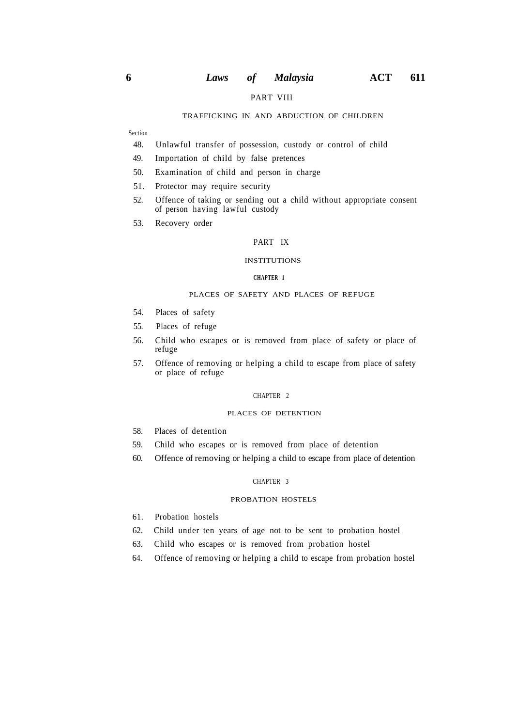# PART VIII

#### TRAFFICKING IN AND ABDUCTION OF CHILDREN

Section

- 48. Unlawful transfer of possession, custody or control of child
- 49. Importation of child by false pretences
- 50. Examination of child and person in charge
- 51. Protector may require security
- 52. Offence of taking or sending out a child without appropriate consent of person having lawful custody
- 53. Recovery order

#### PART IX

#### **INSTITUTIONS**

#### **CHAPTER 1**

#### PLACES OF SAFETY AND PLACES OF REFUGE

- 54. Places of safety
- 55. Places of refuge
- 56. Child who escapes or is removed from place of safety or place of refuge
- 57. Offence of removing or helping a child to escape from place of safety or place of refuge

#### CHAPTER 2

#### PLACES OF DETENTION

- 58. Places of detention
- 59. Child who escapes or is removed from place of detention
- 60. Offence of removing or helping a child to escape from place of detention

#### CHAPTER 3

#### PROBATION HOSTELS

- 61. Probation hostels
- 62. Child under ten years of age not to be sent to probation hostel
- 63. Child who escapes or is removed from probation hostel
- 64. Offence of removing or helping a child to escape from probation hostel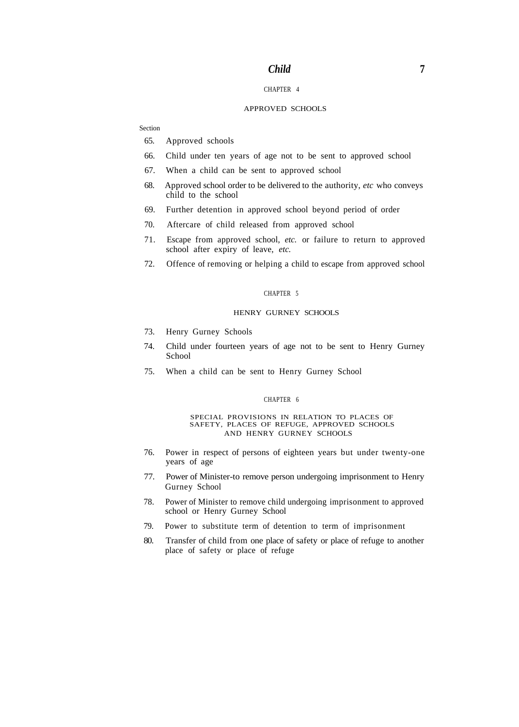#### CHAPTER 4

#### APPROVED SCHOOLS

#### Section

- 65. Approved schools
- 66. Child under ten years of age not to be sent to approved school
- 67. When a child can be sent to approved school
- 68. Approved school order to be delivered to the authority, *etc* who conveys child to the school
- 69. Further detention in approved school beyond period of order
- 70. Aftercare of child released from approved school
- 71. Escape from approved school, *etc.* or failure to return to approved school after expiry of leave, *etc.*
- 72. Offence of removing or helping a child to escape from approved school

#### CHAPTER 5

#### HENRY GURNEY SCHOOLS

- 73. Henry Gurney Schools
- 74. Child under fourteen years of age not to be sent to Henry Gurney School
- 75. When a child can be sent to Henry Gurney School

#### CHAPTER 6

#### SPECIAL PROVISIONS IN RELATION TO PLACES OF SAFETY, PLACES OF REFUGE, APPROVED SCHOOLS AND HENRY GURNEY SCHOOLS

- 76. Power in respect of persons of eighteen years but under twenty-one years of age
- 77. Power of Minister-to remove person undergoing imprisonment to Henry Gurney School
- 78. Power of Minister to remove child undergoing imprisonment to approved school or Henry Gurney School
- 79. Power to substitute term of detention to term of imprisonment
- 80. Transfer of child from one place of safety or place of refuge to another place of safety or place of refuge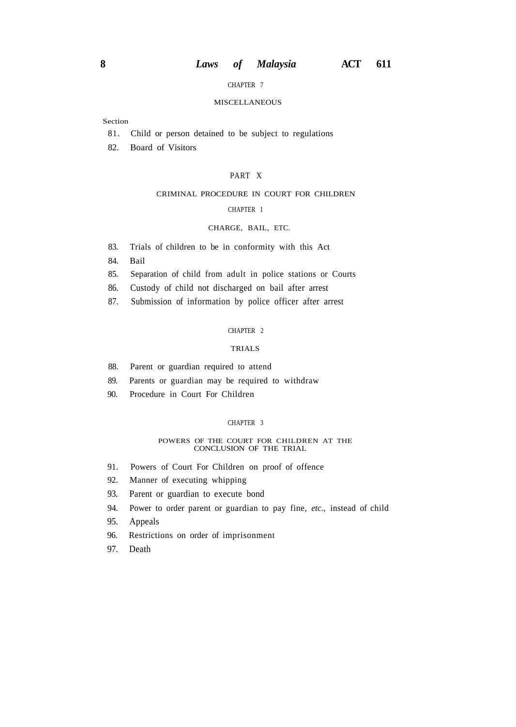#### CHAPTER 7

## MISCELLANEOUS

#### Section

- 81. Child or person detained to be subject to regulations
- 82. Board of Visitors

#### PART X

#### CRIMINAL PROCEDURE IN COURT FOR CHILDREN

## CHAPTER 1

#### CHARGE, BAIL, ETC.

- 83. Trials of children to be in conformity with this Act
- 84. Bail
- 85. Separation of child from adult in police stations or Courts
- 86. Custody of child not discharged on bail after arrest
- 87. Submission of information by police officer after arrest

#### CHAPTER 2

#### TRIALS

- 88. Parent or guardian required to attend
- 89. Parents or guardian may be required to withdraw
- 90. Procedure in Court For Children

#### CHAPTER 3

#### POWERS OF THE COURT FOR CHILDREN AT THE CONCLUSION OF THE TRIAL

- 91. Powers of Court For Children on proof of offence
- 92. Manner of executing whipping
- 93. Parent or guardian to execute bond
- 94. Power to order parent or guardian to pay fine, *etc.,* instead of child
- 95. Appeals
- 96. Restrictions on order of imprisonment
- 97. Death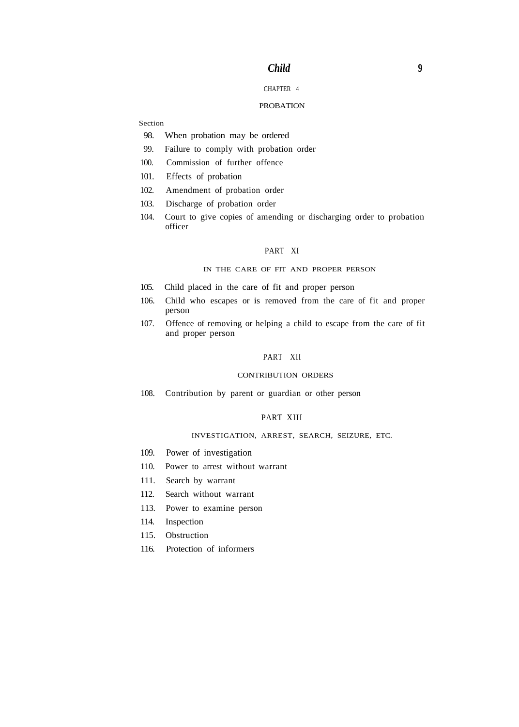## CHAPTER 4

#### PROBATION

#### Section

- 98. When probation may be ordered
- 99. Failure to comply with probation order
- 100. Commission of further offence
- 101. Effects of probation
- 102. Amendment of probation order
- 103. Discharge of probation order
- 104. Court to give copies of amending or discharging order to probation officer

# PART XI

#### IN THE CARE OF FIT AND PROPER PERSON

- 105. Child placed in the care of fit and proper person
- 106. Child who escapes or is removed from the care of fit and proper person
- 107. Offence of removing or helping a child to escape from the care of fit and proper person

## PART XII

# CONTRIBUTION ORDERS

108. Contribution by parent or guardian or other person

## PART XIII

## INVESTIGATION, ARREST, SEARCH, SEIZURE, ETC.

- 109. Power of investigation
- 110. Power to arrest without warrant
- 111. Search by warrant
- 112. Search without warrant
- 113. Power to examine person
- 114. Inspection
- 115. Obstruction
- 116. Protection of informers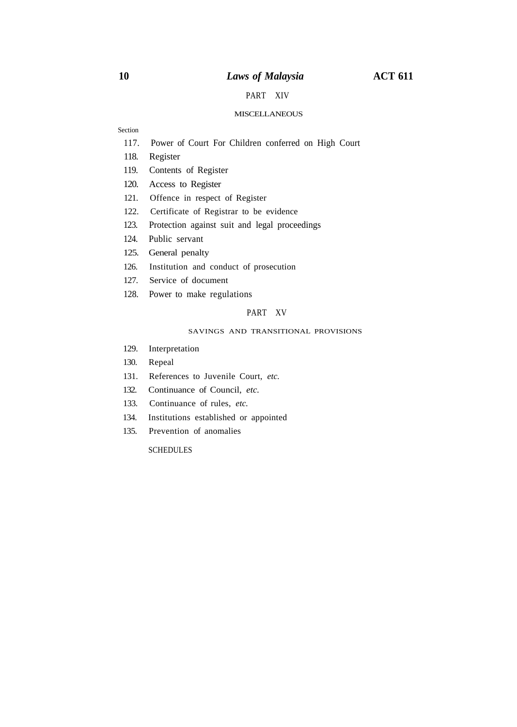# **10** *Laws of Malaysia* **ACT 611**

# PART XIV

## MISCELLANEOUS

# Section

- 117. Power of Court For Children conferred on High Court
- 118. Register
- 119. Contents of Register
- 120. Access to Register
- 121. Offence in respect of Register
- 122. Certificate of Registrar to be evidence
- 123. Protection against suit and legal proceedings
- 124. Public servant
- 125. General penalty
- 126. Institution and conduct of prosecution
- 127. Service of document
- 128. Power to make regulations

## PART XV

## SAVINGS AND TRANSITIONAL PROVISIONS

- 129. Interpretation
- 130. Repeal
- 131. References to Juvenile Court, *etc.*
- 132. Continuance of Council, *etc.*
- 133. Continuance of rules, *etc.*
- 134. Institutions established or appointed
- 135. Prevention of anomalies

**SCHEDULES**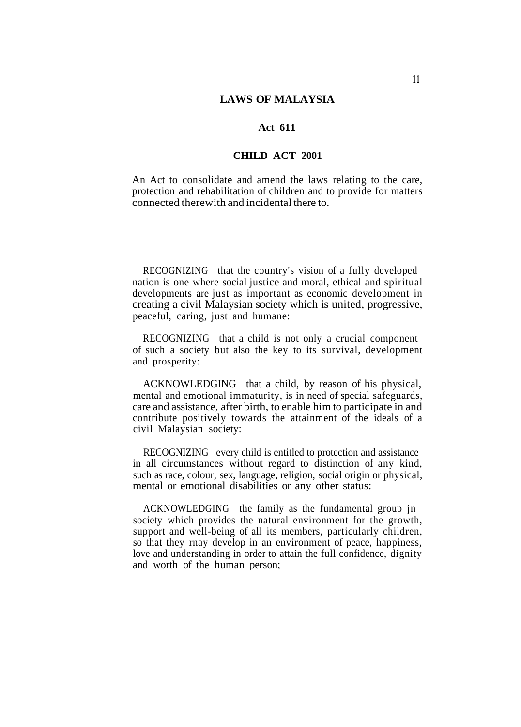# **LAWS OF MALAYSIA**

# **Act 611**

# **CHILD ACT 2001**

An Act to consolidate and amend the laws relating to the care, protection and rehabilitation of children and to provide for matters connected therewith and incidental there to.

RECOGNIZING that the country's vision of a fully developed nation is one where social justice and moral, ethical and spiritual developments are just as important as economic development in creating a civil Malaysian society which is united, progressive, peaceful, caring, just and humane:

RECOGNIZING that a child is not only a crucial component of such a society but also the key to its survival, development and prosperity:

ACKNOWLEDGING that a child, by reason of his physical, mental and emotional immaturity, is in need of special safeguards, care and assistance, after birth, to enable him to participate in and contribute positively towards the attainment of the ideals of a civil Malaysian society:

RECOGNIZING every child is entitled to protection and assistance in all circumstances without regard to distinction of any kind, such as race, colour, sex, language, religion, social origin or physical, mental or emotional disabilities or any other status:

ACKNOWLEDGING the family as the fundamental group jn society which provides the natural environment for the growth, support and well-being of all its members, particularly children, so that they rnay develop in an environment of peace, happiness, love and understanding in order to attain the full confidence, dignity and worth of the human person;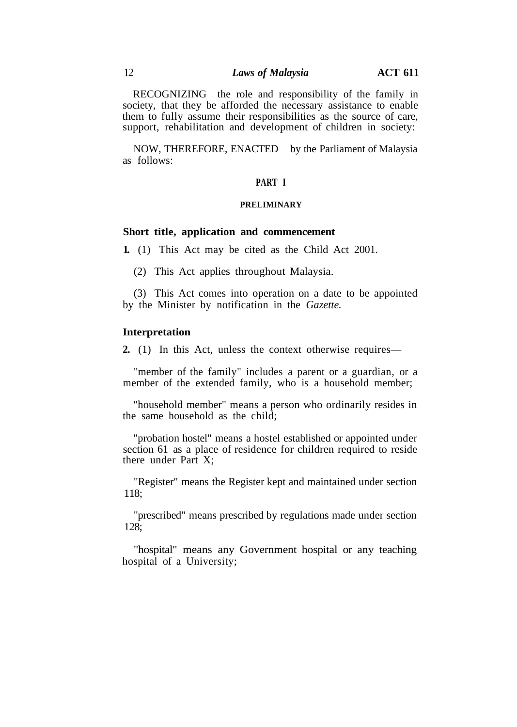RECOGNIZING the role and responsibility of the family in society, that they be afforded the necessary assistance to enable them to fully assume their responsibilities as the source of care, support, rehabilitation and development of children in society:

NOW, THEREFORE, ENACTED by the Parliament of Malaysia as follows:

## **PART I**

# **PRELIMINARY**

## **Short title, application and commencement**

**1.** (1) This Act may be cited as the Child Act 2001.

(2) This Act applies throughout Malaysia.

(3) This Act comes into operation on a date to be appointed by the Minister by notification in the *Gazette.*

#### **Interpretation**

**2.** (1) In this Act, unless the context otherwise requires—

"member of the family" includes a parent or a guardian, or a member of the extended family, who is a household member;

"household member" means a person who ordinarily resides in the same household as the child;

"probation hostel" means a hostel established or appointed under section 61 as a place of residence for children required to reside there under Part X;

"Register" means the Register kept and maintained under section 118;

"prescribed" means prescribed by regulations made under section 128;

"hospital" means any Government hospital or any teaching hospital of a University;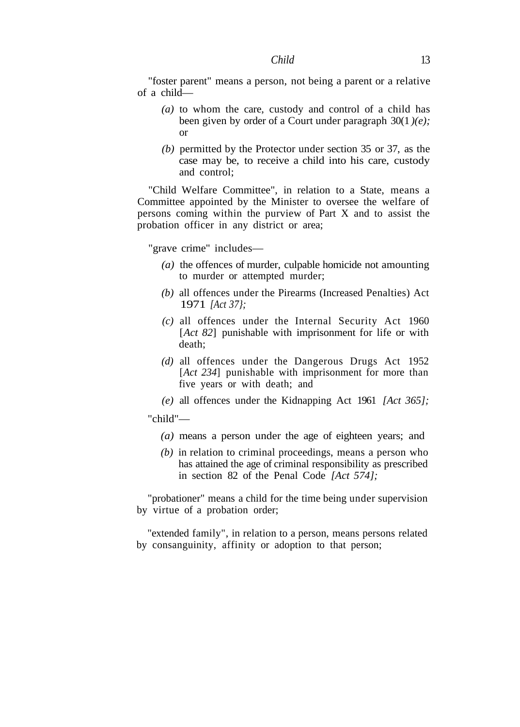"foster parent" means a person, not being a parent or a relative of a child—

- *(a)* to whom the care, custody and control of a child has been given by order of a Court under paragraph 30(1 *)(e);* or
- *(b)* permitted by the Protector under section 35 or 37, as the case may be, to receive a child into his care, custody and control;

"Child Welfare Committee", in relation to a State, means a Committee appointed by the Minister to oversee the welfare of persons coming within the purview of Part X and to assist the probation officer in any district or area;

"grave crime" includes—

- *(a)* the offences of murder, culpable homicide not amounting to murder or attempted murder;
- *(b)* all offences under the Pirearms (Increased Penalties) Act 1971 *[Act 37};*
- *(c)* all offences under the Internal Security Act 1960 [*Act 82*] punishable with imprisonment for life or with death;
- *(d)* all offences under the Dangerous Drugs Act 1952 [*Act 234*] punishable with imprisonment for more than five years or with death; and

*(e)* all offences under the Kidnapping Act 1961 *[Act 365];*

"child"—

- *(a)* means a person under the age of eighteen years; and
- *(b)* in relation to criminal proceedings, means a person who has attained the age of criminal responsibility as prescribed in section 82 of the Penal Code *[Act 574];*

"probationer" means a child for the time being under supervision by virtue of a probation order;

"extended family", in relation to a person, means persons related by consanguinity, affinity or adoption to that person;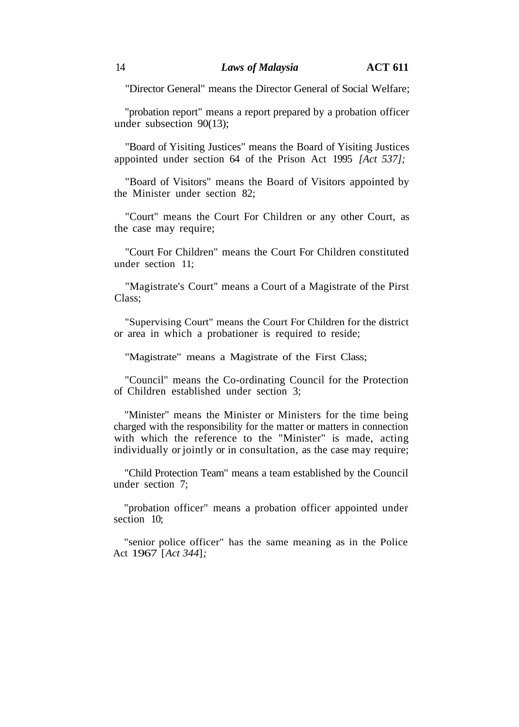"Director General" means the Director General of Social Welfare;

"probation report" means a report prepared by a probation officer under subsection 90(13);

"Board of Yisiting Justices" means the Board of Yisiting Justices appointed under section 64 of the Prison Act 1995 *[Act 537];*

"Board of Visitors" means the Board of Visitors appointed by the Minister under section 82;

"Court" means the Court For Children or any other Court, as the case may require;

"Court For Children" means the Court For Children constituted under section 11;

"Magistrate's Court" means a Court of a Magistrate of the Pirst Class;

"Supervising Court" means the Court For Children for the district or area in which a probationer is required to reside;

"Magistrate" means a Magistrate of the First Class;

"Council" means the Co-ordinating Council for the Protection of Children established under section 3;

"Minister" means the Minister or Ministers for the time being charged with the responsibility for the matter or matters in connection with which the reference to the "Minister" is made, acting individually or jointly or in consultation, as the case may require;

"Child Protection Team" means a team established by the Council under section 7;

"probation officer" means a probation officer appointed under section 10:

"senior police officer" has the same meaning as in the Police Act 1967 [*Act 344*]*;*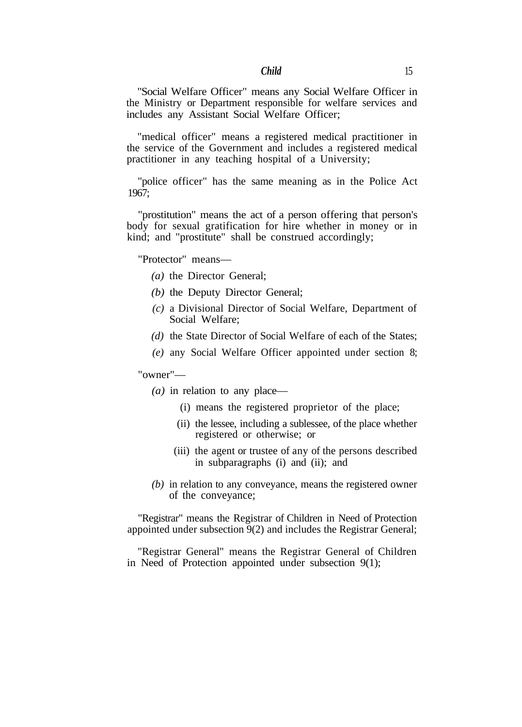"Social Welfare Officer" means any Social Welfare Officer in the Ministry or Department responsible for welfare services and includes any Assistant Social Welfare Officer;

"medical officer" means a registered medical practitioner in the service of the Government and includes a registered medical practitioner in any teaching hospital of a University;

"police officer" has the same meaning as in the Police Act 1967;

"prostitution" means the act of a person offering that person's body for sexual gratification for hire whether in money or in kind; and "prostitute" shall be construed accordingly;

# "Protector" means—

- *(a)* the Director General;
- *(b)* the Deputy Director General;
- *(c)* a Divisional Director of Social Welfare, Department of Social Welfare;
- *(d)* the State Director of Social Welfare of each of the States;
- *(e)* any Social Welfare Officer appointed under section 8;

## "owner"—

- *(a)* in relation to any place—
	- (i) means the registered proprietor of the place;
	- (ii) the lessee, including a sublessee, of the place whether registered or otherwise; or
	- (iii) the agent or trustee of any of the persons described in subparagraphs (i) and (ii); and
- *(b)* in relation to any conveyance, means the registered owner of the conveyance;

"Registrar" means the Registrar of Children in Need of Protection appointed under subsection 9(2) and includes the Registrar General;

"Registrar General" means the Registrar General of Children in Need of Protection appointed under subsection 9(1);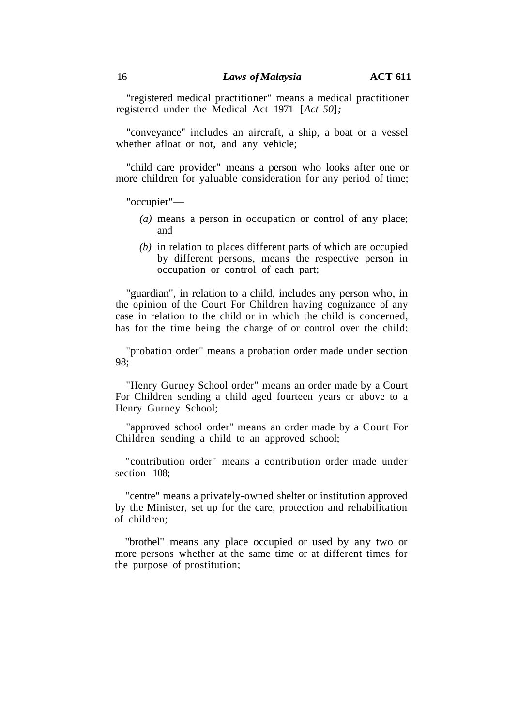"registered medical practitioner" means a medical practitioner registered under the Medical Act 1971 [*Act 50*]*;*

"conveyance" includes an aircraft, a ship, a boat or a vessel whether afloat or not, and any vehicle;

"child care provider" means a person who looks after one or more children for yaluable consideration for any period of time;

"occupier"—

- *(a)* means a person in occupation or control of any place; and
- *(b)* in relation to places different parts of which are occupied by different persons, means the respective person in occupation or control of each part;

"guardian", in relation to a child, includes any person who, in the opinion of the Court For Children having cognizance of any case in relation to the child or in which the child is concerned, has for the time being the charge of or control over the child;

"probation order" means a probation order made under section 98;

"Henry Gurney School order" means an order made by a Court For Children sending a child aged fourteen years or above to a Henry Gurney School;

"approved school order" means an order made by a Court For Children sending a child to an approved school;

"contribution order" means a contribution order made under section 108:

"centre" means a privately-owned shelter or institution approved by the Minister, set up for the care, protection and rehabilitation of children;

"brothel" means any place occupied or used by any two or more persons whether at the same time or at different times for the purpose of prostitution;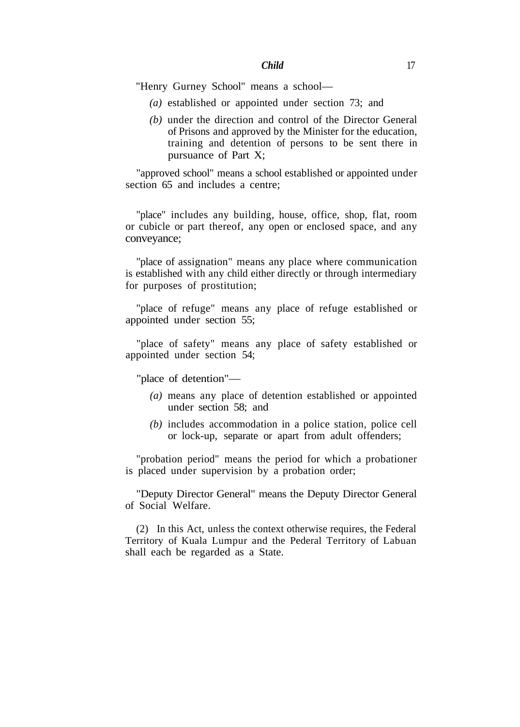"Henry Gurney School" means a school—

- *(a)* established or appointed under section 73; and
- *(b)* under the direction and control of the Director General of Prisons and approved by the Minister for the education, training and detention of persons to be sent there in pursuance of Part X;

"approved school" means a school established or appointed under section 65 and includes a centre:

"place" includes any building, house, office, shop, flat, room or cubicle or part thereof, any open or enclosed space, and any conveyance;

"place of assignation" means any place where communication is established with any child either directly or through intermediary for purposes of prostitution;

"place of refuge" means any place of refuge established or appointed under section 55;

"place of safety" means any place of safety established or appointed under section 54;

"place of detention"—

- *(a)* means any place of detention established or appointed under section 58; and
- *(b)* includes accommodation in a police station, police cell or lock-up, separate or apart from adult offenders;

"probation period" means the period for which a probationer is placed under supervision by a probation order;

"Deputy Director General" means the Deputy Director General of Social Welfare.

(2) In this Act, unless the context otherwise requires, the Federal Territory of Kuala Lumpur and the Pederal Territory of Labuan shall each be regarded as a State.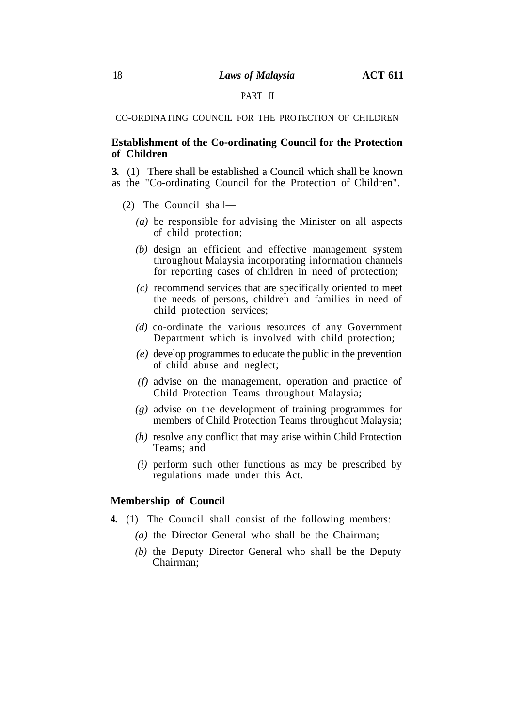# PART II

CO-ORDINATING COUNCIL FOR THE PROTECTION OF CHILDREN

# **Establishment of the Co-ordinating Council for the Protection of Children**

**3.** (1) There shall be established a Council which shall be known as the "Co-ordinating Council for the Protection of Children".

- (2) The Council shall—
	- *(a)* be responsible for advising the Minister on all aspects of child protection;
	- *(b)* design an efficient and effective management system throughout Malaysia incorporating information channels for reporting cases of children in need of protection;
	- *(c)* recommend services that are specifically oriented to meet the needs of persons, children and families in need of child protection services;
	- *(d)* co-ordinate the various resources of any Government Department which is involved with child protection;
	- *(e)* develop programmes to educate the public in the prevention of child abuse and neglect;
	- *(f)* advise on the management, operation and practice of Child Protection Teams throughout Malaysia;
	- *(g)* advise on the development of training programmes for members of Child Protection Teams throughout Malaysia;
	- *(h)* resolve any conflict that may arise within Child Protection Teams; and
	- *(i)* perform such other functions as may be prescribed by regulations made under this Act.

# **Membership of Council**

- **4.** (1) The Council shall consist of the following members:
	- *(a)* the Director General who shall be the Chairman;
	- *(b)* the Deputy Director General who shall be the Deputy Chairman;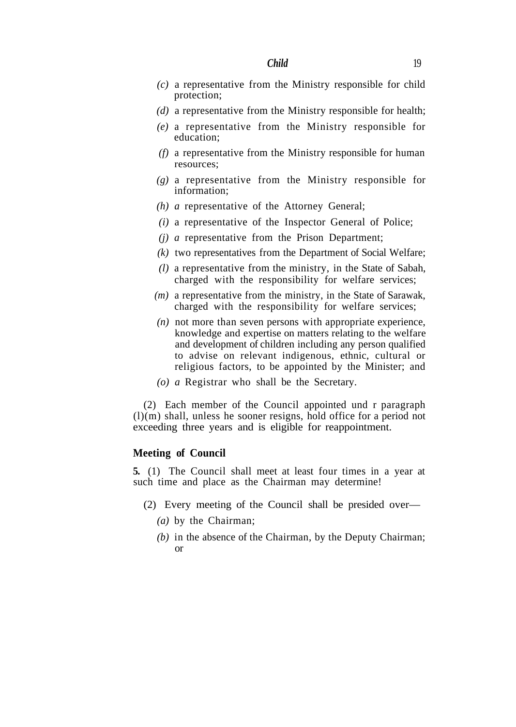- *(c)* a representative from the Ministry responsible for child protection;
- *(d)* a representative from the Ministry responsible for health;
- *(e)* a representative from the Ministry responsible for education;
- *(f)* a representative from the Ministry responsible for human resources;
- *(g)* a representative from the Ministry responsible for information;
- *(h) a* representative of the Attorney General;
- *(i)* a representative of the Inspector General of Police;
- *(j) a* representative from the Prison Department;
- *(k)* two representatives from the Department of Social Welfare;
- *(l)* a representative from the ministry, in the State of Sabah, charged with the responsibility for welfare services;
- *(m)* a representative from the ministry, in the State of Sarawak, charged with the responsibility for welfare services;
- *(n)* not more than seven persons with appropriate experience, knowledge and expertise on matters relating to the welfare and development of children including any person qualified to advise on relevant indigenous, ethnic, cultural or religious factors, to be appointed by the Minister; and
- *(o) a* Registrar who shall be the Secretary.

(2) Each member of the Council appointed und r paragraph (l)(m) shall, unless he sooner resigns, hold office for a period not exceeding three years and is eligible for reappointment.

# **Meeting of Council**

**5.** (1) The Council shall meet at least four times in a year at such time and place as the Chairman may determine!

- (2) Every meeting of the Council shall be presided over—
	- *(a)* by the Chairman;
	- *(b)* in the absence of the Chairman, by the Deputy Chairman; or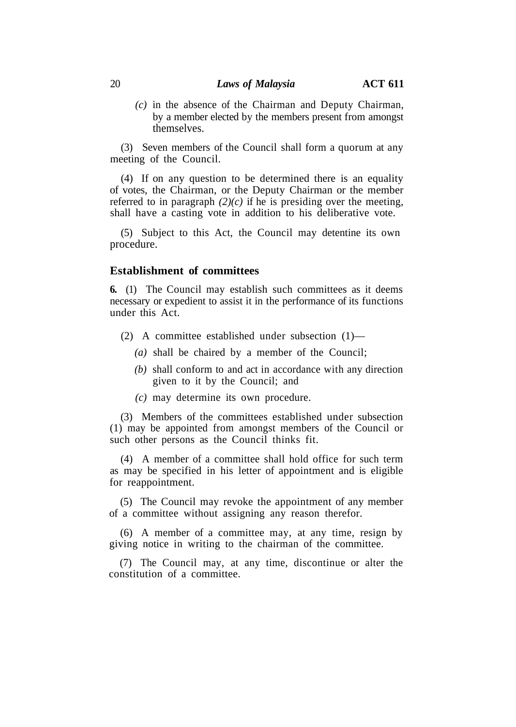*(c)* in the absence of the Chairman and Deputy Chairman, by a member elected by the members present from amongst themselves.

(3) Seven members of the Council shall form a quorum at any meeting of the Council.

(4) If on any question to be determined there is an equality of votes, the Chairman, or the Deputy Chairman or the member referred to in paragraph  $(2)(c)$  if he is presiding over the meeting, shall have a casting vote in addition to his deliberative vote.

(5) Subject to this Act, the Council may detentine its own procedure.

# **Establishment of committees**

**6.** (1) The Council may establish such committees as it deems necessary or expedient to assist it in the performance of its functions under this Act.

- (2) A committee established under subsection (1)—
	- *(a)* shall be chaired by a member of the Council;
	- *(b)* shall conform to and act in accordance with any direction given to it by the Council; and
	- *(c)* may determine its own procedure.

(3) Members of the committees established under subsection (1) may be appointed from amongst members of the Council or such other persons as the Council thinks fit.

(4) A member of a committee shall hold office for such term as may be specified in his letter of appointment and is eligible for reappointment.

(5) The Council may revoke the appointment of any member of a committee without assigning any reason therefor.

(6) A member of a committee may, at any time, resign by giving notice in writing to the chairman of the committee.

(7) The Council may, at any time, discontinue or alter the constitution of a committee.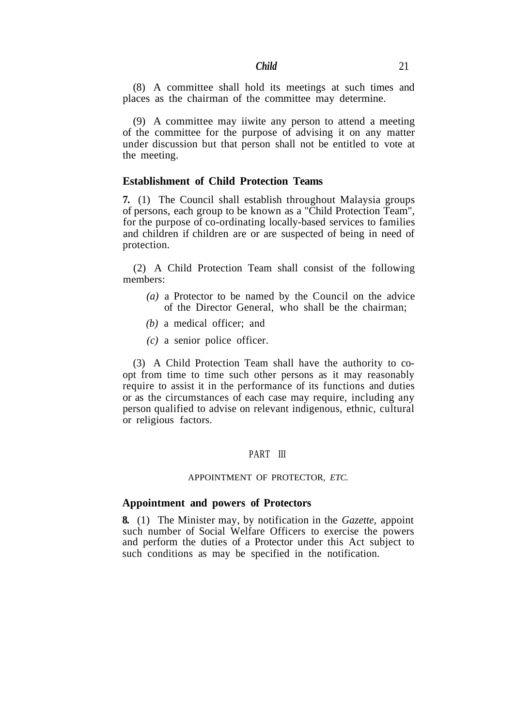(8) A committee shall hold its meetings at such times and places as the chairman of the committee may determine.

(9) A committee may iiwite any person to attend a meeting of the committee for the purpose of advising it on any matter under discussion but that person shall not be entitled to vote at the meeting.

# **Establishment of Child Protection Teams**

**7.** (1) The Council shall establish throughout Malaysia groups of persons, each group to be known as a "Child Protection Team", for the purpose of co-ordinating locally-based services to families and children if children are or are suspected of being in need of protection.

(2) A Child Protection Team shall consist of the following members:

- *(a)* a Protector to be named by the Council on the advice of the Director General, who shall be the chairman;
- *(b)* a medical officer; and
- *(c)* a senior police officer.

(3) A Child Protection Team shall have the authority to coopt from time to time such other persons as it may reasonably require to assist it in the performance of its functions and duties or as the circumstances of each case may require, including any person qualified to advise on relevant indigenous, ethnic, cultural or religious factors.

# PART III

#### APPOINTMENT OF PROTECTOR, *ETC.*

# **Appointment and powers of Protectors**

**8.** (1) The Minister may, by notification in the *Gazette,* appoint such number of Social Welfare Officers to exercise the powers and perform the duties of a Protector under this Act subject to such conditions as may be specified in the notification.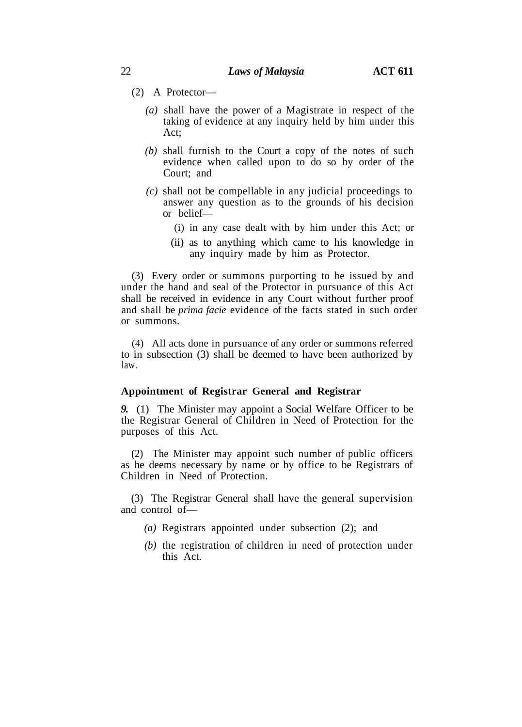- (2) A Protector—
	- *(a)* shall have the power of a Magistrate in respect of the taking of evidence at any inquiry held by him under this Act;
	- *(b)* shall furnish to the Court a copy of the notes of such evidence when called upon to do so by order of the Court; and
	- *(c)* shall not be compellable in any judicial proceedings to answer any question as to the grounds of his decision or belief—
		- (i) in any case dealt with by him under this Act; or
		- (ii) as to anything which came to his knowledge in any inquiry made by him as Protector.

(3) Every order or summons purporting to be issued by and under the hand and seal of the Protector in pursuance of this Act shall be received in evidence in any Court without further proof and shall be *prima facie* evidence of the facts stated in such order or summons.

(4) All acts done in pursuance of any order or summons referred to in subsection (3) shall be deemed to have been authorized by law.

# **Appointment of Registrar General and Registrar**

*9.* (1) The Minister may appoint a Social Welfare Officer to be the Registrar General of Children in Need of Protection for the purposes of this Act.

(2) The Minister may appoint such number of public officers as he deems necessary by name or by office to be Registrars of Children in Need of Protection.

(3) The Registrar General shall have the general supervision and control of—

- *(a)* Registrars appointed under subsection (2); and
- *(b)* the registration of children in need of protection under this Act.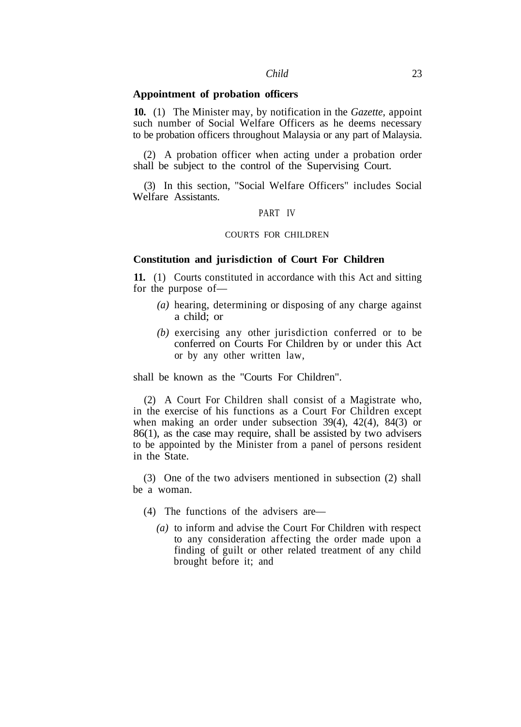# **Appointment of probation officers**

**10.** (1) The Minister may, by notification in the *Gazette,* appoint such number of Social Welfare Officers as he deems necessary to be probation officers throughout Malaysia or any part of Malaysia.

(2) A probation officer when acting under a probation order shall be subject to the control of the Supervising Court.

(3) In this section, "Social Welfare Officers" includes Social Welfare Assistants.

# PART IV

## COURTS FOR CHILDREN

# **Constitution and jurisdiction of Court For Children**

**11.** (1) Courts constituted in accordance with this Act and sitting for the purpose of—

- *(a)* hearing, determining or disposing of any charge against a child; or
- *(b)* exercising any other jurisdiction conferred or to be conferred on Courts For Children by or under this Act or by any other written law,

shall be known as the "Courts For Children".

(2) A Court For Children shall consist of a Magistrate who, in the exercise of his functions as a Court For Children except when making an order under subsection 39(4), 42(4), 84(3) or 86(1), as the case may require, shall be assisted by two advisers to be appointed by the Minister from a panel of persons resident in the State.

(3) One of the two advisers mentioned in subsection (2) shall be a woman.

- (4) The functions of the advisers are—
	- *(a)* to inform and advise the Court For Children with respect to any consideration affecting the order made upon a finding of guilt or other related treatment of any child brought before it; and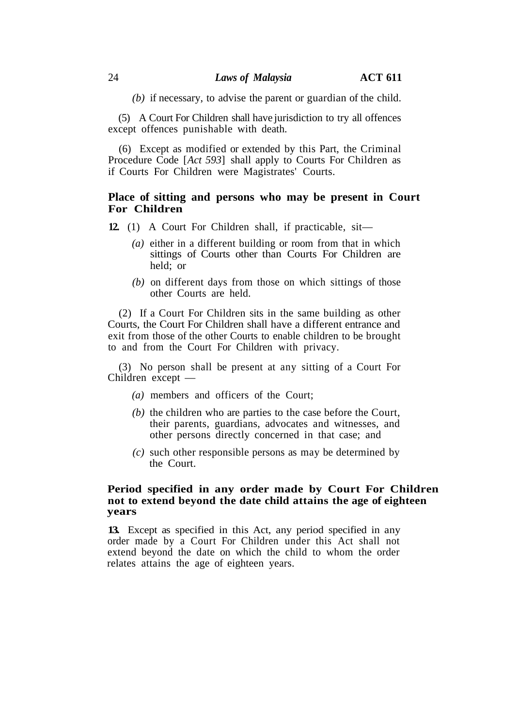*(b)* if necessary, to advise the parent or guardian of the child.

(5) A Court For Children shall have jurisdiction to try all offences except offences punishable with death.

(6) Except as modified or extended by this Part, the Criminal Procedure Code [*Act 593*] shall apply to Courts For Children as if Courts For Children were Magistrates' Courts.

# **Place of sitting and persons who may be present in Court For Children**

- **12.** (1) A Court For Children shall, if practicable, sit—
	- *(a)* either in a different building or room from that in which sittings of Courts other than Courts For Children are held; or
	- *(b)* on different days from those on which sittings of those other Courts are held.

(2) If a Court For Children sits in the same building as other Courts, the Court For Children shall have a different entrance and exit from those of the other Courts to enable children to be brought to and from the Court For Children with privacy.

(3) No person shall be present at any sitting of a Court For Children except —

- *(a)* members and officers of the Court;
- *(b)* the children who are parties to the case before the Court, their parents, guardians, advocates and witnesses, and other persons directly concerned in that case; and
- *(c)* such other responsible persons as may be determined by the Court.

# **Period specified in any order made by Court For Children not to extend beyond the date child attains the age of eighteen years**

**13.** Except as specified in this Act, any period specified in any order made by a Court For Children under this Act shall not extend beyond the date on which the child to whom the order relates attains the age of eighteen years.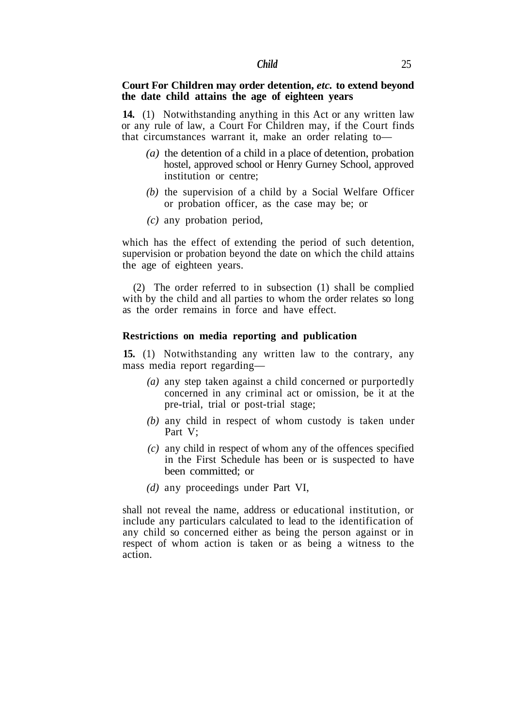# **Court For Children may order detention,** *etc.* **to extend beyond the date child attains the age of eighteen years**

**14.** (1) Notwithstanding anything in this Act or any written law or any rule of law, a Court For Children may, if the Court finds that circumstances warrant it, make an order relating to—

- *(a)* the detention of a child in a place of detention, probation hostel, approved school or Henry Gurney School, approved institution or centre;
- *(b)* the supervision of a child by a Social Welfare Officer or probation officer, as the case may be; or
- *(c)* any probation period,

which has the effect of extending the period of such detention, supervision or probation beyond the date on which the child attains the age of eighteen years.

(2) The order referred to in subsection (1) shall be complied with by the child and all parties to whom the order relates so long as the order remains in force and have effect.

## **Restrictions on media reporting and publication**

**15.** (1) Notwithstanding any written law to the contrary, any mass media report regarding—

- *(a)* any step taken against a child concerned or purportedly concerned in any criminal act or omission, be it at the pre-trial, trial or post-trial stage;
- *(b)* any child in respect of whom custody is taken under Part V;
- *(c)* any child in respect of whom any of the offences specified in the First Schedule has been or is suspected to have been committed; or
- *(d)* any proceedings under Part VI,

shall not reveal the name, address or educational institution, or include any particulars calculated to lead to the identification of any child so concerned either as being the person against or in respect of whom action is taken or as being a witness to the action.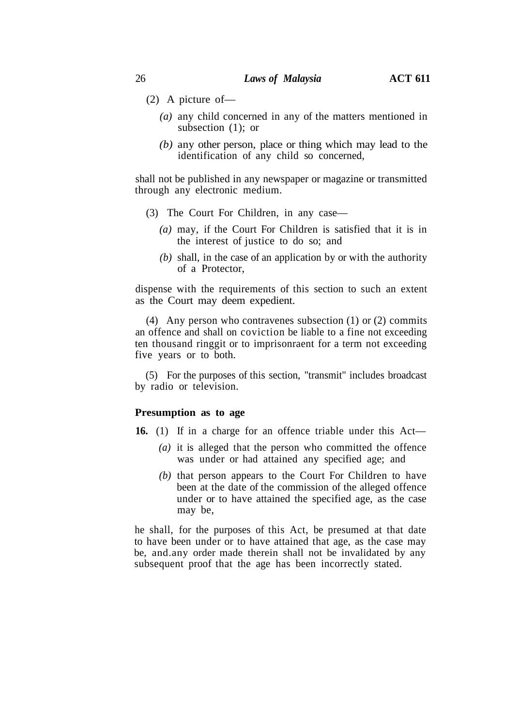- (2) A picture of—
	- *(a)* any child concerned in any of the matters mentioned in subsection (1); or
	- *(b)* any other person, place or thing which may lead to the identification of any child so concerned,

shall not be published in any newspaper or magazine or transmitted through any electronic medium.

- (3) The Court For Children, in any case—
	- *(a)* may, if the Court For Children is satisfied that it is in the interest of justice to do so; and
	- *(b)* shall, in the case of an application by or with the authority of a Protector,

dispense with the requirements of this section to such an extent as the Court may deem expedient.

(4) Any person who contravenes subsection (1) or (2) commits an offence and shall on coviction be liable to a fine not exceeding ten thousand ringgit or to imprisonraent for a term not exceeding five years or to both.

(5) For the purposes of this section, "transmit" includes broadcast by radio or television.

# **Presumption as to age**

- **16.** (1) If in a charge for an offence triable under this Act—
	- *(a)* it is alleged that the person who committed the offence was under or had attained any specified age; and
	- *(b)* that person appears to the Court For Children to have been at the date of the commission of the alleged offence under or to have attained the specified age, as the case may be,

he shall, for the purposes of this Act, be presumed at that date to have been under or to have attained that age, as the case may be, and.any order made therein shall not be invalidated by any subsequent proof that the age has been incorrectly stated.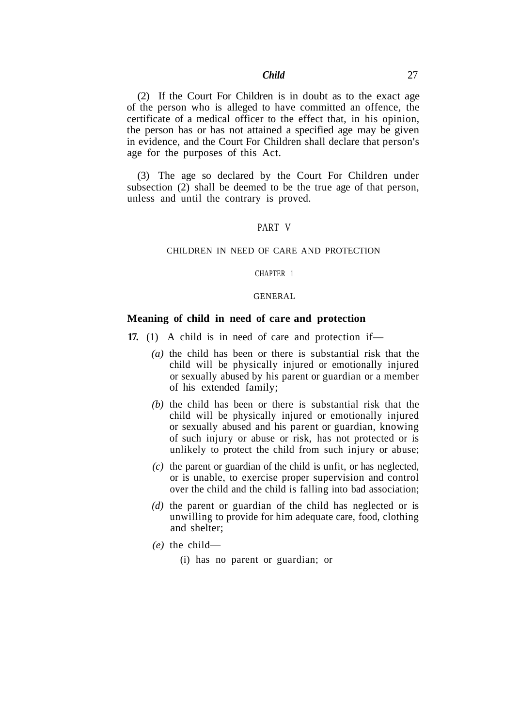(2) If the Court For Children is in doubt as to the exact age of the person who is alleged to have committed an offence, the certificate of a medical officer to the effect that, in his opinion, the person has or has not attained a specified age may be given in evidence, and the Court For Children shall declare that person's age for the purposes of this Act.

(3) The age so declared by the Court For Children under subsection (2) shall be deemed to be the true age of that person, unless and until the contrary is proved.

#### PART V

## CHILDREN IN NEED OF CARE AND PROTECTION

CHAPTER 1

## GENERAL

# **Meaning of child in need of care and protection**

- **17.** (1) A child is in need of care and protection if—
	- *(a)* the child has been or there is substantial risk that the child will be physically injured or emotionally injured or sexually abused by his parent or guardian or a member of his extended family;
	- *(b)* the child has been or there is substantial risk that the child will be physically injured or emotionally injured or sexually abused and his parent or guardian, knowing of such injury or abuse or risk, has not protected or is unlikely to protect the child from such injury or abuse;
	- *(c)* the parent or guardian of the child is unfit, or has neglected, or is unable, to exercise proper supervision and control over the child and the child is falling into bad association;
	- *(d)* the parent or guardian of the child has neglected or is unwilling to provide for him adequate care, food, clothing and shelter;
	- *(e)* the child—
		- (i) has no parent or guardian; or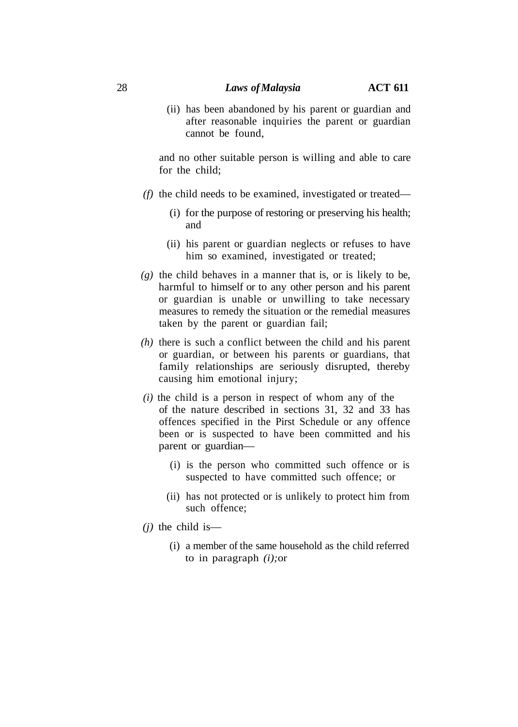(ii) has been abandoned by his parent or guardian and after reasonable inquiries the parent or guardian cannot be found,

and no other suitable person is willing and able to care for the child;

- *(f)* the child needs to be examined, investigated or treated—
	- (i) for the purpose of restoring or preserving his health; and
	- (ii) his parent or guardian neglects or refuses to have him so examined, investigated or treated;
- *(g)* the child behaves in a manner that is, or is likely to be, harmful to himself or to any other person and his parent or guardian is unable or unwilling to take necessary measures to remedy the situation or the remedial measures taken by the parent or guardian fail;
- *(h)* there is such a conflict between the child and his parent or guardian, or between his parents or guardians, that family relationships are seriously disrupted, thereby causing him emotional injury;
- *(i)* the child is a person in respect of whom any of the offences specified in the Pirst Schedule or any offence of the nature described in sections 31, 32 and 33 has been or is suspected to have been committed and his parent or guardian—
	- (i) is the person who committed such offence or is suspected to have committed such offence; or
	- (ii) has not protected or is unlikely to protect him from such offence;
- *(j)* the child is—
	- (i) a member of the same household as the child referred to in paragraph *(i);*or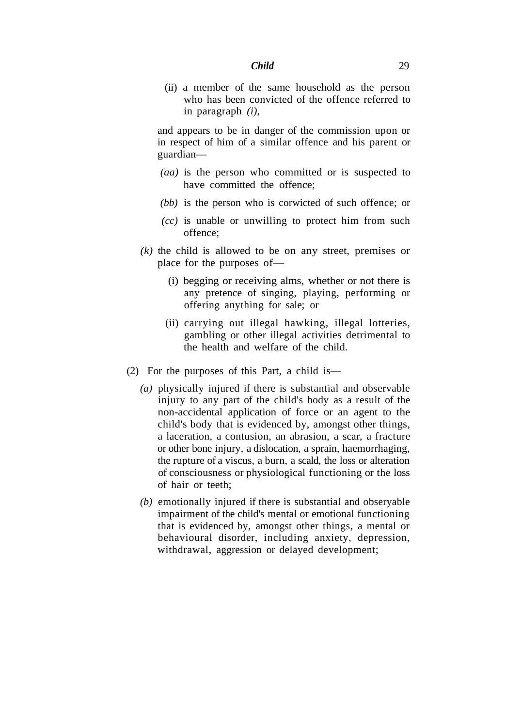(ii) a member of the same household as the person who has been convicted of the offence referred to in paragraph *(i),*

and appears to be in danger of the commission upon or in respect of him of a similar offence and his parent or guardian—

- *(aa)* is the person who committed or is suspected to have committed the offence;
- *(bb)* is the person who is corwicted of such offence; or
- *(cc)* is unable or unwilling to protect him from such offence;
- *(k)* the child is allowed to be on any street, premises or place for the purposes of—
	- (i) begging or receiving alms, whether or not there is any pretence of singing, playing, performing or offering anything for sale; or
	- (ii) carrying out illegal hawking, illegal lotteries, gambling or other illegal activities detrimental to the health and welfare of the child.
- (2) For the purposes of this Part, a child is—
	- *(a)* physically injured if there is substantial and observable injury to any part of the child's body as a result of the non-accidental application of force or an agent to the child's body that is evidenced by, amongst other things, a laceration, a contusion, an abrasion, a scar, a fracture or other bone injury, a dislocation, a sprain, haemorrhaging, the rupture of a viscus, a burn, a scald, the loss or alteration of consciousness or physiological functioning or the loss of hair or teeth;
	- *(b)* emotionally injured if there is substantial and obseryable impairment of the child's mental or emotional functioning that is evidenced by, amongst other things, a mental or behavioural disorder, including anxiety, depression, withdrawal, aggression or delayed development;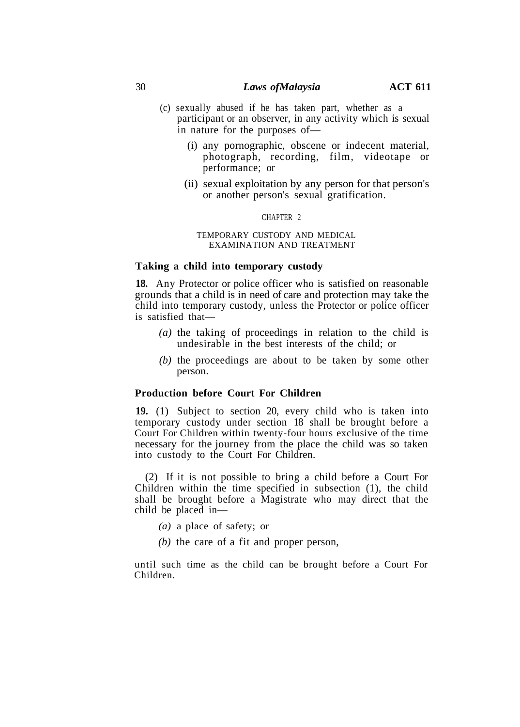- (c) sexually abused if he has taken part, whether as a participant or an observer, in any activity which is sexual in nature for the purposes of—
	- (i) any pornographic, obscene or indecent material, photograph, recording, film, videotape or performance; or
	- (ii) sexual exploitation by any person for that person's or another person's sexual gratification.

# CHAPTER 2

## TEMPORARY CUSTODY AND MEDICAL EXAMINATION AND TREATMENT

# **Taking a child into temporary custody**

**18.** Any Protector or police officer who is satisfied on reasonable grounds that a child is in need of care and protection may take the child into temporary custody, unless the Protector or police officer is satisfied that—

- *(a)* the taking of proceedings in relation to the child is undesirable in the best interests of the child; or
- *(b)* the proceedings are about to be taken by some other person.

## **Production before Court For Children**

**19.** (1) Subject to section 20, every child who is taken into temporary custody under section 18 shall be brought before a Court For Children within twenty-four hours exclusive of the time necessary for the journey from the place the child was so taken into custody to the Court For Children.

(2) If it is not possible to bring a child before a Court For Children within the time specified in subsection (1), the child shall be brought before a Magistrate who may direct that the child be placed in—

- *(a)* a place of safety; or
- *(b)* the care of a fit and proper person,

until such time as the child can be brought before a Court For Children.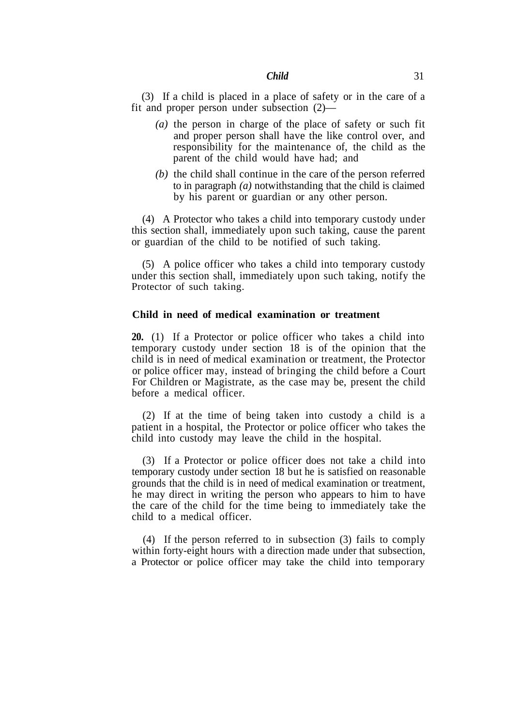(3) If a child is placed in a place of safety or in the care of a fit and proper person under subsection (2)—

- *(a)* the person in charge of the place of safety or such fit and proper person shall have the like control over, and responsibility for the maintenance of, the child as the parent of the child would have had; and
- *(b)* the child shall continue in the care of the person referred to in paragraph *(a)* notwithstanding that the child is claimed by his parent or guardian or any other person.

(4) A Protector who takes a child into temporary custody under this section shall, immediately upon such taking, cause the parent or guardian of the child to be notified of such taking.

(5) A police officer who takes a child into temporary custody under this section shall, immediately upon such taking, notify the Protector of such taking.

# **Child in need of medical examination or treatment**

**20.** (1) If a Protector or police officer who takes a child into temporary custody under section 18 is of the opinion that the child is in need of medical examination or treatment, the Protector or police officer may, instead of bringing the child before a Court For Children or Magistrate, as the case may be, present the child before a medical officer.

(2) If at the time of being taken into custody a child is a patient in a hospital, the Protector or police officer who takes the child into custody may leave the child in the hospital.

(3) If a Protector or police officer does not take a child into temporary custody under section 18 but he is satisfied on reasonable grounds that the child is in need of medical examination or treatment, he may direct in writing the person who appears to him to have the care of the child for the time being to immediately take the child to a medical officer.

(4) If the person referred to in subsection (3) fails to comply within forty-eight hours with a direction made under that subsection, a Protector or police officer may take the child into temporary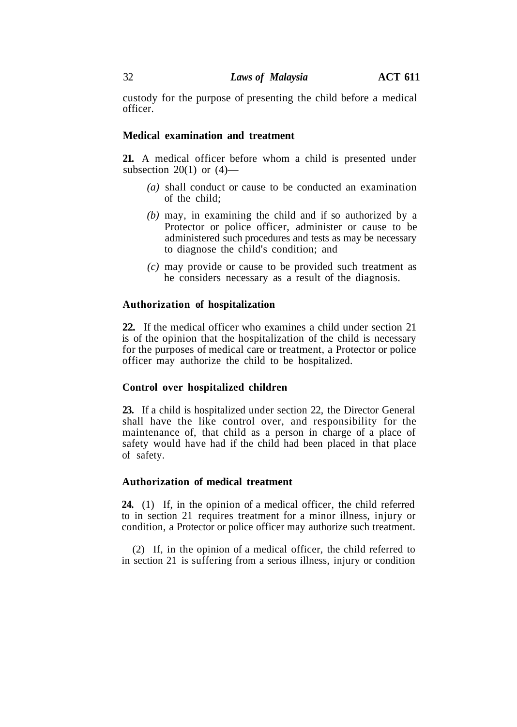custody for the purpose of presenting the child before a medical officer.

# **Medical examination and treatment**

**21.** A medical officer before whom a child is presented under subsection  $20(1)$  or  $(4)$ —

- *(a)* shall conduct or cause to be conducted an examination of the child;
- *(b)* may, in examining the child and if so authorized by a Protector or police officer, administer or cause to be administered such procedures and tests as may be necessary to diagnose the child's condition; and
- *(c)* may provide or cause to be provided such treatment as he considers necessary as a result of the diagnosis.

# **Authorization of hospitalization**

**22.** If the medical officer who examines a child under section 21 is of the opinion that the hospitalization of the child is necessary for the purposes of medical care or treatment, a Protector or police officer may authorize the child to be hospitalized.

# **Control over hospitalized children**

**23.** If a child is hospitalized under section 22, the Director General shall have the like control over, and responsibility for the maintenance of, that child as a person in charge of a place of safety would have had if the child had been placed in that place of safety.

# **Authorization of medical treatment**

**24.** (1) If, in the opinion of a medical officer, the child referred to in section 21 requires treatment for a minor illness, injury or condition, a Protector or police officer may authorize such treatment.

(2) If, in the opinion of a medical officer, the child referred to in section 21 is suffering from a serious illness, injury or condition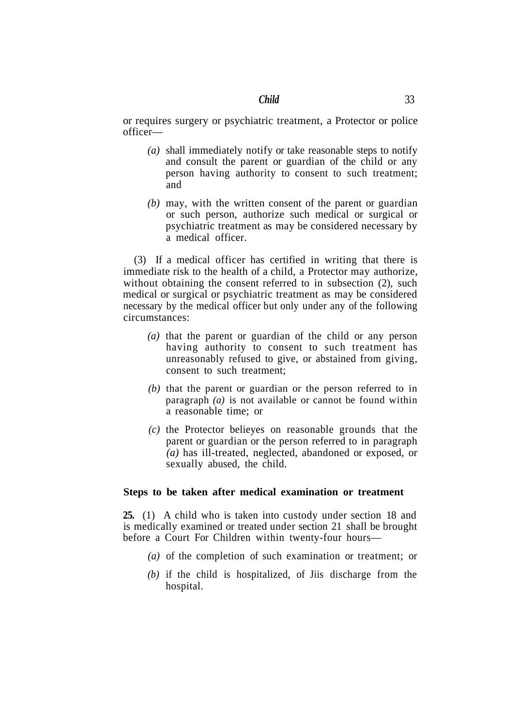or requires surgery or psychiatric treatment, a Protector or police officer—

- *(a)* shall immediately notify or take reasonable steps to notify and consult the parent or guardian of the child or any person having authority to consent to such treatment; and
- *(b)* may, with the written consent of the parent or guardian or such person, authorize such medical or surgical or psychiatric treatment as may be considered necessary by a medical officer.

(3) If a medical officer has certified in writing that there is immediate risk to the health of a child, a Protector may authorize, without obtaining the consent referred to in subsection  $(2)$ , such medical or surgical or psychiatric treatment as may be considered necessary by the medical officer but only under any of the following circumstances:

- *(a)* that the parent or guardian of the child or any person having authority to consent to such treatment has unreasonably refused to give, or abstained from giving, consent to such treatment;
- *(b)* that the parent or guardian or the person referred to in paragraph *(a)* is not available or cannot be found within a reasonable time; or
- *(c)* the Protector belieyes on reasonable grounds that the parent or guardian or the person referred to in paragraph *(a)* has ill-treated, neglected, abandoned or exposed, or sexually abused, the child.

# **Steps to be taken after medical examination or treatment**

**25.** (1) A child who is taken into custody under section 18 and is medically examined or treated under section 21 shall be brought before a Court For Children within twenty-four hours—

- *(a)* of the completion of such examination or treatment; or
- *(b)* if the child is hospitalized, of Jiis discharge from the hospital.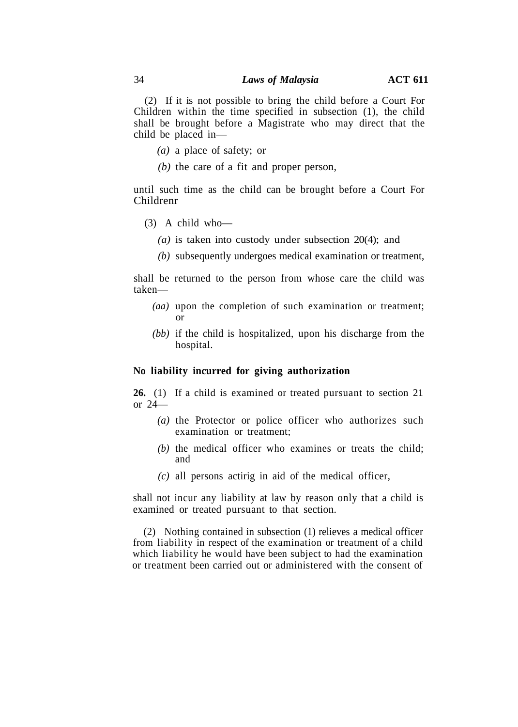(2) If it is not possible to bring the child before a Court For Children within the time specified in subsection (1), the child shall be brought before a Magistrate who may direct that the child be placed in—

- *(a)* a place of safety; or
- *(b)* the care of a fit and proper person,

until such time as the child can be brought before a Court For Childrenr

(3) A child who—

- *(a)* is taken into custody under subsection 20(4); and
- *(b)* subsequently undergoes medical examination or treatment,

shall be returned to the person from whose care the child was taken—

- *(aa)* upon the completion of such examination or treatment; or
- *(bb)* if the child is hospitalized, upon his discharge from the hospital.

# **No liability incurred for giving authorization**

**26.** (1) If a child is examined or treated pursuant to section 21 or 24—

- *(a)* the Protector or police officer who authorizes such examination or treatment;
- *(b)* the medical officer who examines or treats the child; and
- *(c)* all persons actirig in aid of the medical officer,

shall not incur any liability at law by reason only that a child is examined or treated pursuant to that section.

(2) Nothing contained in subsection (1) relieves a medical officer from liability in respect of the examination or treatment of a child which liability he would have been subject to had the examination or treatment been carried out or administered with the consent of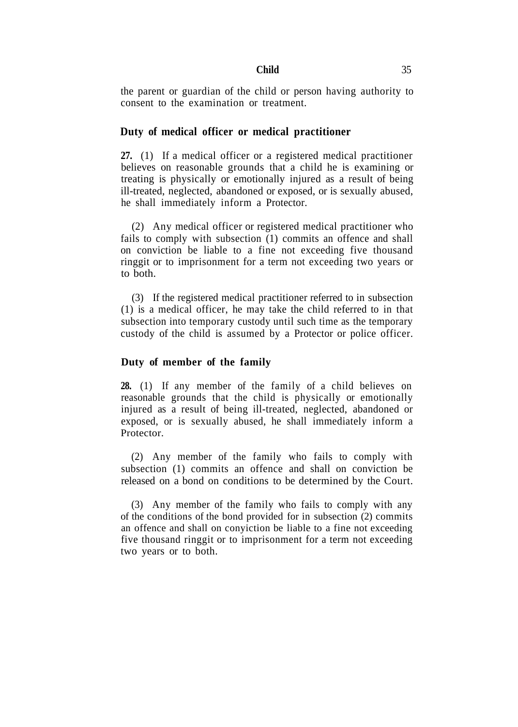the parent or guardian of the child or person having authority to consent to the examination or treatment.

# **Duty of medical officer or medical practitioner**

**27.** (1) If a medical officer or a registered medical practitioner believes on reasonable grounds that a child he is examining or treating is physically or emotionally injured as a result of being ill-treated, neglected, abandoned or exposed, or is sexually abused, he shall immediately inform a Protector.

(2) Any medical officer or registered medical practitioner who fails to comply with subsection (1) commits an offence and shall on conviction be liable to a fine not exceeding five thousand ringgit or to imprisonment for a term not exceeding two years or to both.

(3) If the registered medical practitioner referred to in subsection (1) is a medical officer, he may take the child referred to in that subsection into temporary custody until such time as the temporary custody of the child is assumed by a Protector or police officer.

# **Duty of member of the family**

**28.** (1) If any member of the family of a child believes on reasonable grounds that the child is physically or emotionally injured as a result of being ill-treated, neglected, abandoned or exposed, or is sexually abused, he shall immediately inform a Protector.

(2) Any member of the family who fails to comply with subsection (1) commits an offence and shall on conviction be released on a bond on conditions to be determined by the Court.

(3) Any member of the family who fails to comply with any of the conditions of the bond provided for in subsection (2) commits an offence and shall on conyiction be liable to a fine not exceeding five thousand ringgit or to imprisonment for a term not exceeding two years or to both.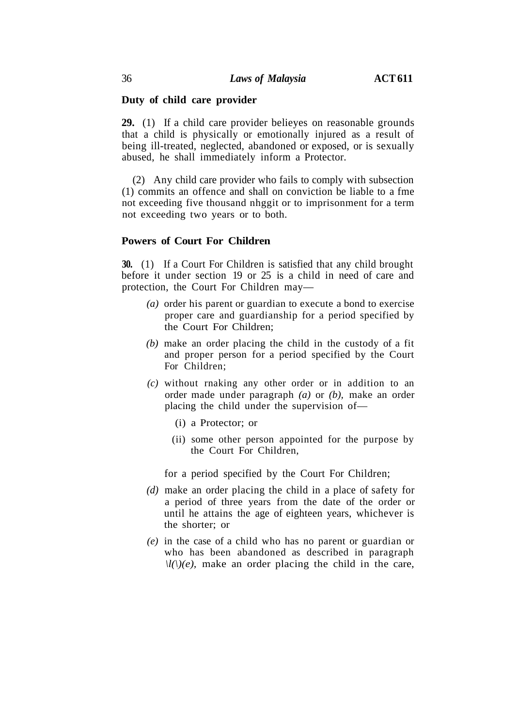# **Duty of child care provider**

**29.** (1) If a child care provider belieyes on reasonable grounds that a child is physically or emotionally injured as a result of being ill-treated, neglected, abandoned or exposed, or is sexually abused, he shall immediately inform a Protector.

(2) Any child care provider who fails to comply with subsection (1) commits an offence and shall on conviction be liable to a fme not exceeding five thousand nhggit or to imprisonment for a term not exceeding two years or to both.

# **Powers of Court For Children**

**30.** (1) If a Court For Children is satisfied that any child brought before it under section 19 or 25 is a child in need of care and protection, the Court For Children may—

- *(a)* order his parent or guardian to execute a bond to exercise proper care and guardianship for a period specified by the Court For Children;
- *(b)* make an order placing the child in the custody of a fit and proper person for a period specified by the Court For Children;
- *(c)* without rnaking any other order or in addition to an order made under paragraph *(a)* or *(b),* make an order placing the child under the supervision of—
	- (i) a Protector; or
	- (ii) some other person appointed for the purpose by the Court For Children,

for a period specified by the Court For Children;

- *(d)* make an order placing the child in a place of safety for a period of three years from the date of the order or until he attains the age of eighteen years, whichever is the shorter; or
- *(e)* in the case of a child who has no parent or guardian or who has been abandoned as described in paragraph  $\langle l(\cdot)(e), \rangle$  make an order placing the child in the care,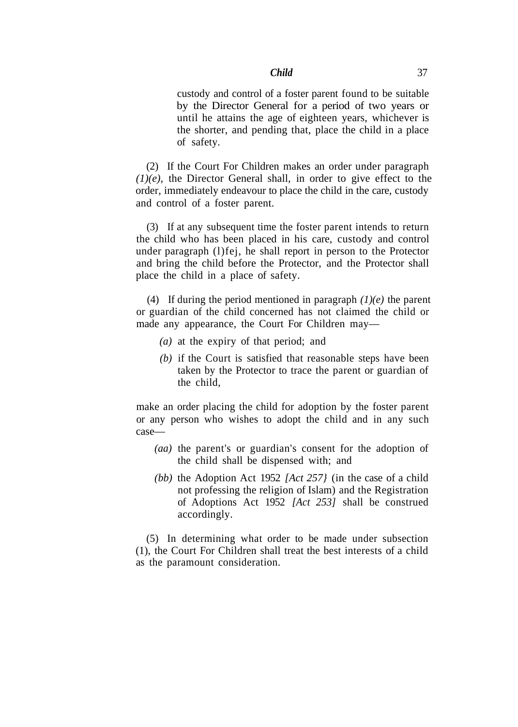custody and control of a foster parent found to be suitable by the Director General for a period of two years or until he attains the age of eighteen years, whichever is the shorter, and pending that, place the child in a place of safety.

(2) If the Court For Children makes an order under paragraph *(1)(e),* the Director General shall, in order to give effect to the order, immediately endeavour to place the child in the care, custody and control of a foster parent.

(3) If at any subsequent time the foster parent intends to return the child who has been placed in his care, custody and control under paragraph (l)fej, he shall report in person to the Protector and bring the child before the Protector, and the Protector shall place the child in a place of safety.

(4) If during the period mentioned in paragraph *(1)(e)* the parent or guardian of the child concerned has not claimed the child or made any appearance, the Court For Children may—

- *(a)* at the expiry of that period; and
- *(b)* if the Court is satisfied that reasonable steps have been taken by the Protector to trace the parent or guardian of the child,

make an order placing the child for adoption by the foster parent or any person who wishes to adopt the child and in any such case—

- *(aa)* the parent's or guardian's consent for the adoption of the child shall be dispensed with; and
- *(bb)* the Adoption Act 1952 *[Act 257}* (in the case of a child not professing the religion of Islam) and the Registration of Adoptions Act 1952 *[Act 253]* shall be construed accordingly.

(5) In determining what order to be made under subsection (1), the Court For Children shall treat the best interests of a child as the paramount consideration.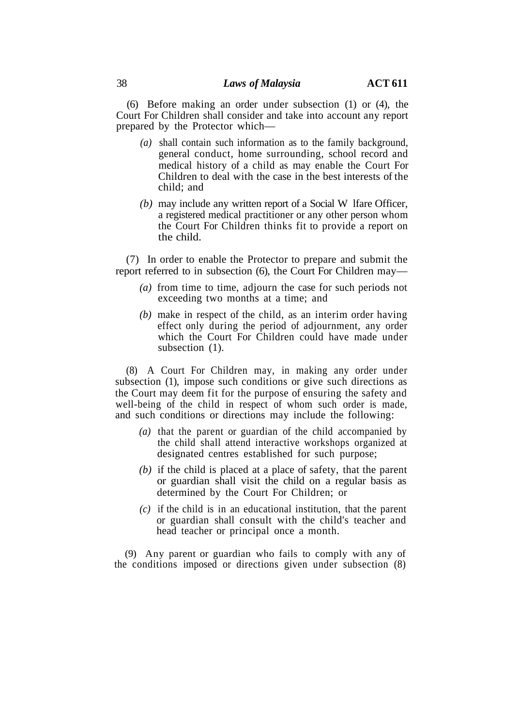(6) Before making an order under subsection (1) or (4), the Court For Children shall consider and take into account any report prepared by the Protector which—

- *(a)* shall contain such information as to the family background, general conduct, home surrounding, school record and medical history of a child as may enable the Court For Children to deal with the case in the best interests of the child; and
- *(b)* may include any written report of a Social W lfare Officer, a registered medical practitioner or any other person whom the Court For Children thinks fit to provide a report on the child.

(7) In order to enable the Protector to prepare and submit the report referred to in subsection (6), the Court For Children may—

- *(a)* from time to time, adjourn the case for such periods not exceeding two months at a time; and
- *(b)* make in respect of the child, as an interim order having effect only during the period of adjournment, any order which the Court For Children could have made under subsection (1).

(8) A Court For Children may, in making any order under subsection (1), impose such conditions or give such directions as the Court may deem fit for the purpose of ensuring the safety and well-being of the child in respect of whom such order is made, and such conditions or directions may include the following:

- *(a)* that the parent or guardian of the child accompanied by the child shall attend interactive workshops organized at designated centres established for such purpose;
- *(b)* if the child is placed at a place of safety, that the parent or guardian shall visit the child on a regular basis as determined by the Court For Children; or
- *(c)* if the child is in an educational institution, that the parent or guardian shall consult with the child's teacher and head teacher or principal once a month.

(9) Any parent or guardian who fails to comply with any of the conditions imposed or directions given under subsection (8)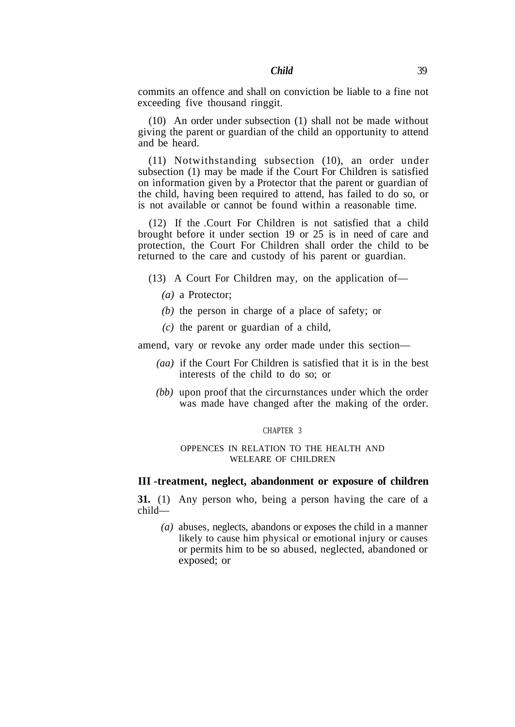commits an offence and shall on conviction be liable to a fine not exceeding five thousand ringgit.

(10) An order under subsection (1) shall not be made without giving the parent or guardian of the child an opportunity to attend and be heard.

(11) Notwithstanding subsection (10), an order under subsection (1) may be made if the Court For Children is satisfied on information given by a Protector that the parent or guardian of the child, having been required to attend, has failed to do so, or is not available or cannot be found within a reasonable time.

(12) If the .Court For Children is not satisfied that a child brought before it under section 19 or 25 is in need of care and protection, the Court For Children shall order the child to be returned to the care and custody of his parent or guardian.

- (13) A Court For Children may, on the application of—
	- *(a)* a Protector;
	- *(b)* the person in charge of a place of safety; or
	- *(c)* the parent or guardian of a child,

amend, vary or revoke any order made under this section—

- *(aa)* if the Court For Children is satisfied that it is in the best interests of the child to do so; or
- *(bb)* upon proof that the circurnstances under which the order was made have changed after the making of the order.

## CHAPTER 3

#### OPPENCES IN RELATION TO THE HEALTH AND WELEARE OF CHILDREN

### **III -treatment, neglect, abandonment or exposure of children**

**31.** (1) Any person who, being a person having the care of a child—

*(a)* abuses, neglects, abandons or exposes the child in a manner likely to cause him physical or emotional injury or causes or permits him to be so abused, neglected, abandoned or exposed; or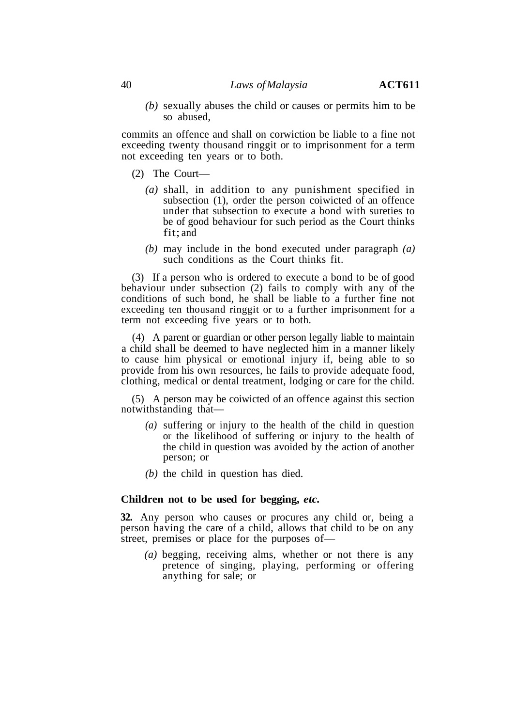*(b)* sexually abuses the child or causes or permits him to be so abused,

commits an offence and shall on corwiction be liable to a fine not exceeding twenty thousand ringgit or to imprisonment for a term not exceeding ten years or to both.

- (2) The Court—
	- *(a)* shall, in addition to any punishment specified in subsection (1), order the person coiwicted of an offence under that subsection to execute a bond with sureties to be of good behaviour for such period as the Court thinks fit; and
	- *(b)* may include in the bond executed under paragraph *(a)* such conditions as the Court thinks fit.

(3) If a person who is ordered to execute a bond to be of good behaviour under subsection (2) fails to comply with any of the conditions of such bond, he shall be liable to a further fine not exceeding ten thousand ringgit or to a further imprisonment for a term not exceeding five years or to both.

(4) A parent or guardian or other person legally liable to maintain a child shall be deemed to have neglected him in a manner likely to cause him physical or emotional injury if, being able to so provide from his own resources, he fails to provide adequate food, clothing, medical or dental treatment, lodging or care for the child.

(5) A person may be coiwicted of an offence against this section notwithstanding that—

- *(a)* suffering or injury to the health of the child in question or the likelihood of suffering or injury to the health of the child in question was avoided by the action of another person; or
- *(b)* the child in question has died.

#### **Children not to be used for begging,** *etc.*

**32.** Any person who causes or procures any child or, being a person having the care of a child, allows that child to be on any street, premises or place for the purposes of—

*(a)* begging, receiving alms, whether or not there is any pretence of singing, playing, performing or offering anything for sale; or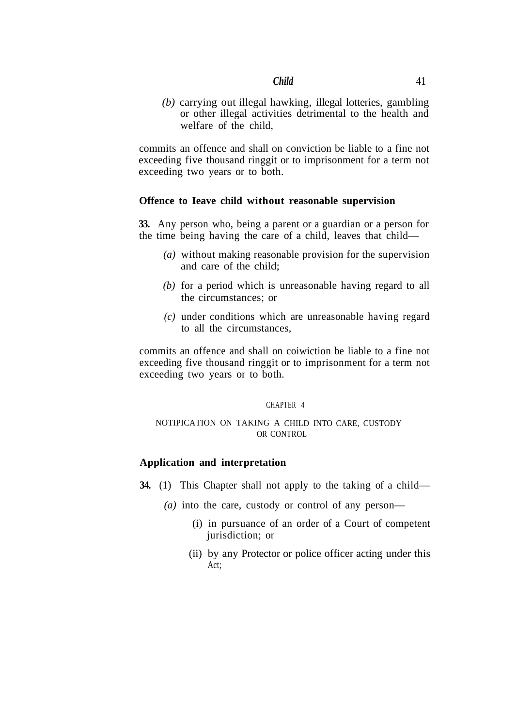*(b)* carrying out illegal hawking, illegal lotteries, gambling or other illegal activities detrimental to the health and welfare of the child,

commits an offence and shall on conviction be liable to a fine not exceeding five thousand ringgit or to imprisonment for a term not exceeding two years or to both.

### **Offence to Ieave child without reasonable supervision**

**33.** Any person who, being a parent or a guardian or a person for the time being having the care of a child, leaves that child—

- *(a)* without making reasonable provision for the supervision and care of the child;
- *(b)* for a period which is unreasonable having regard to all the circumstances; or
- *(c)* under conditions which are unreasonable having regard to all the circumstances,

commits an offence and shall on coiwiction be liable to a fine not exceeding five thousand ringgit or to imprisonment for a term not exceeding two years or to both.

### CHAPTER 4

## NOTIPICATION ON TAKING A CHILD INTO CARE, CUSTODY OR CONTROL

### **Application and interpretation**

- **34.** (1) This Chapter shall not apply to the taking of a child—
	- *(a)* into the care, custody or control of any person—
		- (i) in pursuance of an order of a Court of competent jurisdiction; or
		- (ii) by any Protector or police officer acting under this Act;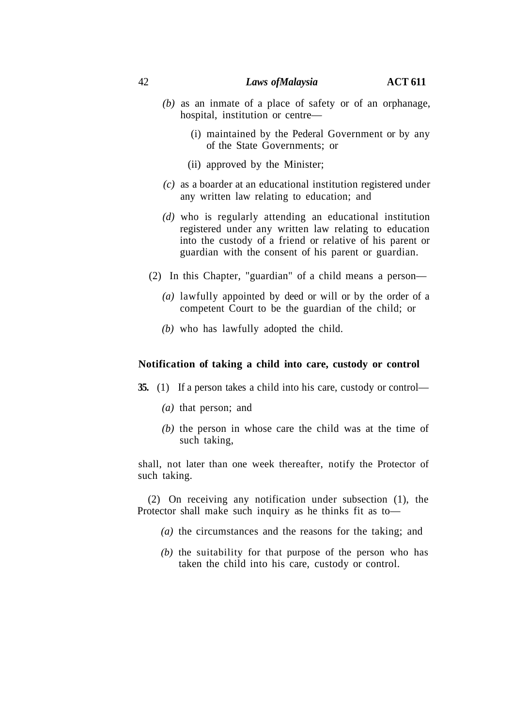- *(b)* as an inmate of a place of safety or of an orphanage, hospital, institution or centre—
	- (i) maintained by the Pederal Government or by any of the State Governments; or
	- (ii) approved by the Minister;
- *(c)* as a boarder at an educational institution registered under any written law relating to education; and
- *(d)* who is regularly attending an educational institution registered under any written law relating to education into the custody of a friend or relative of his parent or guardian with the consent of his parent or guardian.
- (2) In this Chapter, "guardian" of a child means a person—
	- *(a)* lawfully appointed by deed or will or by the order of a competent Court to be the guardian of the child; or
	- *(b)* who has lawfully adopted the child.

### **Notification of taking a child into care, custody or control**

- **35.** (1) If a person takes a child into his care, custody or control—
	- *(a)* that person; and
	- *(b)* the person in whose care the child was at the time of such taking,

shall, not later than one week thereafter, notify the Protector of such taking.

(2) On receiving any notification under subsection (1), the Protector shall make such inquiry as he thinks fit as to—

- *(a)* the circumstances and the reasons for the taking; and
- *(b)* the suitability for that purpose of the person who has taken the child into his care, custody or control.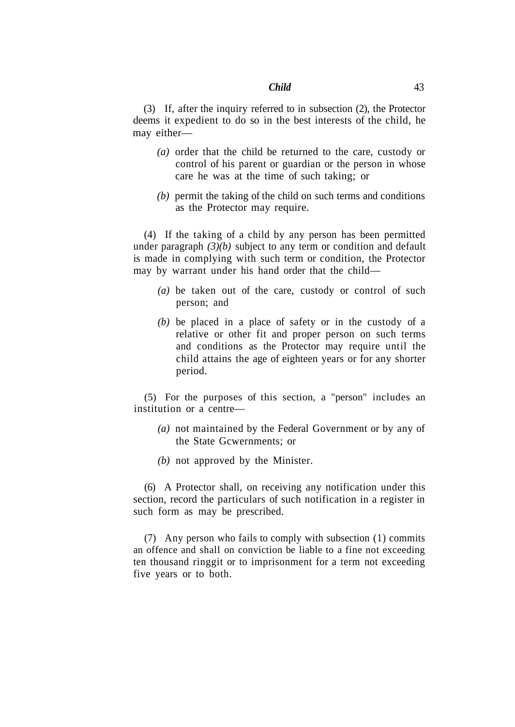(3) If, after the inquiry referred to in subsection (2), the Protector deems it expedient to do so in the best interests of the child, he may either—

- *(a)* order that the child be returned to the care, custody or control of his parent or guardian or the person in whose care he was at the time of such taking; or
- *(b)* permit the taking of the child on such terms and conditions as the Protector may require.

(4) If the taking of a child by any person has been permitted under paragraph (3)(b) subject to any term or condition and default is made in complying with such term or condition, the Protector may by warrant under his hand order that the child—

- *(a)* be taken out of the care, custody or control of such person; and
- *(b)* be placed in a place of safety or in the custody of a relative or other fit and proper person on such terms and conditions as the Protector may require until the child attains the age of eighteen years or for any shorter period.

(5) For the purposes of this section, a "person" includes an institution or a centre—

- *(a)* not maintained by the Federal Government or by any of the State Gcwernments; or
- *(b)* not approved by the Minister.

(6) A Protector shall, on receiving any notification under this section, record the particulars of such notification in a register in such form as may be prescribed.

(7) Any person who fails to comply with subsection (1) commits an offence and shall on conviction be liable to a fine not exceeding ten thousand ringgit or to imprisonment for a term not exceeding five years or to both.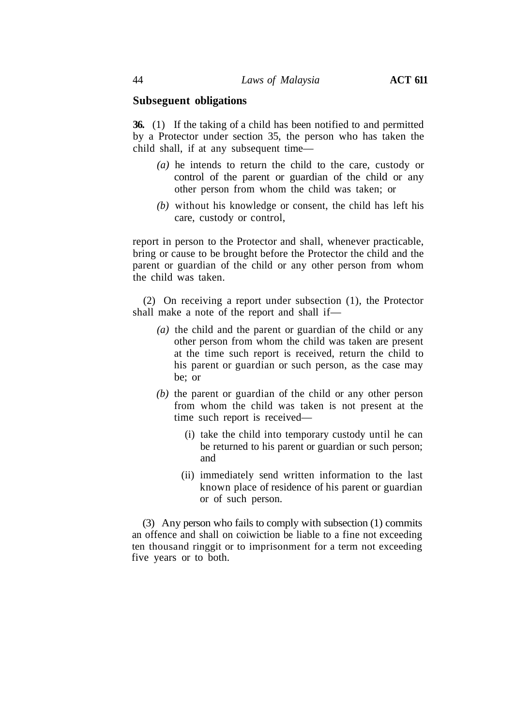# **Subseguent obligations**

**36.** (1) If the taking of a child has been notified to and permitted by a Protector under section 35, the person who has taken the child shall, if at any subsequent time—

- *(a)* he intends to return the child to the care, custody or control of the parent or guardian of the child or any other person from whom the child was taken; or
- *(b)* without his knowledge or consent, the child has left his care, custody or control,

report in person to the Protector and shall, whenever practicable, bring or cause to be brought before the Protector the child and the parent or guardian of the child or any other person from whom the child was taken.

(2) On receiving a report under subsection (1), the Protector shall make a note of the report and shall if—

- *(a)* the child and the parent or guardian of the child or any other person from whom the child was taken are present at the time such report is received, return the child to his parent or guardian or such person, as the case may be; or
- *(b)* the parent or guardian of the child or any other person from whom the child was taken is not present at the time such report is received—
	- (i) take the child into temporary custody until he can be returned to his parent or guardian or such person; and
	- (ii) immediately send written information to the last known place of residence of his parent or guardian or of such person.

(3) Any person who fails to comply with subsection (1) commits an offence and shall on coiwiction be liable to a fine not exceeding ten thousand ringgit or to imprisonment for a term not exceeding five years or to both.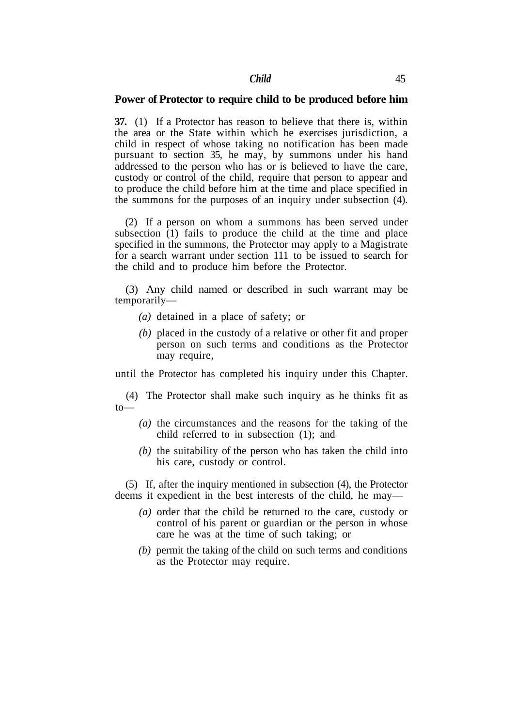## **Power of Protector to require child to be produced before him**

**37.** (1) If a Protector has reason to believe that there is, within the area or the State within which he exercises jurisdiction, a child in respect of whose taking no notification has been made pursuant to section 35, he may, by summons under his hand addressed to the person who has or is believed to have the care, custody or control of the child, require that person to appear and to produce the child before him at the time and place specified in the summons for the purposes of an inquiry under subsection (4).

(2) If a person on whom a summons has been served under subsection  $(1)$  fails to produce the child at the time and place specified in the summons, the Protector may apply to a Magistrate for a search warrant under section 111 to be issued to search for the child and to produce him before the Protector.

(3) Any child named or described in such warrant may be temporarily—

- *(a)* detained in a place of safety; or
- *(b)* placed in the custody of a relative or other fit and proper person on such terms and conditions as the Protector may require,

until the Protector has completed his inquiry under this Chapter.

(4) The Protector shall make such inquiry as he thinks fit as  $to$ 

- *(a)* the circumstances and the reasons for the taking of the child referred to in subsection (1); and
- *(b)* the suitability of the person who has taken the child into his care, custody or control.

(5) If, after the inquiry mentioned in subsection (4), the Protector deems it expedient in the best interests of the child, he may—

- *(a)* order that the child be returned to the care, custody or control of his parent or guardian or the person in whose care he was at the time of such taking; or
- *(b)* permit the taking of the child on such terms and conditions as the Protector may require.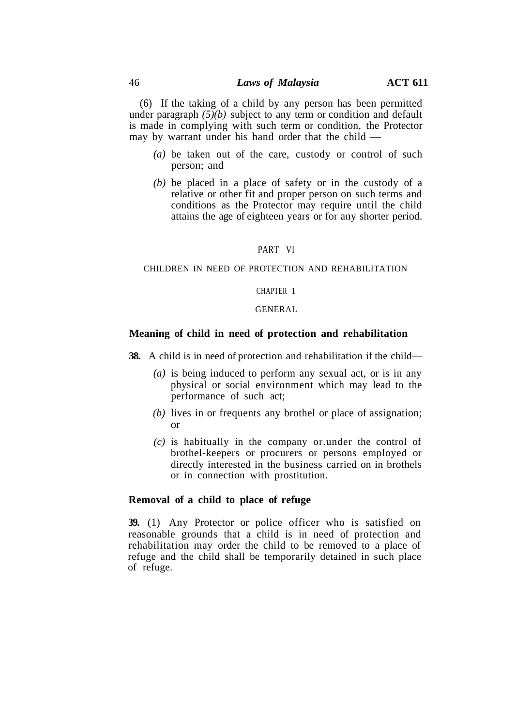(6) If the taking of a child by any person has been permitted under paragraph *(5)(b)* subject to any term or condition and default is made in complying with such term or condition, the Protector may by warrant under his hand order that the child —

- *(a)* be taken out of the care, custody or control of such person; and
- *(b)* be placed in a place of safety or in the custody of a relative or other fit and proper person on such terms and conditions as the Protector may require until the child attains the age of eighteen years or for any shorter period.

#### PART VI

#### CHILDREN IN NEED OF PROTECTION AND REHABILITATION

#### CHAPTER 1

#### GENERAL

### **Meaning of child in need of protection and rehabilitation**

- **38.** A child is in need of protection and rehabilitation if the child—
	- *(a)* is being induced to perform any sexual act, or is in any physical or social environment which may lead to the performance of such act;
	- *(b)* lives in or frequents any brothel or place of assignation; or
	- *(c)* is habitually in the company or.under the control of brothel-keepers or procurers or persons employed or directly interested in the business carried on in brothels or in connection with prostitution.

## **Removal of a child to place of refuge**

**39.** (1) Any Protector or police officer who is satisfied on reasonable grounds that a child is in need of protection and rehabilitation may order the child to be removed to a place of refuge and the child shall be temporarily detained in such place of refuge.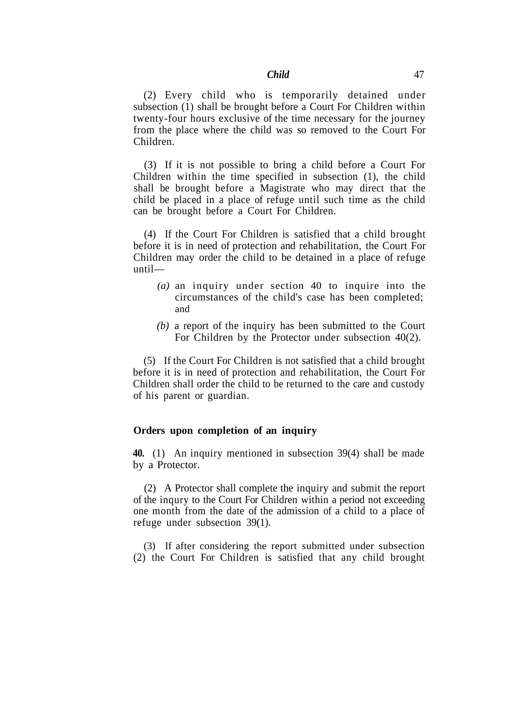(2) Every child who is temporarily detained under subsection (1) shall be brought before a Court For Children within twenty-four hours exclusive of the time necessary for the journey from the place where the child was so removed to the Court For Children.

(3) If it is not possible to bring a child before a Court For Children within the time specified in subsection (1), the child shall be brought before a Magistrate who may direct that the child be placed in a place of refuge until such time as the child can be brought before a Court For Children.

(4) If the Court For Children is satisfied that a child brought before it is in need of protection and rehabilitation, the Court For Children may order the child to be detained in a place of refuge until—

- *(a)* an inquiry under section 40 to inquire into the circumstances of the child's case has been completed; and
- *(b)* a report of the inquiry has been submitted to the Court For Children by the Protector under subsection 40(2).

(5) If the Court For Children is not satisfied that a child brought before it is in need of protection and rehabilitation, the Court For Children shall order the child to be returned to the care and custody of his parent or guardian.

## **Orders upon completion of an inquiry**

**40.** (1) An inquiry mentioned in subsection 39(4) shall be made by a Protector.

(2) A Protector shall complete the inquiry and submit the report of the inqury to the Court For Children within a period not exceeding one month from the date of the admission of a child to a place of refuge under subsection 39(1).

(3) If after considering the report submitted under subsection (2) the Court For Children is satisfied that any child brought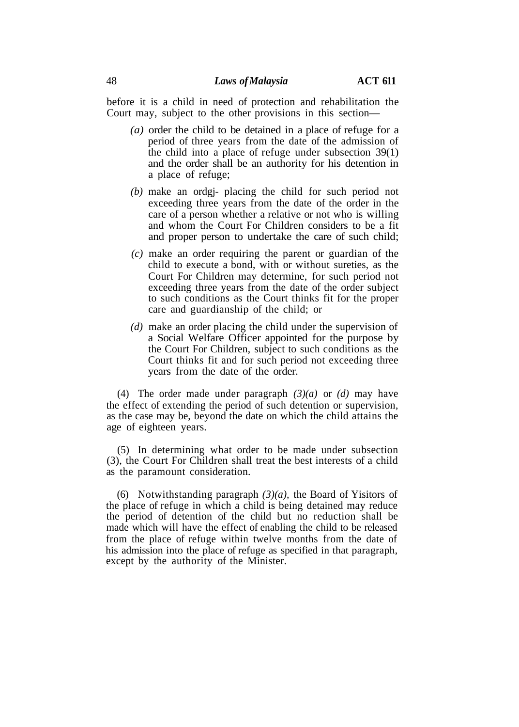before it is a child in need of protection and rehabilitation the Court may, subject to the other provisions in this section—

- *(a)* order the child to be detained in a place of refuge for a period of three years from the date of the admission of the child into a place of refuge under subsection 39(1) and the order shall be an authority for his detention in a place of refuge;
- *(b)* make an ordgj- placing the child for such period not exceeding three years from the date of the order in the care of a person whether a relative or not who is willing and whom the Court For Children considers to be a fit and proper person to undertake the care of such child;
- *(c)* make an order requiring the parent or guardian of the child to execute a bond, with or without sureties, as the Court For Children may determine, for such period not exceeding three years from the date of the order subject to such conditions as the Court thinks fit for the proper care and guardianship of the child; or
- *(d)* make an order placing the child under the supervision of a Social Welfare Officer appointed for the purpose by the Court For Children, subject to such conditions as the Court thinks fit and for such period not exceeding three years from the date of the order.

(4) The order made under paragraph *(3)(a)* or *(d)* may have the effect of extending the period of such detention or supervision, as the case may be, beyond the date on which the child attains the age of eighteen years.

(5) In determining what order to be made under subsection (3), the Court For Children shall treat the best interests of a child as the paramount consideration.

(6) Notwithstanding paragraph *(3)(a),* the Board of Yisitors of the place of refuge in which a child is being detained may reduce the period of detention of the child but no reduction shall be made which will have the effect of enabling the child to be released from the place of refuge within twelve months from the date of his admission into the place of refuge as specified in that paragraph, except by the authority of the Minister.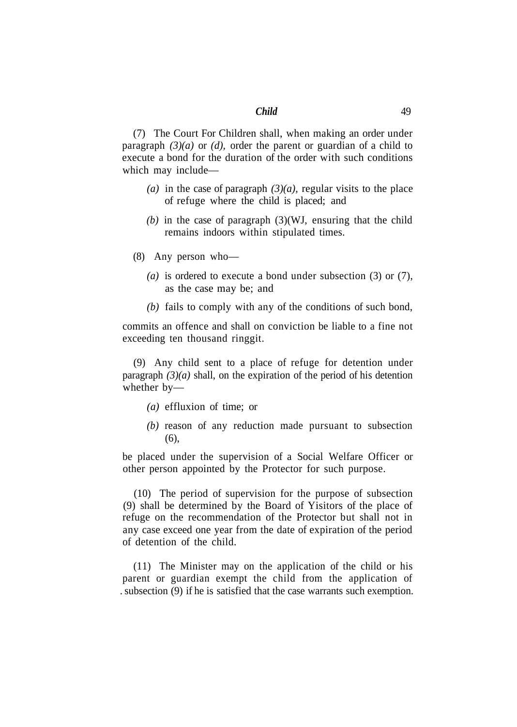(7) The Court For Children shall, when making an order under paragraph *(3)(a)* or *(d),* order the parent or guardian of a child to execute a bond for the duration of the order with such conditions which may include—

- *(a)* in the case of paragraph  $(3)(a)$ , regular visits to the place of refuge where the child is placed; and
- *(b)* in the case of paragraph (3)(WJ, ensuring that the child remains indoors within stipulated times.
- (8) Any person who—
	- *(a)* is ordered to execute a bond under subsection (3) or (7), as the case may be; and
	- *(b)* fails to comply with any of the conditions of such bond,

commits an offence and shall on conviction be liable to a fine not exceeding ten thousand ringgit.

(9) Any child sent to a place of refuge for detention under paragraph  $(3)(a)$  shall, on the expiration of the period of his detention whether by—

- *(a)* effluxion of time; or
- *(b)* reason of any reduction made pursuant to subsection (6),

be placed under the supervision of a Social Welfare Officer or other person appointed by the Protector for such purpose.

(10) The period of supervision for the purpose of subsection (9) shall be determined by the Board of Yisitors of the place of refuge on the recommendation of the Protector but shall not in any case exceed one year from the date of expiration of the period of detention of the child.

(11) The Minister may on the application of the child or his parent or guardian exempt the child from the application of . subsection (9) if he is satisfied that the case warrants such exemption.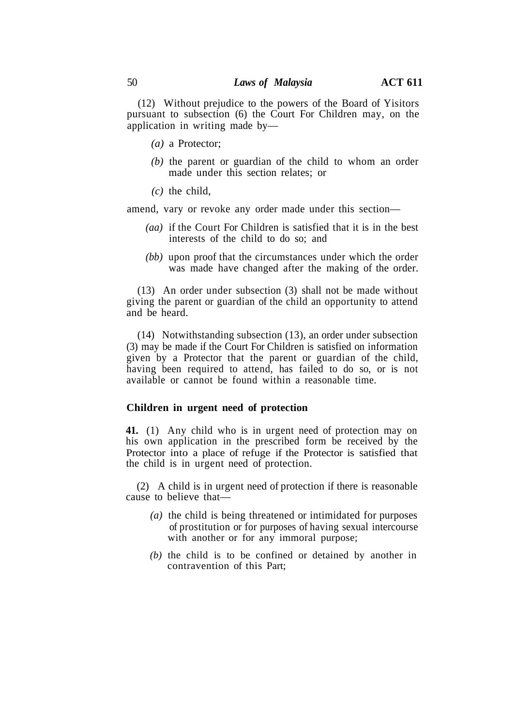(12) Without prejudice to the powers of the Board of Yisitors pursuant to subsection (6) the Court For Children may, on the application in writing made by—

- *(a)* a Protector;
- *(b)* the parent or guardian of the child to whom an order made under this section relates; or
- *(c)* the child,

amend, vary or revoke any order made under this section—

- *(aa)* if the Court For Children is satisfied that it is in the best interests of the child to do so; and
- *(bb)* upon proof that the circumstances under which the order was made have changed after the making of the order.

(13) An order under subsection (3) shall not be made without giving the parent or guardian of the child an opportunity to attend and be heard.

(14) Notwithstanding subsection (13), an order under subsection (3) may be made if the Court For Children is satisfied on information given by a Protector that the parent or guardian of the child, having been required to attend, has failed to do so, or is not available or cannot be found within a reasonable time.

### **Children in urgent need of protection**

**41.** (1) Any child who is in urgent need of protection may on his own application in the prescribed form be received by the Protector into a place of refuge if the Protector is satisfied that the child is in urgent need of protection.

(2) A child is in urgent need of protection if there is reasonable cause to believe that—

- *(a)* the child is being threatened or intimidated for purposes of prostitution or for purposes of having sexual intercourse with another or for any immoral purpose;
- *(b)* the child is to be confined or detained by another in contravention of this Part;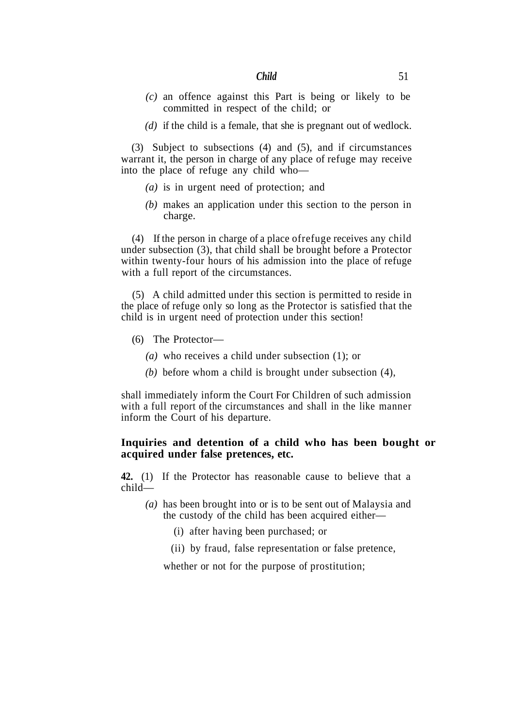- *(c)* an offence against this Part is being or likely to be committed in respect of the child; or
- *(d)* if the child is a female, that she is pregnant out of wedlock.

(3) Subject to subsections (4) and (5), and if circumstances warrant it, the person in charge of any place of refuge may receive into the place of refuge any child who—

- *(a)* is in urgent need of protection; and
- *(b)* makes an application under this section to the person in charge.

(4) If the person in charge of a place ofrefuge receives any child under subsection (3), that child shall be brought before a Protector within twenty-four hours of his admission into the place of refuge with a full report of the circumstances.

(5) A child admitted under this section is permitted to reside in the place of refuge only so long as the Protector is satisfied that the child is in urgent need of protection under this section!

- (6) The Protector—
	- *(a)* who receives a child under subsection (1); or
	- *(b)* before whom a child is brought under subsection (4),

shall immediately inform the Court For Children of such admission with a full report of the circumstances and shall in the like manner inform the Court of his departure.

# **Inquiries and detention of a child who has been bought or acquired under false pretences, etc.**

**42.** (1) If the Protector has reasonable cause to believe that a child—

- *(a)* has been brought into or is to be sent out of Malaysia and the custody of the child has been acquired either—
	- (i) after having been purchased; or
	- (ii) by fraud, false representation or false pretence,

whether or not for the purpose of prostitution;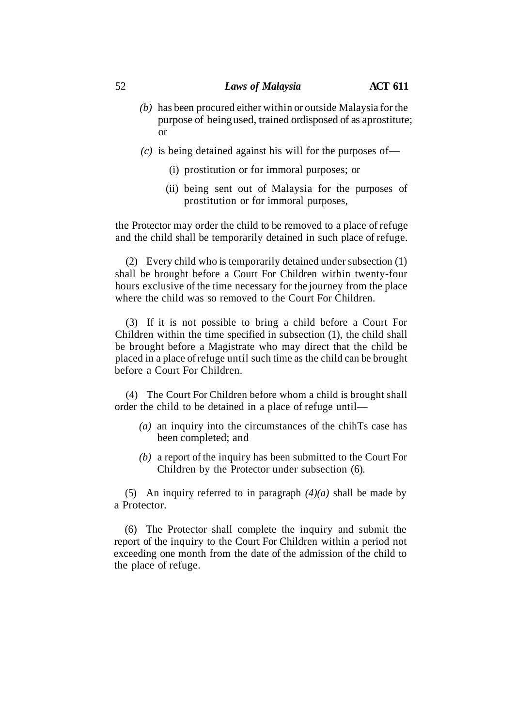- *(b)* has been procured either within or outside Malaysia for the purpose of being used, trained ordisposed of as aprostitute; or
- *(c)* is being detained against his will for the purposes of—
	- (i) prostitution or for immoral purposes; or
	- (ii) being sent out of Malaysia for the purposes of prostitution or for immoral purposes,

the Protector may order the child to be removed to a place of refuge and the child shall be temporarily detained in such place of refuge.

(2) Every child who is temporarily detained under subsection (1) shall be brought before a Court For Children within twenty-four hours exclusive of the time necessary for the journey from the place where the child was so removed to the Court For Children.

(3) If it is not possible to bring a child before a Court For Children within the time specified in subsection (1), the child shall be brought before a Magistrate who may direct that the child be placed in a place of refuge until such time as the child can be brought before a Court For Children.

(4) The Court For Children before whom a child is brought shall order the child to be detained in a place of refuge until—

- *(a)* an inquiry into the circumstances of the chihTs case has been completed; and
- *(b)* a report of the inquiry has been submitted to the Court For Children by the Protector under subsection (6).

(5) An inquiry referred to in paragraph *(4)(a)* shall be made by a Protector.

(6) The Protector shall complete the inquiry and submit the report of the inquiry to the Court For Children within a period not exceeding one month from the date of the admission of the child to the place of refuge.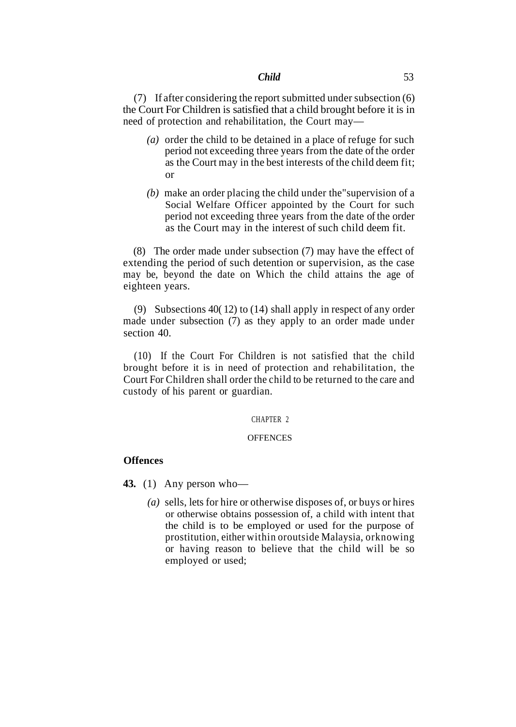(7) If after considering the report submitted under subsection (6) the Court For Children is satisfied that a child brought before it is in need of protection and rehabilitation, the Court may—

- *(a)* order the child to be detained in a place of refuge for such period not exceeding three years from the date of the order as the Court may in the best interests of the child deem fit; or
- *(b)* make an order placing the child under the"supervision of a Social Welfare Officer appointed by the Court for such period not exceeding three years from the date of the order as the Court may in the interest of such child deem fit.

(8) The order made under subsection (7) may have the effect of extending the period of such detention or supervision, as the case may be, beyond the date on Which the child attains the age of eighteen years.

(9) Subsections 40( 12) to (14) shall apply in respect of any order made under subsection (7) as they apply to an order made under section 40.

(10) If the Court For Children is not satisfied that the child brought before it is in need of protection and rehabilitation, the Court For Children shall order the child to be returned to the care and custody of his parent or guardian.

#### CHAPTER 2

## **OFFENCES**

### **Offences**

**43.** (1) Any person who—

*(a)* sells, lets for hire or otherwise disposes of, or buys or hires or otherwise obtains possession of, a child with intent that the child is to be employed or used for the purpose of prostitution, either within oroutside Malaysia, orknowing or having reason to believe that the child will be so employed or used;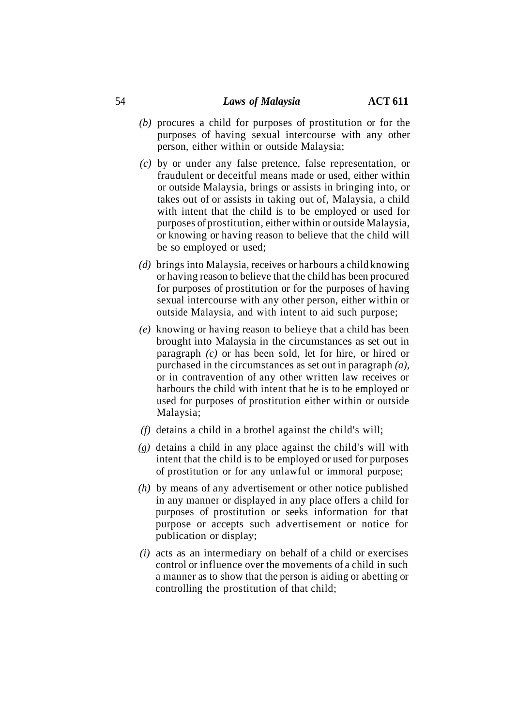- *(b)* procures a child for purposes of prostitution or for the purposes of having sexual intercourse with any other person, either within or outside Malaysia;
- *(c)* by or under any false pretence, false representation, or fraudulent or deceitful means made or used, either within or outside Malaysia, brings or assists in bringing into, or takes out of or assists in taking out of, Malaysia, a child with intent that the child is to be employed or used for purposes of prostitution, either within or outside Malaysia, or knowing or having reason to believe that the child will be so employed or used;
- *(d)* brings into Malaysia, receives or harbours a child knowing or having reason to believe that the child has been procured for purposes of prostitution or for the purposes of having sexual intercourse with any other person, either within or outside Malaysia, and with intent to aid such purpose;
- *(e)* knowing or having reason to belieye that a child has been brought into Malaysia in the circumstances as set out in paragraph *(c)* or has been sold, let for hire, or hired or purchased in the circumstances as set out in paragraph *(a),* or in contravention of any other written law receives or harbours the child with intent that he is to be employed or used for purposes of prostitution either within or outside Malaysia;
- *(f)* detains a child in a brothel against the child's will;
- *(g)* detains a child in any place against the child's will with intent that the child is to be employed or used for purposes of prostitution or for any unlawful or immoral purpose;
- *(h)* by means of any advertisement or other notice published in any manner or displayed in any place offers a child for purposes of prostitution or seeks information for that purpose or accepts such advertisement or notice for publication or display;
- *(i)* acts as an intermediary on behalf of a child or exercises control or influence over the movements of a child in such a manner as to show that the person is aiding or abetting or controlling the prostitution of that child;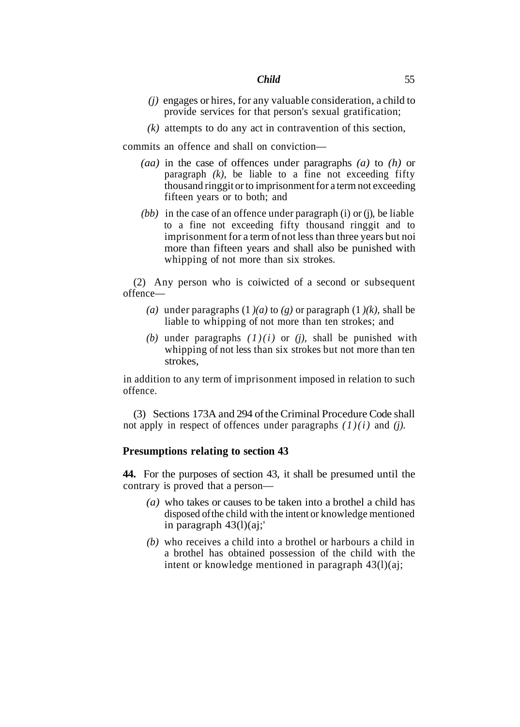- *(j)* engages or hires, for any valuable consideration, a child to provide services for that person's sexual gratification;
- *(k)* attempts to do any act in contravention of this section,

commits an offence and shall on conviction—

- *(aa)* in the case of offences under paragraphs *(a)* to *(h)* or paragraph *(k),* be liable to a fine not exceeding fifty thousand ringgit or to imprisonment for a term not exceeding fifteen years or to both; and
- *(bb)* in the case of an offence under paragraph (i) or (j), be liable to a fine not exceeding fifty thousand ringgit and to imprisonment for a term of not less than three years but noi more than fifteen years and shall also be punished with whipping of not more than six strokes.

(2) Any person who is coiwicted of a second or subsequent offence—

- *(a)* under paragraphs (1*)(a)* to *(g)* or paragraph (1*)(k)*, shall be liable to whipping of not more than ten strokes; and
- *(b)* under paragraphs *(1)(i)* or *(j),* shall be punished with whipping of not less than six strokes but not more than ten strokes,

in addition to any term of imprisonment imposed in relation to such offence.

(3) Sections 173A and 294 of the Criminal Procedure Code shall not apply in respect of offences under paragraphs *(1)(i)* and *(j).*

## **Presumptions relating to section 43**

**44.** For the purposes of section 43, it shall be presumed until the contrary is proved that a person—

- *(a)* who takes or causes to be taken into a brothel a child has disposed of the child with the intent or knowledge mentioned in paragraph 43(l)(aj;'
- *(b)* who receives a child into a brothel or harbours a child in a brothel has obtained possession of the child with the intent or knowledge mentioned in paragraph 43(l)(aj;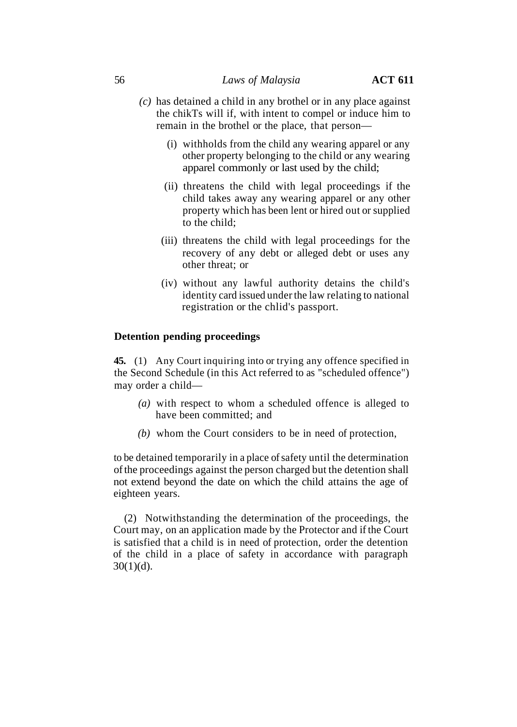- *(c)* has detained a child in any brothel or in any place against the chikTs will if, with intent to compel or induce him to remain in the brothel or the place, that person—
	- (i) withholds from the child any wearing apparel or any other property belonging to the child or any wearing apparel commonly or last used by the child;
	- (ii) threatens the child with legal proceedings if the child takes away any wearing apparel or any other property which has been lent or hired out or supplied to the child;
	- (iii) threatens the child with legal proceedings for the recovery of any debt or alleged debt or uses any other threat; or
	- (iv) without any lawful authority detains the child's identity card issued under the law relating to national registration or the chlid's passport.

## **Detention pending proceedings**

**45.** (1) Any Court inquiring into or trying any offence specified in the Second Schedule (in this Act referred to as "scheduled offence") may order a child—

- *(a)* with respect to whom a scheduled offence is alleged to have been committed; and
- *(b)* whom the Court considers to be in need of protection,

to be detained temporarily in a place of safety until the determination of the proceedings against the person charged but the detention shall not extend beyond the date on which the child attains the age of eighteen years.

(2) Notwithstanding the determination of the proceedings, the Court may, on an application made by the Protector and if the Court is satisfied that a child is in need of protection, order the detention of the child in a place of safety in accordance with paragraph  $30(1)(d)$ .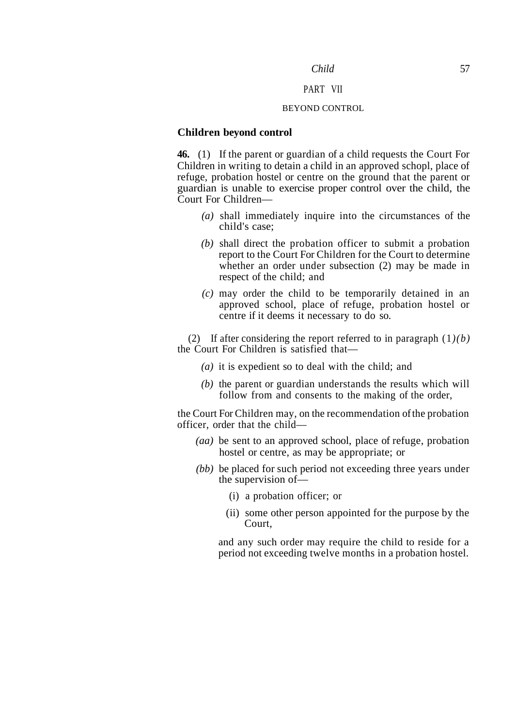## PART VII

#### BEYOND CONTROL

### **Children beyond control**

**46.** (1) If the parent or guardian of a child requests the Court For Children in writing to detain a child in an approved schopl, place of refuge, probation hostel or centre on the ground that the parent or guardian is unable to exercise proper control over the child, the Court For Children—

- *(a)* shall immediately inquire into the circumstances of the child's case;
- *(b)* shall direct the probation officer to submit a probation report to the Court For Children for the Court to determine whether an order under subsection (2) may be made in respect of the child; and
- *(c)* may order the child to be temporarily detained in an approved school, place of refuge, probation hostel or centre if it deems it necessary to do so.

(2) If after considering the report referred to in paragraph (1*)(b)* the Court For Children is satisfied that—

- *(a)* it is expedient so to deal with the child; and
- *(b)* the parent or guardian understands the results which will follow from and consents to the making of the order,

the Court For Children may, on the recommendation of the probation officer, order that the child—

- *(aa)* be sent to an approved school, place of refuge, probation hostel or centre, as may be appropriate; or
- *(bb)* be placed for such period not exceeding three years under the supervision of—
	- (i) a probation officer; or
	- (ii) some other person appointed for the purpose by the Court,

and any such order may require the child to reside for a period not exceeding twelve months in a probation hostel.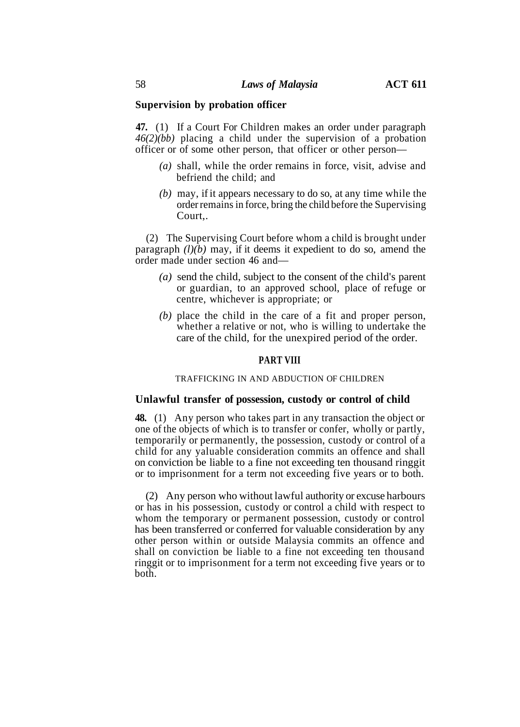## **Supervision by probation officer**

**47.** (1) If a Court For Children makes an order under paragraph *46(2)(bb)* placing a child under the supervision of a probation officer or of some other person, that officer or other person—

- *(a)* shall, while the order remains in force, visit, advise and befriend the child; and
- *(b)* may, if it appears necessary to do so, at any time while the order remains in force, bring the child before the Supervising Court,.

(2) The Supervising Court before whom a child is brought under paragraph *(l)(b)* may, if it deems it expedient to do so, amend the order made under section 46 and—

- *(a)* send the child, subject to the consent of the child's parent or guardian, to an approved school, place of refuge or centre, whichever is appropriate; or
- *(b)* place the child in the care of a fit and proper person, whether a relative or not, who is willing to undertake the care of the child, for the unexpired period of the order.

#### **PART VIII**

### TRAFFICKING IN AND ABDUCTION OF CHILDREN

### **Unlawful transfer of possession, custody or control of child**

**48.** (1) Any person who takes part in any transaction the object or one of the objects of which is to transfer or confer, wholly or partly, temporarily or permanently, the possession, custody or control of a child for any yaluable consideration commits an offence and shall on conviction be liable to a fine not exceeding ten thousand ringgit or to imprisonment for a term not exceeding five years or to both.

(2) Any person who without lawful authority or excuse harbours or has in his possession, custody or control a child with respect to whom the temporary or permanent possession, custody or control has been transferred or conferred for valuable consideration by any other person within or outside Malaysia commits an offence and shall on conviction be liable to a fine not exceeding ten thousand ringgit or to imprisonment for a term not exceeding five years or to both.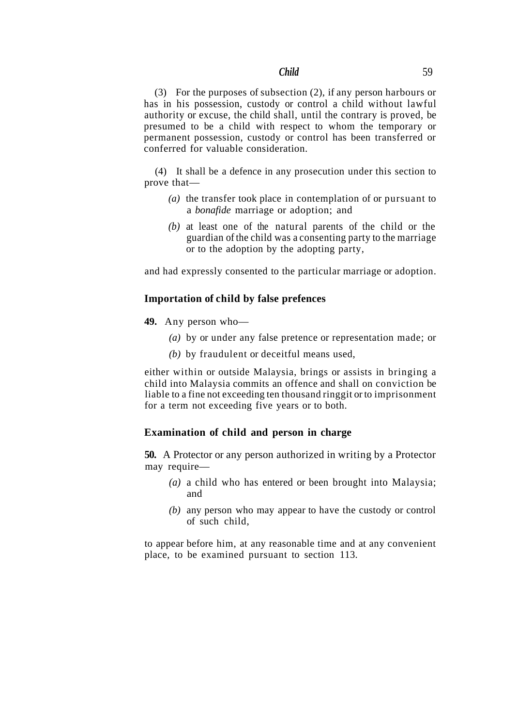(3) For the purposes of subsection (2), if any person harbours or has in his possession, custody or control a child without lawful authority or excuse, the child shall, until the contrary is proved, be presumed to be a child with respect to whom the temporary or permanent possession, custody or control has been transferred or conferred for valuable consideration.

(4) It shall be a defence in any prosecution under this section to prove that—

- *(a)* the transfer took place in contemplation of or pursuant to a *bonafide* marriage or adoption; and
- *(b)* at least one of the natural parents of the child or the guardian of the child was a consenting party to the marriage or to the adoption by the adopting party,

and had expressly consented to the particular marriage or adoption.

# **Importation of child by false prefences**

- **49.** Any person who—
	- *(a)* by or under any false pretence or representation made; or
	- *(b)* by fraudulent or deceitful means used,

either within or outside Malaysia, brings or assists in bringing a child into Malaysia commits an offence and shall on conviction be liable to a fine not exceeding ten thousand ringgit or to imprisonment for a term not exceeding five years or to both.

# **Examination of child and person in charge**

**50.** A Protector or any person authorized in writing by a Protector may require—

- *(a)* a child who has entered or been brought into Malaysia; and
- *(b)* any person who may appear to have the custody or control of such child,

to appear before him, at any reasonable time and at any convenient place, to be examined pursuant to section 113.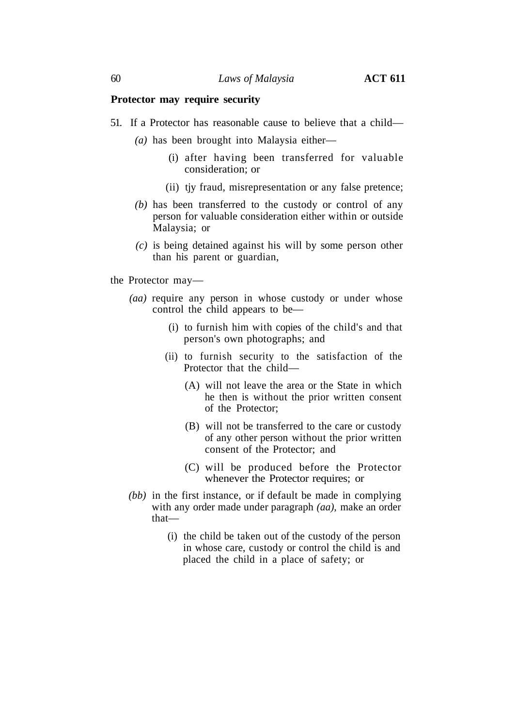### **Protector may require security**

- 51. If a Protector has reasonable cause to believe that a child—
	- *(a)* has been brought into Malaysia either—
		- (i) after having been transferred for valuable consideration; or
		- (ii) tjy fraud, misrepresentation or any false pretence;
	- *(b)* has been transferred to the custody or control of any person for valuable consideration either within or outside Malaysia; or
	- *(c)* is being detained against his will by some person other than his parent or guardian,

the Protector may—

- *(aa)* require any person in whose custody or under whose control the child appears to be—
	- (i) to furnish him with copies of the child's and that person's own photographs; and
	- (ii) to furnish security to the satisfaction of the Protector that the child—
		- (A) will not leave the area or the State in which he then is without the prior written consent of the Protector;
		- (B) will not be transferred to the care or custody of any other person without the prior written consent of the Protector; and
		- (C) will be produced before the Protector whenever the Protector requires; or
- *(bb)* in the first instance, or if default be made in complying with any order made under paragraph *(aa),* make an order that—
	- (i) the child be taken out of the custody of the person in whose care, custody or control the child is and placed the child in a place of safety; or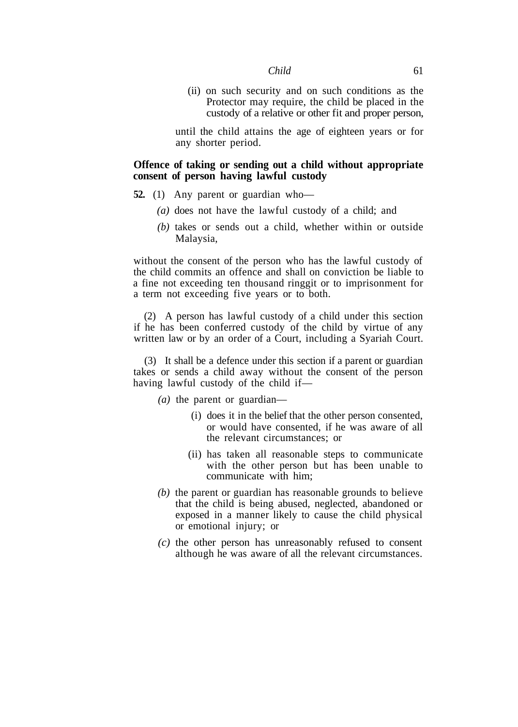(ii) on such security and on such conditions as the Protector may require, the child be placed in the custody of a relative or other fit and proper person,

until the child attains the age of eighteen years or for any shorter period.

## **Offence of taking or sending out a child without appropriate consent of person having lawful custody**

- **52.** (1) Any parent or guardian who—
	- *(a)* does not have the lawful custody of a child; and
	- *(b)* takes or sends out a child, whether within or outside Malaysia,

without the consent of the person who has the lawful custody of the child commits an offence and shall on conviction be liable to a fine not exceeding ten thousand ringgit or to imprisonment for a term not exceeding five years or to both.

(2) A person has lawful custody of a child under this section if he has been conferred custody of the child by virtue of any written law or by an order of a Court, including a Syariah Court.

(3) It shall be a defence under this section if a parent or guardian takes or sends a child away without the consent of the person having lawful custody of the child if—

*(a)* the parent or guardian—

- (i) does it in the belief that the other person consented, or would have consented, if he was aware of all the relevant circumstances; or
- (ii) has taken all reasonable steps to communicate with the other person but has been unable to communicate with him;
- *(b)* the parent or guardian has reasonable grounds to believe that the child is being abused, neglected, abandoned or exposed in a manner likely to cause the child physical or emotional injury; or
- *(c)* the other person has unreasonably refused to consent although he was aware of all the relevant circumstances.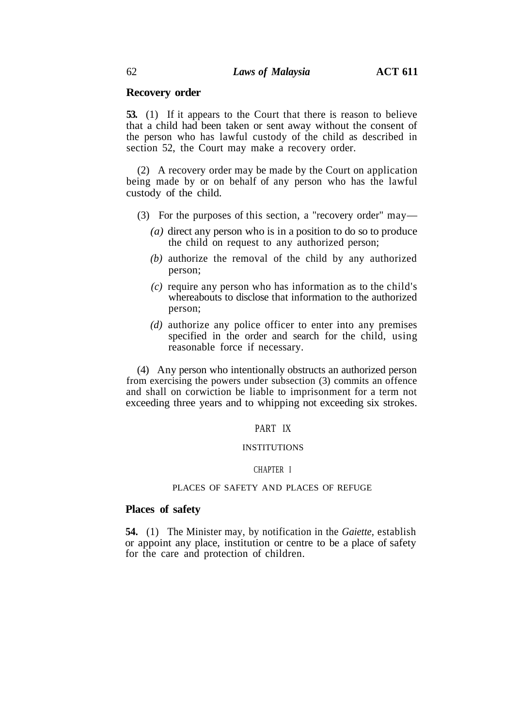## **Recovery order**

**53.** (1) If it appears to the Court that there is reason to believe that a child had been taken or sent away without the consent of the person who has lawful custody of the child as described in section 52, the Court may make a recovery order.

(2) A recovery order may be made by the Court on application being made by or on behalf of any person who has the lawful custody of the child.

- (3) For the purposes of this section, a "recovery order" may—
	- *(a)* direct any person who is in a position to do so to produce the child on request to any authorized person;
	- *(b)* authorize the removal of the child by any authorized person;
	- *(c)* require any person who has information as to the child's whereabouts to disclose that information to the authorized person;
	- *(d)* authorize any police officer to enter into any premises specified in the order and search for the child, using reasonable force if necessary.

(4) Any person who intentionally obstructs an authorized person from exercising the powers under subsection (3) commits an offence and shall on corwiction be liable to imprisonment for a term not exceeding three years and to whipping not exceeding six strokes.

## PART IX

#### INSTITUTIONS

#### CHAPTER I

#### PLACES OF SAFETY AND PLACES OF REFUGE

# **Places of safety**

**54.** (1) The Minister may, by notification in the *Gaiette,* establish or appoint any place, institution or centre to be a place of safety for the care and protection of children.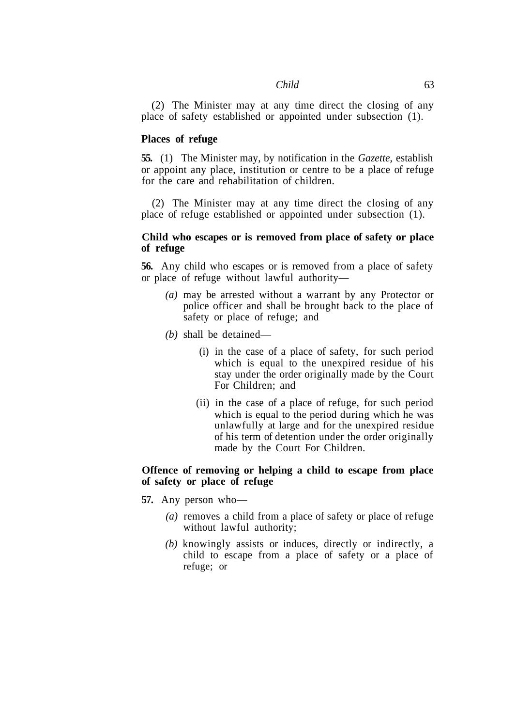(2) The Minister may at any time direct the closing of any place of safety established or appointed under subsection (1).

### **Places of refuge**

**55.** (1) The Minister may, by notification in the *Gazette,* establish or appoint any place, institution or centre to be a place of refuge for the care and rehabilitation of children.

(2) The Minister may at any time direct the closing of any place of refuge established or appointed under subsection (1).

## **Child who escapes or is removed from place of safety or place of refuge**

**56.** Any child who escapes or is removed from a place of safety or place of refuge without lawful authority—

- *(a)* may be arrested without a warrant by any Protector or police officer and shall be brought back to the place of safety or place of refuge; and
- *(b)* shall be detained—
	- (i) in the case of a place of safety, for such period which is equal to the unexpired residue of his stay under the order originally made by the Court For Children; and
	- (ii) in the case of a place of refuge, for such period which is equal to the period during which he was unlawfully at large and for the unexpired residue of his term of detention under the order originally made by the Court For Children.

## **Offence of removing or helping a child to escape from place of safety or place of refuge**

- **57.** Any person who—
	- *(a)* removes a child from a place of safety or place of refuge without lawful authority;
	- *(b)* knowingly assists or induces, directly or indirectly, a child to escape from a place of safety or a place of refuge; or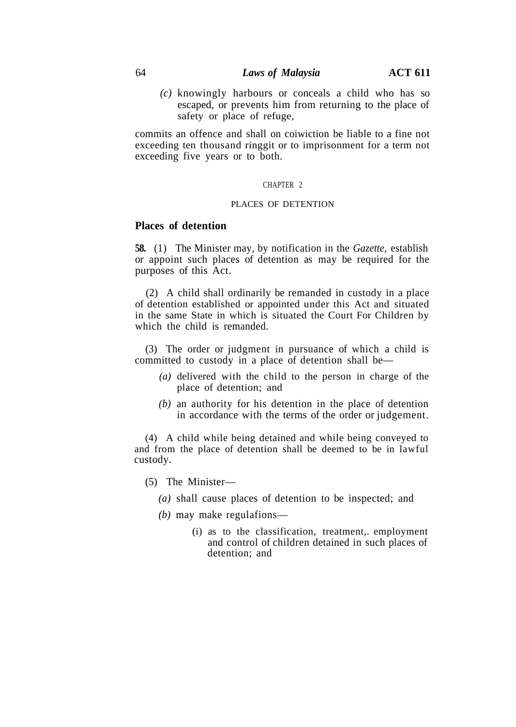*(c)* knowingly harbours or conceals a child who has so escaped, or prevents him from returning to the place of safety or place of refuge,

commits an offence and shall on coiwiction be liable to a fine not exceeding ten thousand ringgit or to imprisonment for a term not exceeding five years or to both.

#### CHAPTER 2

## PLACES OF DETENTION

# **Places of detention**

**58.** (1) The Minister may, by notification in the *Gazette,* establish or appoint such places of detention as may be required for the purposes of this Act.

(2) A child shall ordinarily be remanded in custody in a place of detention established or appointed under this Act and situated in the same State in which is situated the Court For Children by which the child is remanded.

(3) The order or judgment in pursuance of which a child is committed to custody in a place of detention shall be—

- *(a)* delivered with the child to the person in charge of the place of detention; and
- *(b)* an authority for his detention in the place of detention in accordance with the terms of the order or judgement.

(4) A child while being detained and while being conveyed to and from the place of detention shall be deemed to be in lawful custody.

- (5) The Minister—
	- *(a)* shall cause places of detention to be inspected; and
	- *(b)* may make regulafions—
		- (i) as to the classification, treatment,. employment and control of children detained in such places of detention; and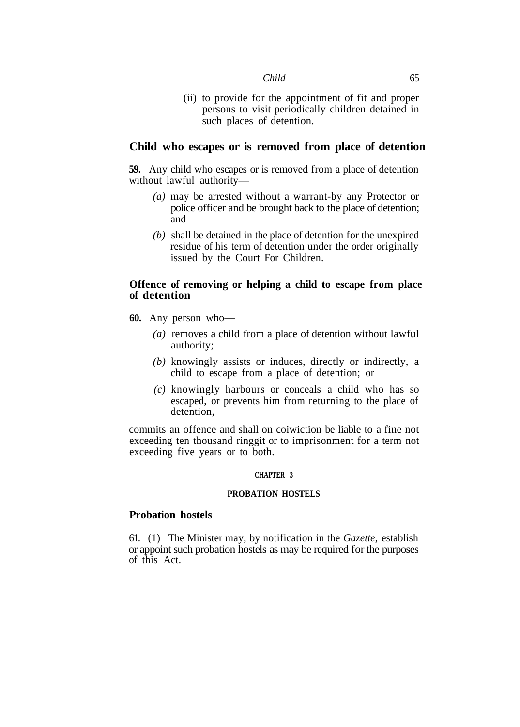(ii) to provide for the appointment of fit and proper persons to visit periodically children detained in such places of detention.

## **Child who escapes or is removed from place of detention**

**59.** Any child who escapes or is removed from a place of detention without lawful authority—

- *(a)* may be arrested without a warrant-by any Protector or police officer and be brought back to the place of detention; and
- *(b)* shall be detained in the place of detention for the unexpired residue of his term of detention under the order originally issued by the Court For Children.

# **Offence of removing or helping a child to escape from place of detention**

- **60.** Any person who—
	- *(a)* removes a child from a place of detention without lawful authority;
	- *(b)* knowingly assists or induces, directly or indirectly, a child to escape from a place of detention; or
	- *(c)* knowingly harbours or conceals a child who has so escaped, or prevents him from returning to the place of detention,

commits an offence and shall on coiwiction be liable to a fine not exceeding ten thousand ringgit or to imprisonment for a term not exceeding five years or to both.

#### **CHAPTER 3**

#### **PROBATION HOSTELS**

# **Probation hostels**

61. (1) The Minister may, by notification in the *Gazette,* establish or appoint such probation hostels as may be required for the purposes of this Act.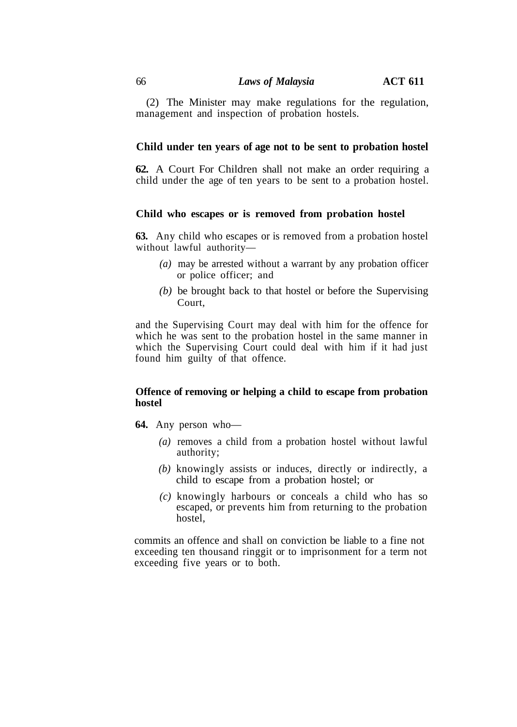(2) The Minister may make regulations for the regulation, management and inspection of probation hostels.

## **Child under ten years of age not to be sent to probation hostel**

**62.** A Court For Children shall not make an order requiring a child under the age of ten years to be sent to a probation hostel.

### **Child who escapes or is removed from probation hostel**

**63.** Any child who escapes or is removed from a probation hostel without lawful authority—

- *(a)* may be arrested without a warrant by any probation officer or police officer; and
- *(b)* be brought back to that hostel or before the Supervising Court,

and the Supervising Court may deal with him for the offence for which he was sent to the probation hostel in the same manner in which the Supervising Court could deal with him if it had just found him guilty of that offence.

## **Offence of removing or helping a child to escape from probation hostel**

- **64.** Any person who—
	- *(a)* removes a child from a probation hostel without lawful authority;
	- *(b)* knowingly assists or induces, directly or indirectly, a child to escape from a probation hostel; or
	- *(c)* knowingly harbours or conceals a child who has so escaped, or prevents him from returning to the probation hostel,

commits an offence and shall on conviction be liable to a fine not exceeding ten thousand ringgit or to imprisonment for a term not exceeding five years or to both.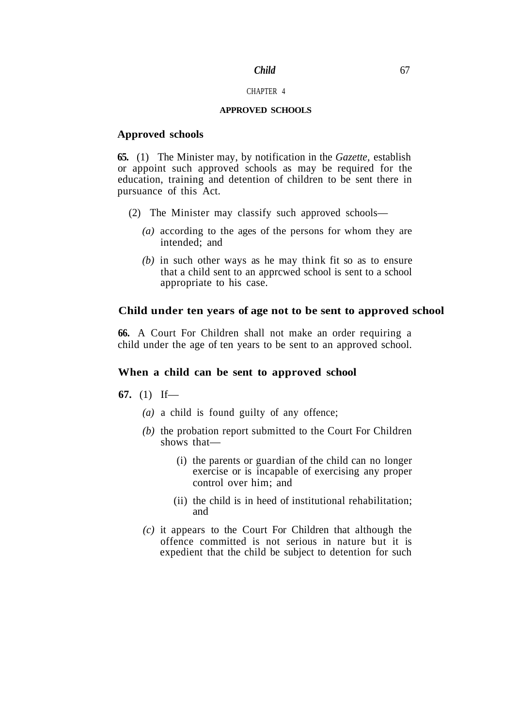#### CHAPTER 4

#### **APPROVED SCHOOLS**

#### **Approved schools**

**65.** (1) The Minister may, by notification in the *Gazette,* establish or appoint such approved schools as may be required for the education, training and detention of children to be sent there in pursuance of this Act.

- (2) The Minister may classify such approved schools—
	- *(a)* according to the ages of the persons for whom they are intended; and
	- *(b)* in such other ways as he may think fit so as to ensure that a child sent to an apprcwed school is sent to a school appropriate to his case.

# **Child under ten years of age not to be sent to approved school**

**66.** A Court For Children shall not make an order requiring a child under the age of ten years to be sent to an approved school.

## **When a child can be sent to approved school**

- **67.** (1) If—
	- *(a)* a child is found guilty of any offence;
	- *(b)* the probation report submitted to the Court For Children shows that—
		- (i) the parents or guardian of the child can no longer exercise or is incapable of exercising any proper control over him; and
		- (ii) the child is in heed of institutional rehabilitation; and
	- *(c)* it appears to the Court For Children that although the offence committed is not serious in nature but it is expedient that the child be subject to detention for such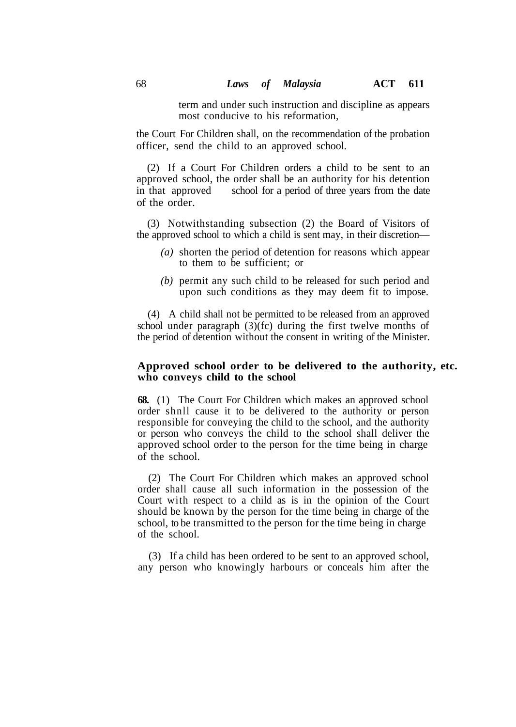term and under such instruction and discipline as appears most conducive to his reformation,

the Court For Children shall, on the recommendation of the probation officer, send the child to an approved school.

(2) If a Court For Children orders a child to be sent to an approved school, the order shall be an authority for his detention in that approved school for a period of three years from the date of the order.

(3) Notwithstanding subsection (2) the Board of Visitors of the approved school to which a child is sent may, in their discretion—

- *(a)* shorten the period of detention for reasons which appear to them to be sufficient; or
- *(b)* permit any such child to be released for such period and upon such conditions as they may deem fit to impose.

(4) A child shall not be permitted to be released from an approved school under paragraph (3)(fc) during the first twelve months of the period of detention without the consent in writing of the Minister.

# **Approved school order to be delivered to the authority, etc. who conveys child to the school**

**68.** (1) The Court For Children which makes an approved school order shnll cause it to be delivered to the authority or person responsible for conveying the child to the school, and the authority or person who conveys the child to the school shall deliver the approved school order to the person for the time being in charge of the school.

(2) The Court For Children which makes an approved school order shall cause all such information in the possession of the Court with respect to a child as is in the opinion of the Court should be known by the person for the time being in charge of the school, to be transmitted to the person for the time being in charge of the school.

(3) If a child has been ordered to be sent to an approved school, any person who knowingly harbours or conceals him after the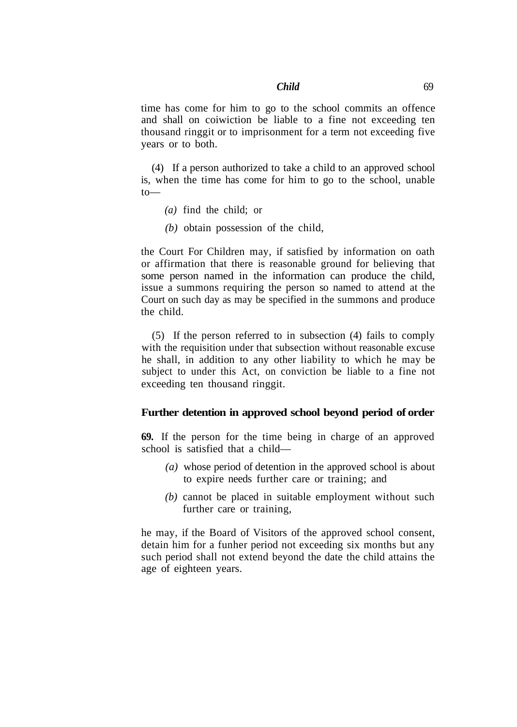time has come for him to go to the school commits an offence and shall on coiwiction be liable to a fine not exceeding ten thousand ringgit or to imprisonment for a term not exceeding five years or to both.

(4) If a person authorized to take a child to an approved school is, when the time has come for him to go to the school, unable to—

- *(a)* find the child; or
- *(b)* obtain possession of the child,

the Court For Children may, if satisfied by information on oath or affirmation that there is reasonable ground for believing that some person named in the information can produce the child, issue a summons requiring the person so named to attend at the Court on such day as may be specified in the summons and produce the child.

(5) If the person referred to in subsection (4) fails to comply with the requisition under that subsection without reasonable excuse he shall, in addition to any other liability to which he may be subject to under this Act, on conviction be liable to a fine not exceeding ten thousand ringgit.

# **Further detention in approved school beyond period of order**

**69.** If the person for the time being in charge of an approved school is satisfied that a child—

- *(a)* whose period of detention in the approved school is about to expire needs further care or training; and
- *(b)* cannot be placed in suitable employment without such further care or training,

he may, if the Board of Visitors of the approved school consent, detain him for a funher period not exceeding six months but any such period shall not extend beyond the date the child attains the age of eighteen years.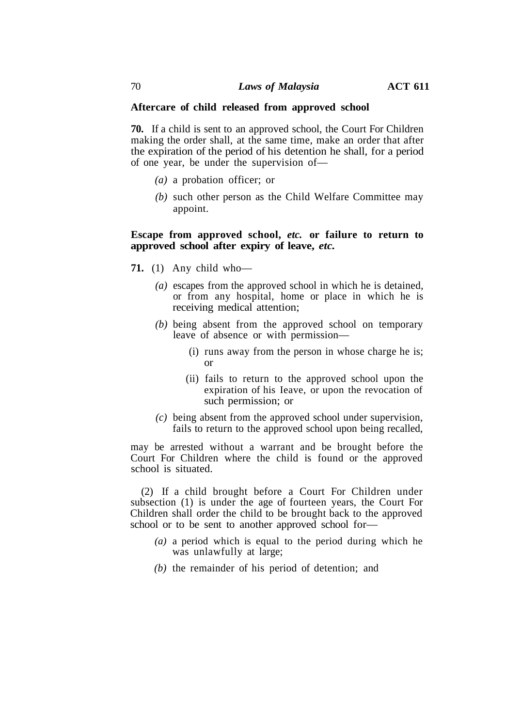### **Aftercare of child released from approved school**

**70.** If a child is sent to an approved school, the Court For Children making the order shall, at the same time, make an order that after the expiration of the period of his detention he shall, for a period of one year, be under the supervision of—

- *(a)* a probation officer; or
- *(b)* such other person as the Child Welfare Committee may appoint.

## **Escape from approved school,** *etc.* **or failure to return to approved school after expiry of leave,** *etc.*

- **71.** (1) Any child who—
	- *(a)* escapes from the approved school in which he is detained, or from any hospital, home or place in which he is receiving medical attention;
	- *(b)* being absent from the approved school on temporary leave of absence or with permission—
		- (i) runs away from the person in whose charge he is; or
		- (ii) fails to return to the approved school upon the expiration of his Ieave, or upon the revocation of such permission; or
	- *(c)* being absent from the approved school under supervision, fails to return to the approved school upon being recalled,

may be arrested without a warrant and be brought before the Court For Children where the child is found or the approved school is situated.

(2) If a child brought before a Court For Children under subsection (1) is under the age of fourteen years, the Court For Children shall order the child to be brought back to the approved school or to be sent to another approved school for—

- *(a)* a period which is equal to the period during which he was unlawfully at large;
- *(b)* the remainder of his period of detention; and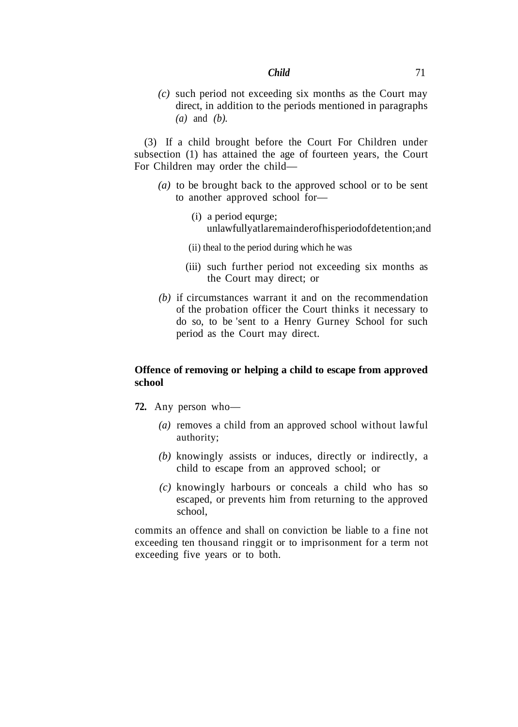*(c)* such period not exceeding six months as the Court may direct, in addition to the periods mentioned in paragraphs *(a)* and *(b).*

(3) If a child brought before the Court For Children under subsection (1) has attained the age of fourteen years, the Court For Children may order the child—

- *(a)* to be brought back to the approved school or to be sent to another approved school for—
	- (i) a period equrge; unlawfully at la remainder of his period of detention; and
	- (ii) theal to the period during which he was
	- (iii) such further period not exceeding six months as the Court may direct; or
- *(b)* if circumstances warrant it and on the recommendation of the probation officer the Court thinks it necessary to do so, to be 'sent to a Henry Gurney School for such period as the Court may direct.

# **Offence of removing or helping a child to escape from approved school**

- **72.** Any person who—
	- *(a)* removes a child from an approved school without lawful authority;
	- *(b)* knowingly assists or induces, directly or indirectly, a child to escape from an approved school; or
	- *(c)* knowingly harbours or conceals a child who has so escaped, or prevents him from returning to the approved school,

commits an offence and shall on conviction be liable to a fine not exceeding ten thousand ringgit or to imprisonment for a term not exceeding five years or to both.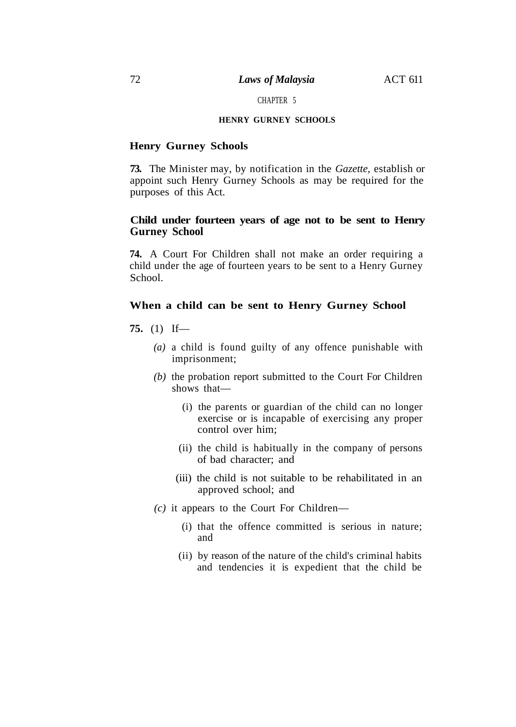CHAPTER 5

## **HENRY GURNEY SCHOOLS**

### **Henry Gurney Schools**

**73.** The Minister may, by notification in the *Gazette,* establish or appoint such Henry Gurney Schools as may be required for the purposes of this Act.

# **Child under fourteen years of age not to be sent to Henry Gurney School**

**74.** A Court For Children shall not make an order requiring a child under the age of fourteen years to be sent to a Henry Gurney School.

## **When a child can be sent to Henry Gurney School**

- **75.** (1) If—
	- *(a)* a child is found guilty of any offence punishable with imprisonment;
	- *(b)* the probation report submitted to the Court For Children shows that—
		- (i) the parents or guardian of the child can no longer exercise or is incapable of exercising any proper control over him;
		- (ii) the child is habitually in the company of persons of bad character; and
		- (iii) the child is not suitable to be rehabilitated in an approved school; and
	- *(c)* it appears to the Court For Children—
		- (i) that the offence committed is serious in nature; and
		- (ii) by reason of the nature of the child's criminal habits and tendencies it is expedient that the child be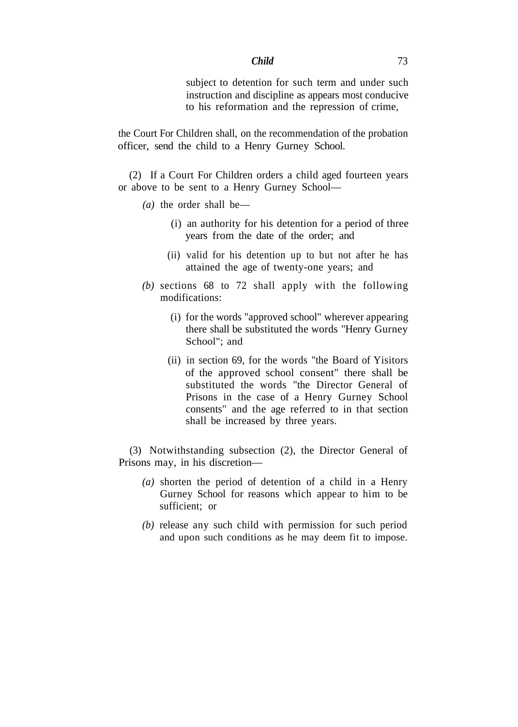subject to detention for such term and under such instruction and discipline as appears most conducive to his reformation and the repression of crime,

the Court For Children shall, on the recommendation of the probation officer, send the child to a Henry Gurney School.

(2) If a Court For Children orders a child aged fourteen years or above to be sent to a Henry Gurney School—

- *(a)* the order shall be—
	- (i) an authority for his detention for a period of three years from the date of the order; and
	- (ii) valid for his detention up to but not after he has attained the age of twenty-one years; and
- *(b)* sections 68 to 72 shall apply with the following modifications:
	- (i) for the words "approved school" wherever appearing there shall be substituted the words "Henry Gurney School"; and
	- (ii) in section 69, for the words "the Board of Yisitors of the approved school consent" there shall be substituted the words "the Director General of Prisons in the case of a Henry Gurney School consents" and the age referred to in that section shall be increased by three years.

(3) Notwithstanding subsection (2), the Director General of Prisons may, in his discretion—

- *(a)* shorten the period of detention of a child in a Henry Gurney School for reasons which appear to him to be sufficient; or
- *(b)* release any such child with permission for such period and upon such conditions as he may deem fit to impose.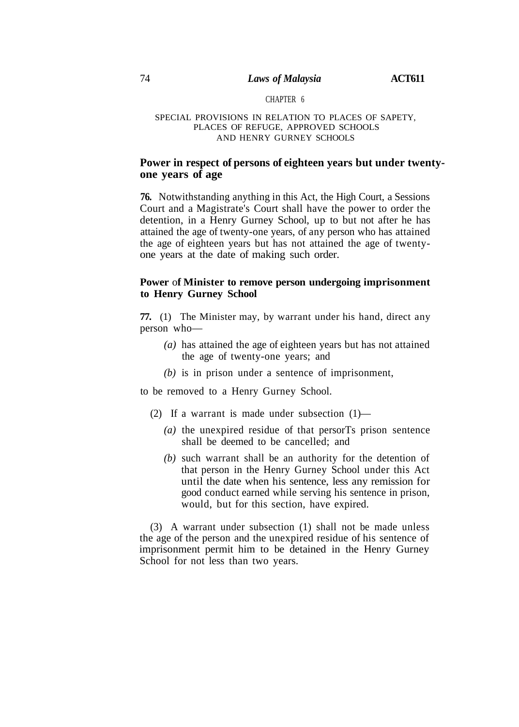#### CHAPTER 6

### SPECIAL PROVISIONS IN RELATION TO PLACES OF SAPETY, PLACES OF REFUGE, APPROVED SCHOOLS AND HENRY GURNEY SCHOOLS

# **Power in respect of persons of eighteen years but under twentyone years of age**

**76.** Notwithstanding anything in this Act, the High Court, a Sessions Court and a Magistrate's Court shall have the power to order the detention, in a Henry Gurney School, up to but not after he has attained the age of twenty-one years, of any person who has attained the age of eighteen years but has not attained the age of twentyone years at the date of making such order.

## **Power** o**f Minister to remove person undergoing imprisonment to Henry Gurney School**

**77.** (1) The Minister may, by warrant under his hand, direct any person who—

- *(a)* has attained the age of eighteen years but has not attained the age of twenty-one years; and
- *(b)* is in prison under a sentence of imprisonment,

to be removed to a Henry Gurney School.

- (2) If a warrant is made under subsection (1)—
	- *(a)* the unexpired residue of that persorTs prison sentence shall be deemed to be cancelled; and
	- *(b)* such warrant shall be an authority for the detention of that person in the Henry Gurney School under this Act until the date when his sentence, less any remission for good conduct earned while serving his sentence in prison, would, but for this section, have expired.

(3) A warrant under subsection (1) shall not be made unless the age of the person and the unexpired residue of his sentence of imprisonment permit him to be detained in the Henry Gurney School for not less than two years.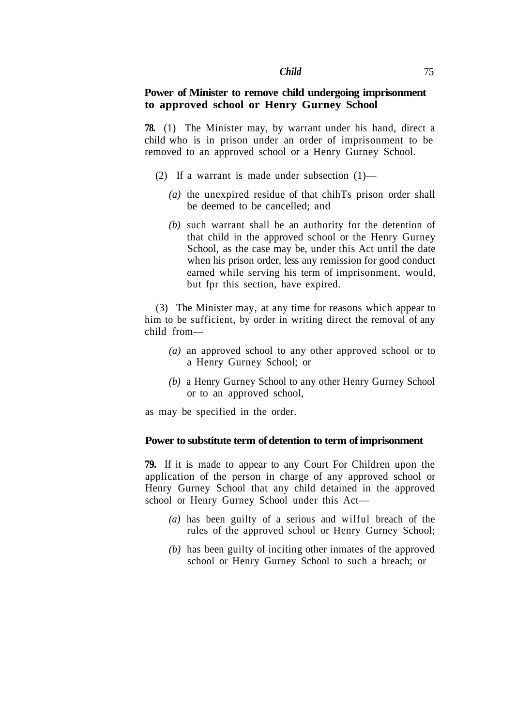# **Power of Minister to remove child undergoing imprisonment to approved school or Henry Gurney School**

**78.** (1) The Minister may, by warrant under his hand, direct a child who is in prison under an order of imprisonment to be removed to an approved school or a Henry Gurney School.

- (2) If a warrant is made under subsection  $(1)$ 
	- *(a)* the unexpired residue of that chihTs prison order shall be deemed to be cancelled; and
	- *(b)* such warrant shall be an authority for the detention of that child in the approved school or the Henry Gurney School, as the case may be, under this Act until the date when his prison order, less any remission for good conduct earned while serving his term of imprisonment, would, but fpr this section, have expired.

(3) The Minister may, at any time for reasons which appear to him to be sufficient, by order in writing direct the removal of any child from—

- *(a)* an approved school to any other approved school or to a Henry Gurney School; or
- *(b)* a Henry Gurney School to any other Henry Gurney School or to an approved school,

as may be specified in the order.

### **Power to substitute term of detention to term of imprisonment**

**79.** If it is made to appear to any Court For Children upon the application of the person in charge of any approved school or Henry Gurney School that any child detained in the approved school or Henry Gurney School under this Act—

- *(a)* has been guilty of a serious and wilful breach of the rules of the approved school or Henry Gurney School;
- *(b)* has been guilty of inciting other inmates of the approved school or Henry Gurney School to such a breach; or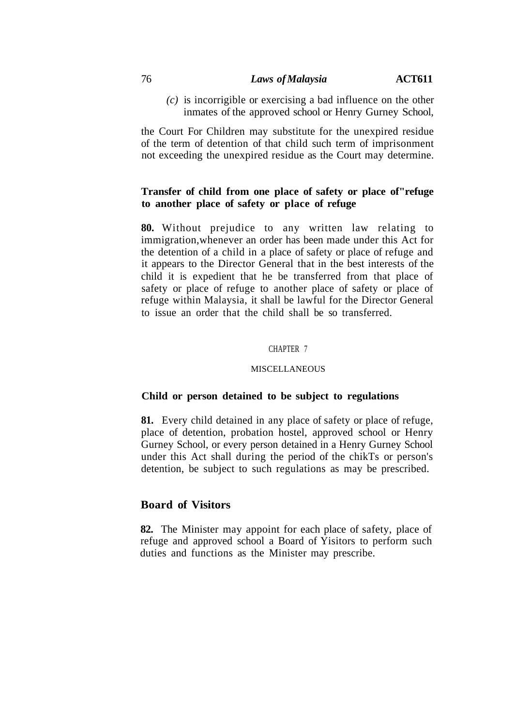### 76 *Laws of Malaysia* **ACT611**

*(c)* is incorrigible or exercising a bad influence on the other inmates of the approved school or Henry Gurney School,

the Court For Children may substitute for the unexpired residue of the term of detention of that child such term of imprisonment not exceeding the unexpired residue as the Court may determine.

# **Transfer of child from one place of safety or place of"refuge to another place of safety or place of refuge**

**80.** Without prejudice to any written law relating to immigration,whenever an order has been made under this Act for the detention of a child in a place of safety or place of refuge and it appears to the Director General that in the best interests of the child it is expedient that he be transferred from that place of safety or place of refuge to another place of safety or place of refuge within Malaysia, it shall be lawful for the Director General to issue an order that the child shall be so transferred.

#### CHAPTER 7

#### **MISCELLANEOUS**

### **Child or person detained to be subject to regulations**

**81.** Every child detained in any place of safety or place of refuge, place of detention, probation hostel, approved school or Henry Gurney School, or every person detained in a Henry Gurney School under this Act shall during the period of the chikTs or person's detention, be subject to such regulations as may be prescribed.

## **Board of Visitors**

**82.** The Minister may appoint for each place of safety, place of refuge and approved school a Board of Yisitors to perform such duties and functions as the Minister may prescribe.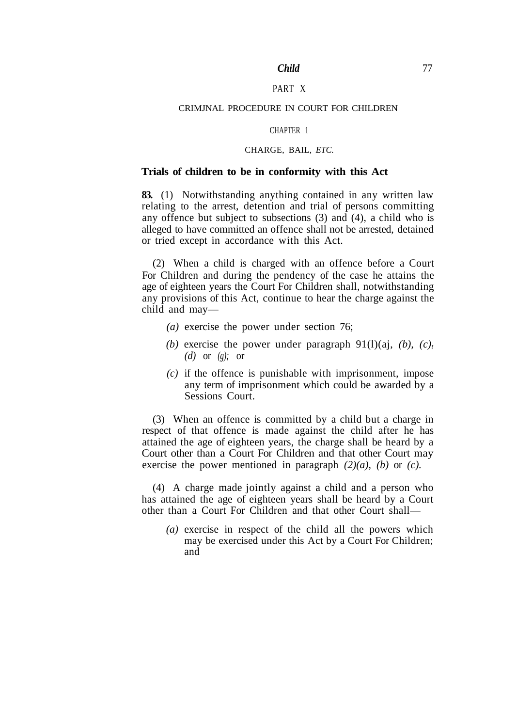## PART X

### CRIMJNAL PROCEDURE IN COURT FOR CHILDREN

#### CHAPTER 1

### CHARGE, BAIL, *ETC.*

#### **Trials of children to be in conformity with this Act**

**83.** (1) Notwithstanding anything contained in any written law relating to the arrest, detention and trial of persons committing any offence but subject to subsections  $(3)$  and  $(4)$ , a child who is alleged to have committed an offence shall not be arrested, detained or tried except in accordance with this Act.

(2) When a child is charged with an offence before a Court For Children and during the pendency of the case he attains the age of eighteen years the Court For Children shall, notwithstanding any provisions of this Act, continue to hear the charge against the child and may—

- *(a)* exercise the power under section 76;
- *(b)* exercise the power under paragraph 91(l)(aj,  $(b)$ ,  $(c)$ <sup>t</sup> *(d)* or *(g);* or
- *(c)* if the offence is punishable with imprisonment, impose any term of imprisonment which could be awarded by a Sessions Court.

(3) When an offence is committed by a child but a charge in respect of that offence is made against the child after he has attained the age of eighteen years, the charge shall be heard by a Court other than a Court For Children and that other Court may exercise the power mentioned in paragraph *(2)(a), (b)* or *(c).*

(4) A charge made jointly against a child and a person who has attained the age of eighteen years shall be heard by a Court other than a Court For Children and that other Court shall—

*(a)* exercise in respect of the child all the powers which may be exercised under this Act by a Court For Children; and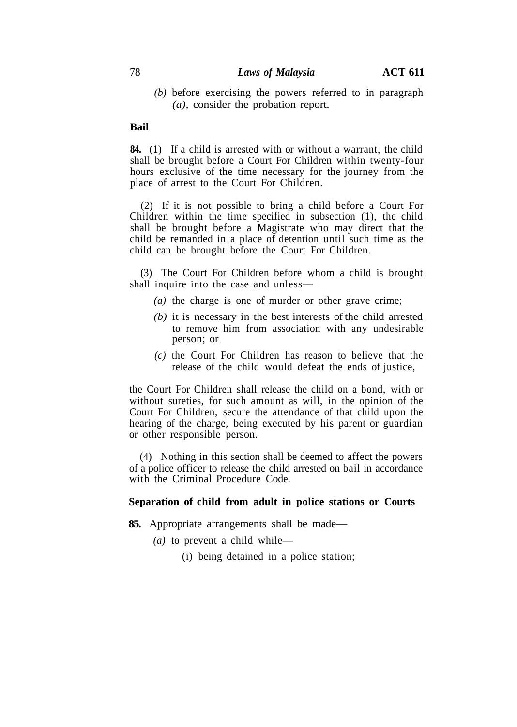## 78 *Laws of Malaysia* **ACT 611**

*(b)* before exercising the powers referred to in paragraph *(a),* consider the probation report.

# **Bail**

**84.** (1) If a child is arrested with or without a warrant, the child shall be brought before a Court For Children within twenty-four hours exclusive of the time necessary for the journey from the place of arrest to the Court For Children.

(2) If it is not possible to bring a child before a Court For Children within the time specified in subsection (1), the child shall be brought before a Magistrate who may direct that the child be remanded in a place of detention until such time as the child can be brought before the Court For Children.

(3) The Court For Children before whom a child is brought shall inquire into the case and unless—

- *(a)* the charge is one of murder or other grave crime;
- *(b)* it is necessary in the best interests of the child arrested to remove him from association with any undesirable person; or
- *(c)* the Court For Children has reason to believe that the release of the child would defeat the ends of justice,

the Court For Children shall release the child on a bond, with or without sureties, for such amount as will, in the opinion of the Court For Children, secure the attendance of that child upon the hearing of the charge, being executed by his parent or guardian or other responsible person.

(4) Nothing in this section shall be deemed to affect the powers of a police officer to release the child arrested on bail in accordance with the Criminal Procedure Code.

## **Separation of child from adult in police stations or Courts**

**85.** Appropriate arrangements shall be made—

- *(a)* to prevent a child while—
	- (i) being detained in a police station;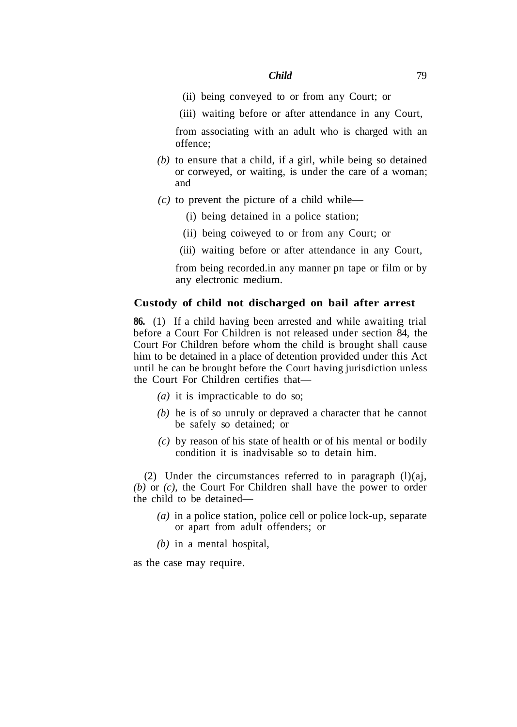- (ii) being conveyed to or from any Court; or
- (iii) waiting before or after attendance in any Court,

from associating with an adult who is charged with an offence;

- *(b)* to ensure that a child, if a girl, while being so detained or corweyed, or waiting, is under the care of a woman; and
- *(c)* to prevent the picture of a child while—
	- (i) being detained in a police station;
	- (ii) being coiweyed to or from any Court; or
	- (iii) waiting before or after attendance in any Court,

from being recorded.in any manner pn tape or film or by any electronic medium.

### **Custody of child not discharged on bail after arrest**

**86.** (1) If a child having been arrested and while awaiting trial before a Court For Children is not released under section 84, the Court For Children before whom the child is brought shall cause him to be detained in a place of detention provided under this Act until he can be brought before the Court having jurisdiction unless the Court For Children certifies that—

- *(a)* it is impracticable to do so;
- *(b)* he is of so unruly or depraved a character that he cannot be safely so detained; or
- *(c)* by reason of his state of health or of his mental or bodily condition it is inadvisable so to detain him.

(2) Under the circumstances referred to in paragraph  $(l)(ai)$ , *(b)* or *(c),* the Court For Children shall have the power to order the child to be detained—

- *(a)* in a police station, police cell or police lock-up, separate or apart from adult offenders; or
- *(b)* in a mental hospital,

as the case may require.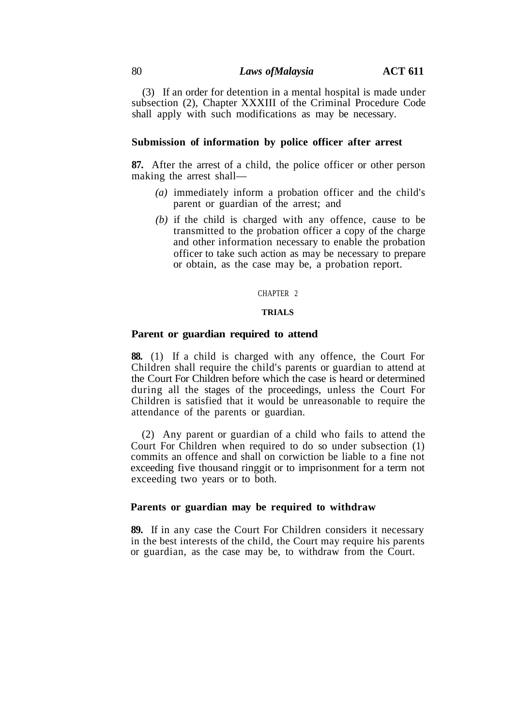## 80 *Laws ofMalaysia* **ACT 611**

(3) If an order for detention in a mental hospital is made under subsection (2), Chapter XXXIII of the Criminal Procedure Code shall apply with such modifications as may be necessary.

# **Submission of information by police officer after arrest**

**87.** After the arrest of a child, the police officer or other person making the arrest shall—

- *(a)* immediately inform a probation officer and the child's parent or guardian of the arrest; and
- *(b)* if the child is charged with any offence, cause to be transmitted to the probation officer a copy of the charge and other information necessary to enable the probation officer to take such action as may be necessary to prepare or obtain, as the case may be, a probation report.

#### CHAPTER 2

#### **TRIALS**

### **Parent or guardian required to attend**

**88.** (1) If a child is charged with any offence, the Court For Children shall require the child's parents or guardian to attend at the Court For Children before which the case is heard or determined during all the stages of the proceedings, unless the Court For Children is satisfied that it would be unreasonable to require the attendance of the parents or guardian.

(2) Any parent or guardian of a child who fails to attend the Court For Children when required to do so under subsection (1) commits an offence and shall on corwiction be liable to a fine not exceeding five thousand ringgit or to imprisonment for a term not exceeding two years or to both.

# **Parents or guardian may be required to withdraw**

**89.** If in any case the Court For Children considers it necessary in the best interests of the child, the Court may require his parents or guardian, as the case may be, to withdraw from the Court.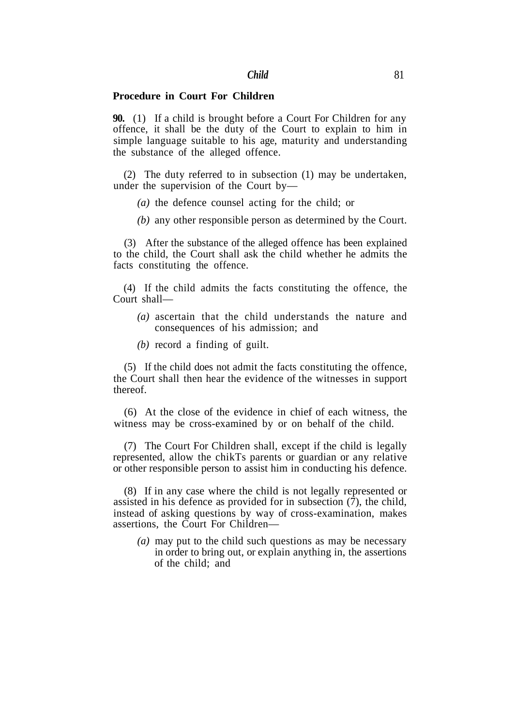#### **Procedure in Court For Children**

**90.** (1) If a child is brought before a Court For Children for any offence, it shall be the duty of the Court to explain to him in simple language suitable to his age, maturity and understanding the substance of the alleged offence.

(2) The duty referred to in subsection (1) may be undertaken, under the supervision of the Court by—

*(a)* the defence counsel acting for the child; or

*(b)* any other responsible person as determined by the Court.

(3) After the substance of the alleged offence has been explained to the child, the Court shall ask the child whether he admits the facts constituting the offence.

(4) If the child admits the facts constituting the offence, the Court shall—

- *(a)* ascertain that the child understands the nature and consequences of his admission; and
- *(b)* record a finding of guilt.

(5) If the child does not admit the facts constituting the offence, the Court shall then hear the evidence of the witnesses in support thereof.

(6) At the close of the evidence in chief of each witness, the witness may be cross-examined by or on behalf of the child.

(7) The Court For Children shall, except if the child is legally represented, allow the chikTs parents or guardian or any relative or other responsible person to assist him in conducting his defence.

(8) If in any case where the child is not legally represented or assisted in his defence as provided for in subsection (7), the child, instead of asking questions by way of cross-examination, makes assertions, the Court For Children—

*(a)* may put to the child such questions as may be necessary in order to bring out, or explain anything in, the assertions of the child; and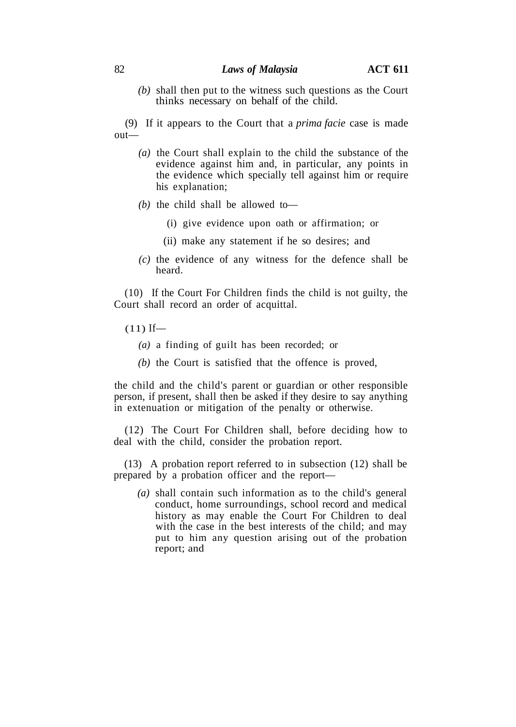## 82 *Laws of Malaysia* **ACT 611**

*(b)* shall then put to the witness such questions as the Court thinks necessary on behalf of the child.

(9) If it appears to the Court that a *prima facie* case is made out—

- *(a)* the Court shall explain to the child the substance of the evidence against him and, in particular, any points in the evidence which specially tell against him or require his explanation;
- *(b)* the child shall be allowed to—
	- (i) give evidence upon oath or affirmation; or
	- (ii) make any statement if he so desires; and
- *(c)* the evidence of any witness for the defence shall be heard.

(10) If the Court For Children finds the child is not guilty, the Court shall record an order of acquittal.

- $(11)$  If—
	- *(a)* a finding of guilt has been recorded; or
	- *(b)* the Court is satisfied that the offence is proved,

the child and the child's parent or guardian or other responsible person, if present, shall then be asked if they desire to say anything in extenuation or mitigation of the penalty or otherwise.

(12) The Court For Children shall, before deciding how to deal with the child, consider the probation report.

(13) A probation report referred to in subsection (12) shall be prepared by a probation officer and the report—

*(a)* shall contain such information as to the child's general conduct, home surroundings, school record and medical history as may enable the Court For Children to deal with the case in the best interests of the child; and may put to him any question arising out of the probation report; and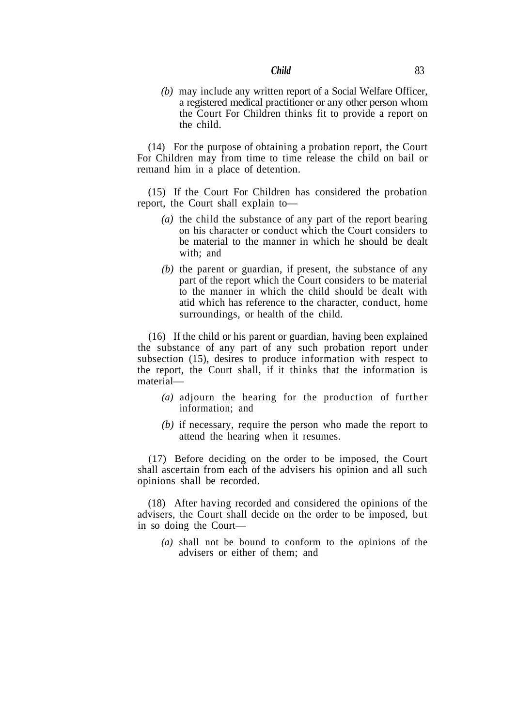*(b)* may include any written report of a Social Welfare Officer, a registered medical practitioner or any other person whom the Court For Children thinks fit to provide a report on the child.

(14) For the purpose of obtaining a probation report, the Court For Children may from time to time release the child on bail or remand him in a place of detention.

(15) If the Court For Children has considered the probation report, the Court shall explain to—

- *(a)* the child the substance of any part of the report bearing on his character or conduct which the Court considers to be material to the manner in which he should be dealt with; and
- *(b)* the parent or guardian, if present, the substance of any part of the report which the Court considers to be material to the manner in which the child should be dealt with atid which has reference to the character, conduct, home surroundings, or health of the child.

(16) If the child or his parent or guardian, having been explained the substance of any part of any such probation report under subsection (15), desires to produce information with respect to the report, the Court shall, if it thinks that the information is material—

- *(a)* adjourn the hearing for the production of further information; and
- *(b)* if necessary, require the person who made the report to attend the hearing when it resumes.

(17) Before deciding on the order to be imposed, the Court shall ascertain from each of the advisers his opinion and all such opinions shall be recorded.

(18) After having recorded and considered the opinions of the advisers, the Court shall decide on the order to be imposed, but in so doing the Court—

*(a)* shall not be bound to conform to the opinions of the advisers or either of them; and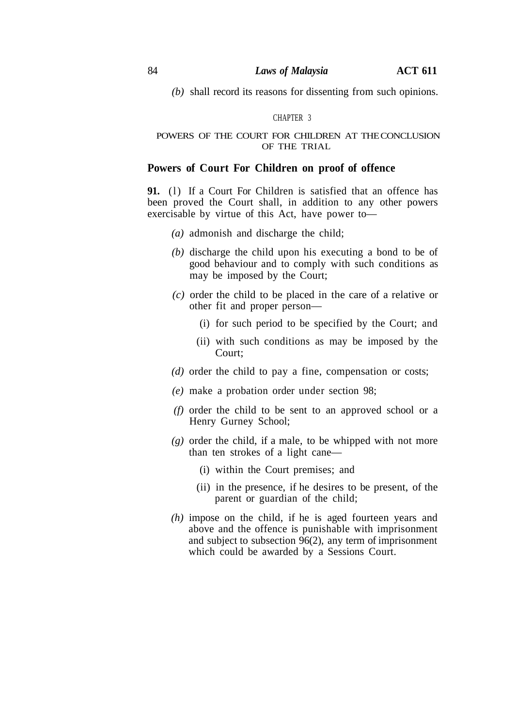*(b)* shall record its reasons for dissenting from such opinions.

#### CHAPTER 3

### POWERS OF THE COURT FOR CHILDREN AT THECONCLUSION OF THE TRIAL

### **Powers of Court For Children on proof of offence**

**91.** (l) If a Court For Children is satisfied that an offence has been proved the Court shall, in addition to any other powers exercisable by virtue of this Act, have power to—

- *(a)* admonish and discharge the child;
- *(b)* discharge the child upon his executing a bond to be of good behaviour and to comply with such conditions as may be imposed by the Court;
- *(c)* order the child to be placed in the care of a relative or other fit and proper person—
	- (i) for such period to be specified by the Court; and
	- (ii) with such conditions as may be imposed by the Court;
- *(d)* order the child to pay a fine, compensation or costs;
- *(e)* make a probation order under section 98;
- *(f)* order the child to be sent to an approved school or a Henry Gurney School;
- *(g)* order the child, if a male, to be whipped with not more than ten strokes of a light cane—
	- (i) within the Court premises; and
	- (ii) in the presence, if he desires to be present, of the parent or guardian of the child;
- *(h)* impose on the child, if he is aged fourteen years and above and the offence is punishable with imprisonment and subject to subsection 96(2), any term of imprisonment which could be awarded by a Sessions Court.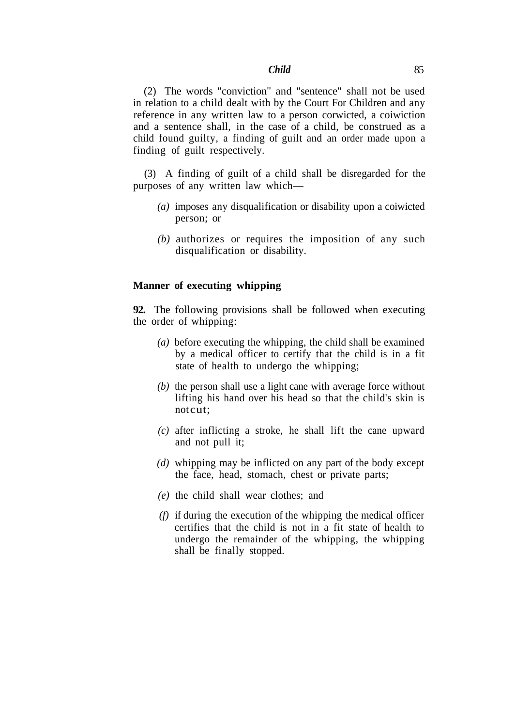(2) The words "conviction" and "sentence" shall not be used in relation to a child dealt with by the Court For Children and any reference in any written law to a person corwicted, a coiwiction and a sentence shall, in the case of a child, be construed as a child found guilty, a finding of guilt and an order made upon a finding of guilt respectively.

(3) A finding of guilt of a child shall be disregarded for the purposes of any written law which—

- *(a)* imposes any disqualification or disability upon a coiwicted person; or
- *(b)* authorizes or requires the imposition of any such disqualification or disability.

## **Manner of executing whipping**

**92.** The following provisions shall be followed when executing the order of whipping:

- *(a)* before executing the whipping, the child shall be examined by a medical officer to certify that the child is in a fit state of health to undergo the whipping;
- *(b)* the person shall use a light cane with average force without lifting his hand over his head so that the child's skin is not cut;
- *(c)* after inflicting a stroke, he shall lift the cane upward and not pull it;
- *(d)* whipping may be inflicted on any part of the body except the face, head, stomach, chest or private parts;
- *(e)* the child shall wear clothes; and
- *(f)* if during the execution of the whipping the medical officer certifies that the child is not in a fit state of health to undergo the remainder of the whipping, the whipping shall be finally stopped.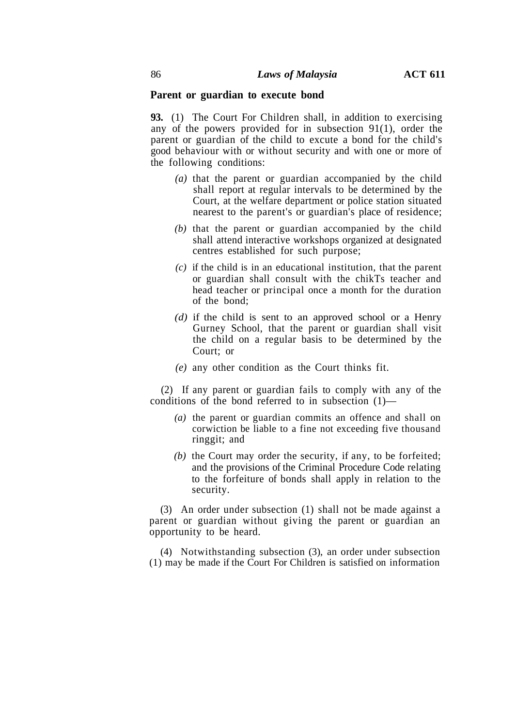### **Parent or guardian to execute bond**

**93.** (1) The Court For Children shall, in addition to exercising any of the powers provided for in subsection 91(1), order the parent or guardian of the child to excute a bond for the child's good behaviour with or without security and with one or more of the following conditions:

- *(a)* that the parent or guardian accompanied by the child shall report at regular intervals to be determined by the Court, at the welfare department or police station situated nearest to the parent's or guardian's place of residence;
- *(b)* that the parent or guardian accompanied by the child shall attend interactive workshops organized at designated centres established for such purpose;
- *(c)* if the child is in an educational institution, that the parent or guardian shall consult with the chikTs teacher and head teacher or principal once a month for the duration of the bond;
- *(d)* if the child is sent to an approved school or a Henry Gurney School, that the parent or guardian shall visit the child on a regular basis to be determined by the Court; or
- *(e)* any other condition as the Court thinks fit.

(2) If any parent or guardian fails to comply with any of the conditions of the bond referred to in subsection (1)—

- *(a)* the parent or guardian commits an offence and shall on corwiction be liable to a fine not exceeding five thousand ringgit; and
- *(b)* the Court may order the security, if any, to be forfeited; and the provisions of the Criminal Procedure Code relating to the forfeiture of bonds shall apply in relation to the security.

(3) An order under subsection (1) shall not be made against a parent or guardian without giving the parent or guardian an opportunity to be heard.

(4) Notwithstanding subsection (3), an order under subsection (1) may be made if the Court For Children is satisfied on information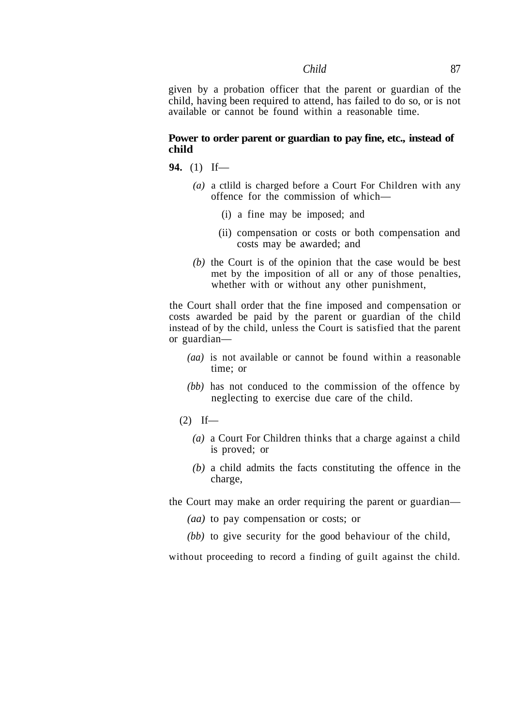given by a probation officer that the parent or guardian of the child, having been required to attend, has failed to do so, or is not available or cannot be found within a reasonable time.

## **Power to order parent or guardian to pay fine, etc., instead of child**

**94.** (1) If—

- *(a)* a ctlild is charged before a Court For Children with any offence for the commission of which—
	- (i) a fine may be imposed; and
	- (ii) compensation or costs or both compensation and costs may be awarded; and
- *(b)* the Court is of the opinion that the case would be best met by the imposition of all or any of those penalties, whether with or without any other punishment,

the Court shall order that the fine imposed and compensation or costs awarded be paid by the parent or guardian of the child instead of by the child, unless the Court is satisfied that the parent or guardian—

- *(aa)* is not available or cannot be found within a reasonable time; or
- *(bb)* has not conduced to the commission of the offence by neglecting to exercise due care of the child.
- $(2)$  If—
	- *(a)* a Court For Children thinks that a charge against a child is proved; or
	- *(b)* a child admits the facts constituting the offence in the charge,
- the Court may make an order requiring the parent or guardian—
	- *(aa)* to pay compensation or costs; or
	- *(bb)* to give security for the good behaviour of the child,

without proceeding to record a finding of guilt against the child.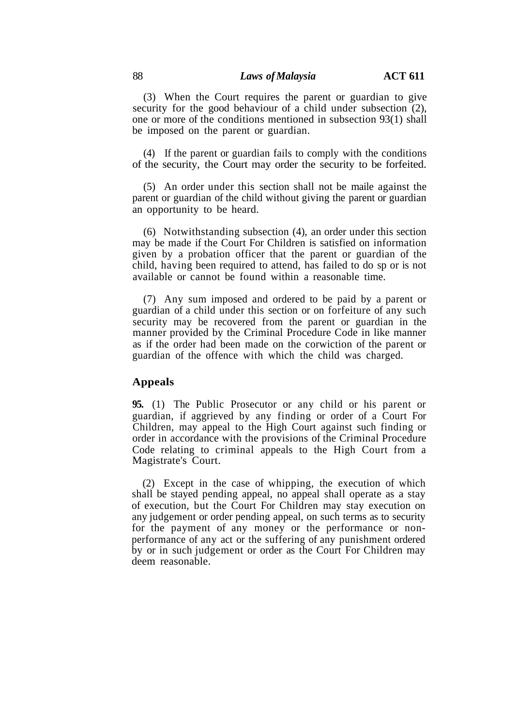(3) When the Court requires the parent or guardian to give security for the good behaviour of a child under subsection (2), one or more of the conditions mentioned in subsection 93(1) shall be imposed on the parent or guardian.

(4) If the parent or guardian fails to comply with the conditions of the security, the Court may order the security to be forfeited.

(5) An order under this section shall not be maile against the parent or guardian of the child without giving the parent or guardian an opportunity to be heard.

(6) Notwithstanding subsection (4), an order under this section may be made if the Court For Children is satisfied on information given by a probation officer that the parent or guardian of the child, having been required to attend, has failed to do sp or is not available or cannot be found within a reasonable time.

(7) Any sum imposed and ordered to be paid by a parent or guardian of a child under this section or on forfeiture of any such security may be recovered from the parent or guardian in the manner provided by the Criminal Procedure Code in like manner as if the order had been made on the corwiction of the parent or guardian of the offence with which the child was charged.

## **Appeals**

**95.** (1) The Public Prosecutor or any child or his parent or guardian, if aggrieved by any finding or order of a Court For Children, may appeal to the High Court against such finding or order in accordance with the provisions of the Criminal Procedure Code relating to criminal appeals to the High Court from a Magistrate's Court.

(2) Except in the case of whipping, the execution of which shall be stayed pending appeal, no appeal shall operate as a stay of execution, but the Court For Children may stay execution on any judgement or order pending appeal, on such terms as to security for the payment of any money or the performance or nonperformance of any act or the suffering of any punishment ordered by or in such judgement or order as the Court For Children may deem reasonable.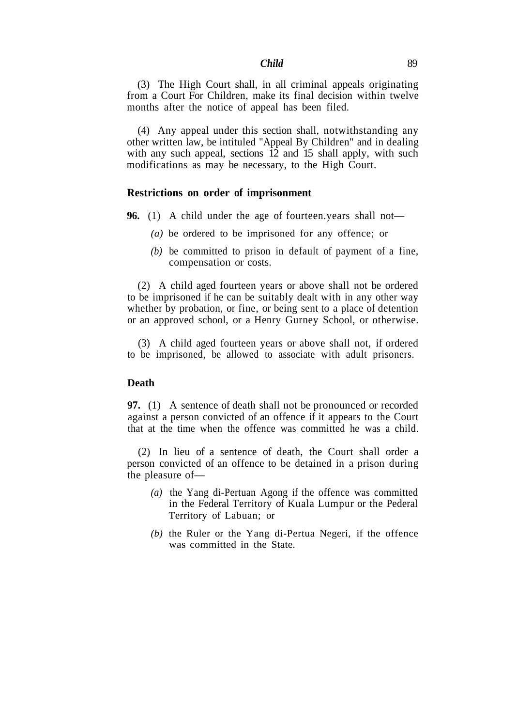(3) The High Court shall, in all criminal appeals originating from a Court For Children, make its final decision within twelve months after the notice of appeal has been filed.

(4) Any appeal under this section shall, notwithstanding any other written law, be intituled "Appeal By Children" and in dealing with any such appeal, sections 12 and 15 shall apply, with such modifications as may be necessary, to the High Court.

## **Restrictions on order of imprisonment**

**96.** (1) A child under the age of fourteen.years shall not—

- *(a)* be ordered to be imprisoned for any offence; or
- *(b)* be committed to prison in default of payment of a fine, compensation or costs.

(2) A child aged fourteen years or above shall not be ordered to be imprisoned if he can be suitably dealt with in any other way whether by probation, or fine, or being sent to a place of detention or an approved school, or a Henry Gurney School, or otherwise.

(3) A child aged fourteen years or above shall not, if ordered to be imprisoned, be allowed to associate with adult prisoners.

#### **Death**

**97.** (1) A sentence of death shall not be pronounced or recorded against a person convicted of an offence if it appears to the Court that at the time when the offence was committed he was a child.

(2) In lieu of a sentence of death, the Court shall order a person convicted of an offence to be detained in a prison during the pleasure of—

- *(a)* the Yang di-Pertuan Agong if the offence was committed in the Federal Territory of Kuala Lumpur or the Pederal Territory of Labuan; or
- *(b)* the Ruler or the Yang di-Pertua Negeri, if the offence was committed in the State.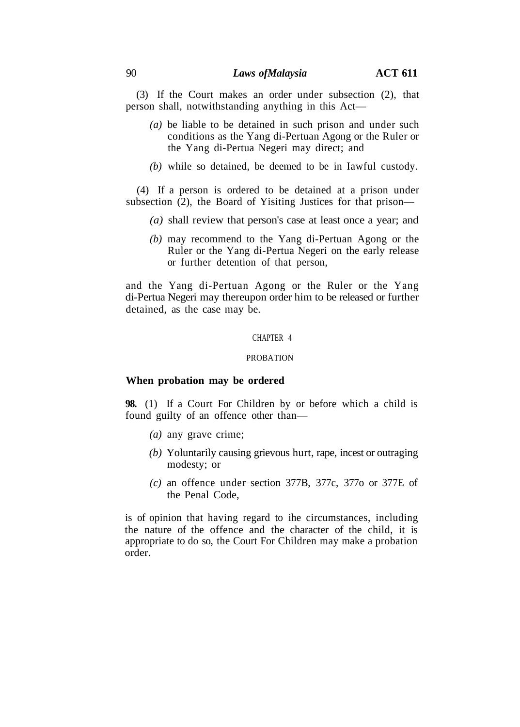#### 90 *Laws ofMalaysia* **ACT 611**

(3) If the Court makes an order under subsection (2), that person shall, notwithstanding anything in this Act—

- *(a)* be liable to be detained in such prison and under such conditions as the Yang di-Pertuan Agong or the Ruler or the Yang di-Pertua Negeri may direct; and
- *(b)* while so detained, be deemed to be in Iawful custody.

(4) If a person is ordered to be detained at a prison under subsection (2), the Board of Yisiting Justices for that prison—

- *(a)* shall review that person's case at least once a year; and
- *(b)* may recommend to the Yang di-Pertuan Agong or the Ruler or the Yang di-Pertua Negeri on the early release or further detention of that person,

and the Yang di-Pertuan Agong or the Ruler or the Yang di-Pertua Negeri may thereupon order him to be released or further detained, as the case may be.

#### CHAPTER 4

# PROBATION

#### **When probation may be ordered**

**98.** (1) If a Court For Children by or before which a child is found guilty of an offence other than—

- *(a)* any grave crime;
- *(b)* Yoluntarily causing grievous hurt, rape, incest or outraging modesty; or
- *(c)* an offence under section 377B, 377c, 377o or 377E of the Penal Code,

is of opinion that having regard to ihe circumstances, including the nature of the offence and the character of the child, it is appropriate to do so, the Court For Children may make a probation order.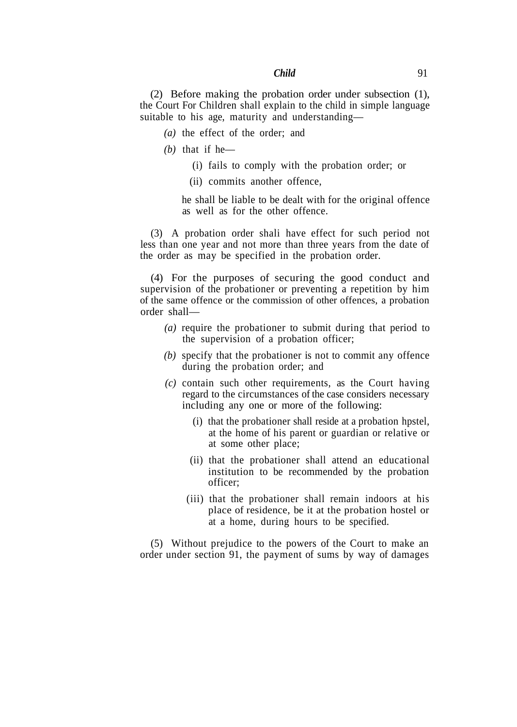(2) Before making the probation order under subsection (1), the Court For Children shall explain to the child in simple language suitable to his age, maturity and understanding—

- *(a)* the effect of the order; and
- *(b)* that if he—
	- (i) fails to comply with the probation order; or

(ii) commits another offence,

he shall be liable to be dealt with for the original offence as well as for the other offence.

(3) A probation order shali have effect for such period not less than one year and not more than three years from the date of the order as may be specified in the probation order.

(4) For the purposes of securing the good conduct and supervision of the probationer or preventing a repetition by him of the same offence or the commission of other offences, a probation order shall—

- *(a)* require the probationer to submit during that period to the supervision of a probation officer;
- *(b)* specify that the probationer is not to commit any offence during the probation order; and
- *(c)* contain such other requirements, as the Court having regard to the circumstances of the case considers necessary including any one or more of the following:
	- (i) that the probationer shall reside at a probation hpstel, at the home of his parent or guardian or relative or at some other place;
	- (ii) that the probationer shall attend an educational institution to be recommended by the probation officer;
	- (iii) that the probationer shall remain indoors at his place of residence, be it at the probation hostel or at a home, during hours to be specified.

(5) Without prejudice to the powers of the Court to make an order under section 91, the payment of sums by way of damages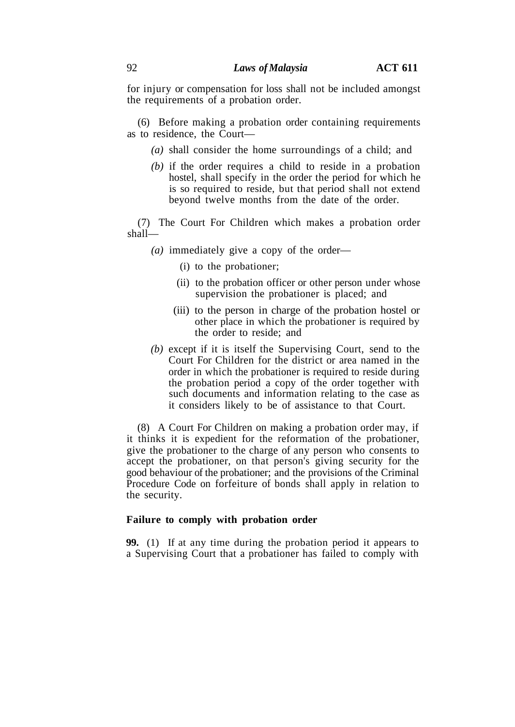for injury or compensation for loss shall not be included amongst the requirements of a probation order.

(6) Before making a probation order containing requirements as to residence, the Court—

- *(a)* shall consider the home surroundings of a child; and
- *(b)* if the order requires a child to reside in a probation hostel, shall specify in the order the period for which he is so required to reside, but that period shall not extend beyond twelve months from the date of the order.

(7) The Court For Children which makes a probation order shall—

- *(a)* immediately give a copy of the order—
	- (i) to the probationer;
	- (ii) to the probation officer or other person under whose supervision the probationer is placed; and
	- (iii) to the person in charge of the probation hostel or other place in which the probationer is required by the order to reside; and
- *(b)* except if it is itself the Supervising Court, send to the Court For Children for the district or area named in the order in which the probationer is required to reside during the probation period a copy of the order together with such documents and information relating to the case as it considers likely to be of assistance to that Court.

(8) A Court For Children on making a probation order may, if it thinks it is expedient for the reformation of the probationer, give the probationer to the charge of any person who consents to accept the probationer, on that person's giving security for the good behaviour of the probationer; and the provisions of the Criminal Procedure Code on forfeiture of bonds shall apply in relation to the security.

### **Failure to comply with probation order**

**99.** (1) If at any time during the probation period it appears to a Supervising Court that a probationer has failed to comply with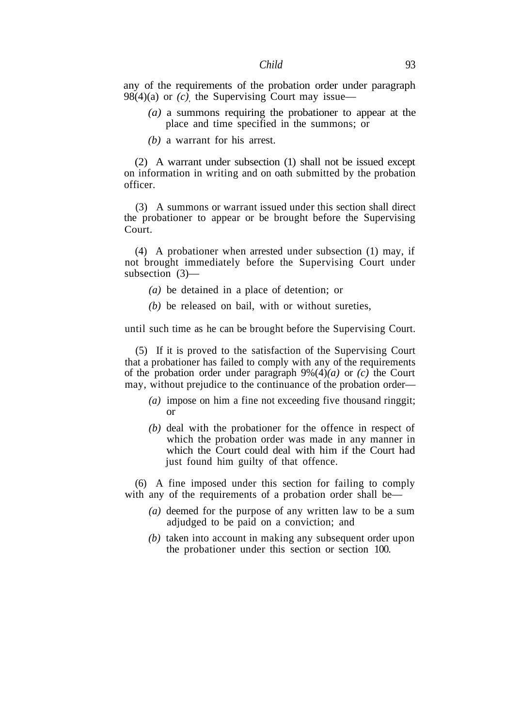any of the requirements of the probation order under paragraph  $98(4)(a)$  or  $(c)$ , the Supervising Court may issue—

- *(a)* a summons requiring the probationer to appear at the place and time specified in the summons; or
- *(b)* a warrant for his arrest.

(2) A warrant under subsection (1) shall not be issued except on information in writing and on oath submitted by the probation officer.

(3) A summons or warrant issued under this section shall direct the probationer to appear or be brought before the Supervising Court.

(4) A probationer when arrested under subsection (1) may, if not brought immediately before the Supervising Court under subsection (3)—

- *(a)* be detained in a place of detention; or
- *(b)* be released on bail, with or without sureties,

until such time as he can be brought before the Supervising Court.

(5) If it is proved to the satisfaction of the Supervising Court that a probationer has failed to comply with any of the requirements of the probation order under paragraph 9%(4)*(a)* or *(c)* the Court may, without prejudice to the continuance of the probation order—

- *(a)* impose on him a fine not exceeding five thousand ringgit; or
- *(b)* deal with the probationer for the offence in respect of which the probation order was made in any manner in which the Court could deal with him if the Court had just found him guilty of that offence.

(6) A fine imposed under this section for failing to comply with any of the requirements of a probation order shall be—

- *(a)* deemed for the purpose of any written law to be a sum adjudged to be paid on a conviction; and
- *(b)* taken into account in making any subsequent order upon the probationer under this section or section 100.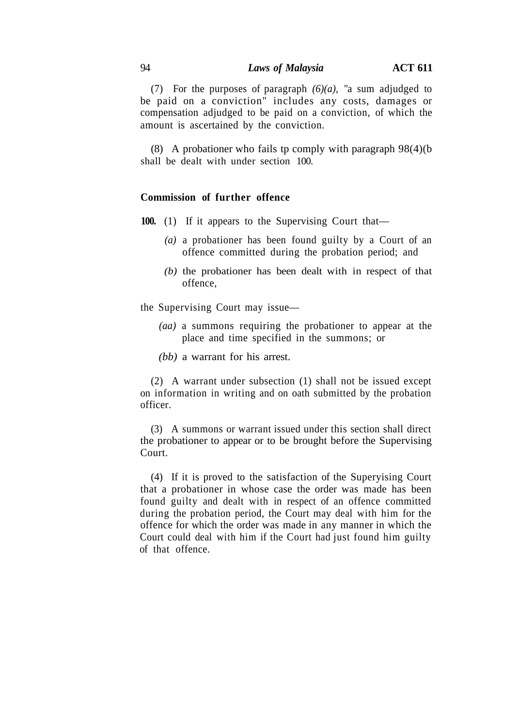(7) For the purposes of paragraph *(6)(a),* "a sum adjudged to be paid on a conviction" includes any costs, damages or compensation adjudged to be paid on a conviction, of which the amount is ascertained by the conviction.

(8) A probationer who fails tp comply with paragraph 98(4)(b shall be dealt with under section 100.

# **Commission of further offence**

- **100.** (1) If it appears to the Supervising Court that—
	- *(a)* a probationer has been found guilty by a Court of an offence committed during the probation period; and
	- *(b)* the probationer has been dealt with in respect of that offence,

the Supervising Court may issue—

- *(aa)* a summons requiring the probationer to appear at the place and time specified in the summons; or
- *(bb)* a warrant for his arrest.

(2) A warrant under subsection (1) shall not be issued except on information in writing and on oath submitted by the probation officer.

(3) A summons or warrant issued under this section shall direct the probationer to appear or to be brought before the Supervising Court.

(4) If it is proved to the satisfaction of the Superyising Court that a probationer in whose case the order was made has been found guilty and dealt with in respect of an offence committed during the probation period, the Court may deal with him for the offence for which the order was made in any manner in which the Court could deal with him if the Court had just found him guilty of that offence.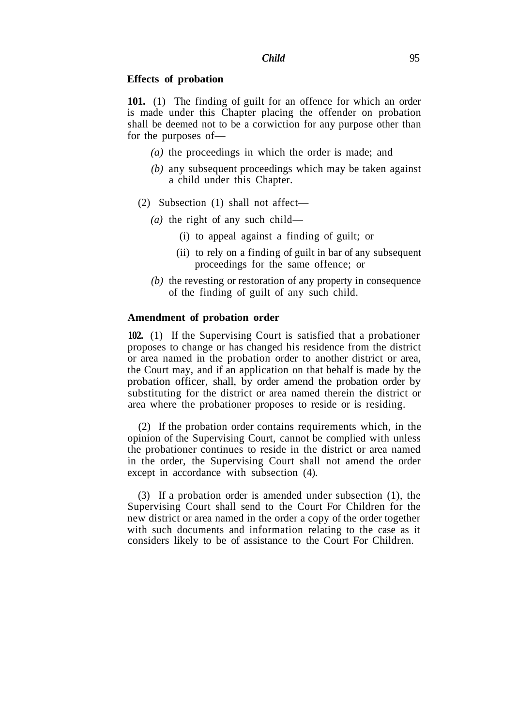### **Effects of probation**

**101.** (1) The finding of guilt for an offence for which an order is made under this Chapter placing the offender on probation shall be deemed not to be a corwiction for any purpose other than for the purposes of—

- *(a)* the proceedings in which the order is made; and
- *(b)* any subsequent proceedings which may be taken against a child under this Chapter.
- (2) Subsection (1) shall not affect—
	- *(a)* the right of any such child—
		- (i) to appeal against a finding of guilt; or
		- (ii) to rely on a finding of guilt in bar of any subsequent proceedings for the same offence; or
	- *(b)* the revesting or restoration of any property in consequence of the finding of guilt of any such child.

### **Amendment of probation order**

**102.** (1) If the Supervising Court is satisfied that a probationer proposes to change or has changed his residence from the district or area named in the probation order to another district or area, the Court may, and if an application on that behalf is made by the probation officer, shall, by order amend the probation order by substituting for the district or area named therein the district or area where the probationer proposes to reside or is residing.

(2) If the probation order contains requirements which, in the opinion of the Supervising Court, cannot be complied with unless the probationer continues to reside in the district or area named in the order, the Supervising Court shall not amend the order except in accordance with subsection (4).

(3) If a probation order is amended under subsection (1), the Supervising Court shall send to the Court For Children for the new district or area named in the order a copy of the order together with such documents and information relating to the case as it considers likely to be of assistance to the Court For Children.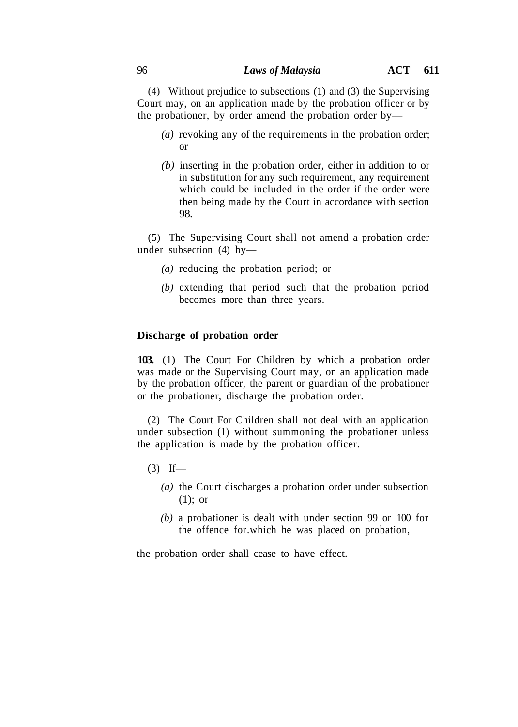# 96 *Laws of Malaysia* **ACT 611**

(4) Without prejudice to subsections (1) and (3) the Supervising Court may, on an application made by the probation officer or by the probationer, by order amend the probation order by—

- *(a)* revoking any of the requirements in the probation order; or
- *(b)* inserting in the probation order, either in addition to or in substitution for any such requirement, any requirement which could be included in the order if the order were then being made by the Court in accordance with section 98.

(5) The Supervising Court shall not amend a probation order under subsection (4) by—

- *(a)* reducing the probation period; or
- *(b)* extending that period such that the probation period becomes more than three years.

### **Discharge of probation order**

**103.** (1) The Court For Children by which a probation order was made or the Supervising Court may, on an application made by the probation officer, the parent or guardian of the probationer or the probationer, discharge the probation order.

(2) The Court For Children shall not deal with an application under subsection (1) without summoning the probationer unless the application is made by the probation officer.

- $(3)$  If—
	- *(a)* the Court discharges a probation order under subsection (1); or
	- *(b)* a probationer is dealt with under section 99 or 100 for the offence for.which he was placed on probation,

the probation order shall cease to have effect.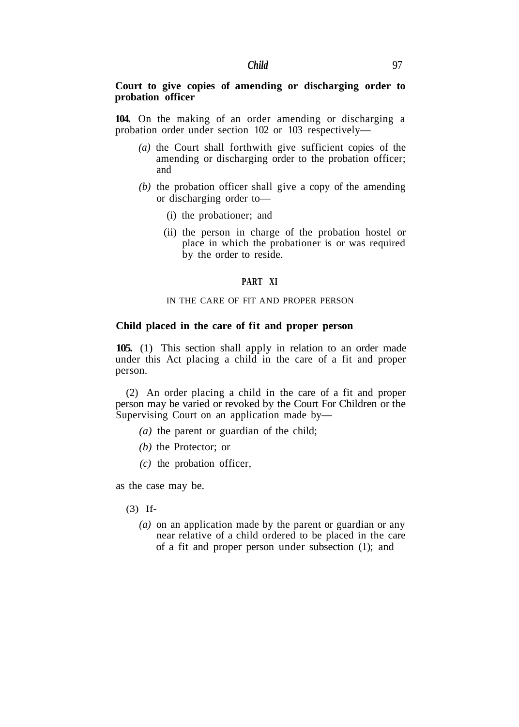## **Court to give copies of amending or discharging order to probation officer**

**104.** On the making of an order amending or discharging a probation order under section 102 or 103 respectively—

- *(a)* the Court shall forthwith give sufficient copies of the amending or discharging order to the probation officer; and
- *(b)* the probation officer shall give a copy of the amending or discharging order to—
	- (i) the probationer; and
	- (ii) the person in charge of the probation hostel or place in which the probationer is or was required by the order to reside.

#### **PART XI**

#### IN THE CARE OF FIT AND PROPER PERSON

### **Child placed in the care of fit and proper person**

**105.** (1) This section shall apply in relation to an order made under this Act placing a child in the care of a fit and proper person.

(2) An order placing a child in the care of a fit and proper person may be varied or revoked by the Court For Children or the Supervising Court on an application made by—

- *(a)* the parent or guardian of the child;
- *(b)* the Protector; or
- *(c)* the probation officer,

as the case may be.

- (3) If-
	- *(a)* on an application made by the parent or guardian or any near relative of a child ordered to be placed in the care of a fit and proper person under subsection (1); and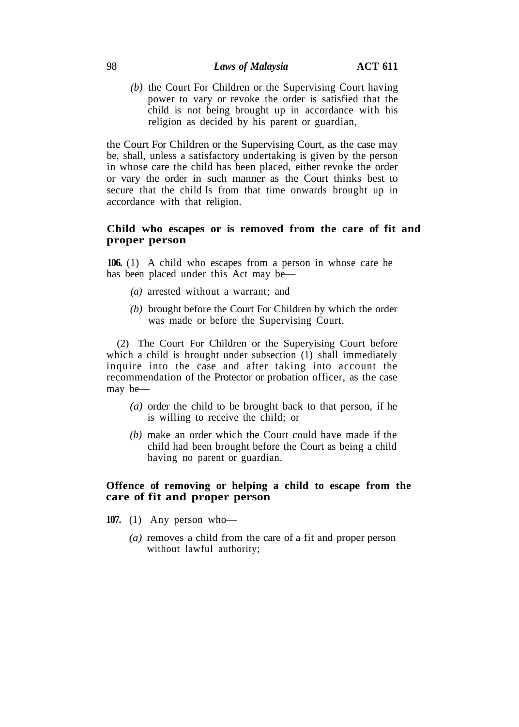# 98 *Laws of Malaysia* **ACT 611**

*(b)* the Court For Children or the Supervising Court having power to vary or revoke the order is satisfied that the child is not being brought up in accordance with his religion as decided by his parent or guardian,

the Court For Children or the Supervising Court, as the case may be, shall, unless a satisfactory undertaking is given by the person in whose care the child has been placed, either revoke the order or vary the order in such manner as the Court thinks best to secure that the child Is from that time onwards brought up in accordance with that religion.

# **Child who escapes or is removed from the care of fit and proper person**

**106.** (1) A child who escapes from a person in whose care he has been placed under this Act may be—

- *(a)* arrested without a warrant; and
- *(b)* brought before the Court For Children by which the order was made or before the Supervising Court.

(2) The Court For Children or the Superyising Court before which a child is brought under subsection (1) shall immediately inquire into the case and after taking into account the recommendation of the Protector or probation officer, as the case may be—

- *(a)* order the child to be brought back to that person, if he is willing to receive the child; or
- *(b)* make an order which the Court could have made if the child had been brought before the Court as being a child having no parent or guardian.

# **Offence of removing or helping a child to escape from the care of fit and proper person**

- **107.** (1) Any person who—
	- *(a)* removes a child from the care of a fit and proper person without lawful authority;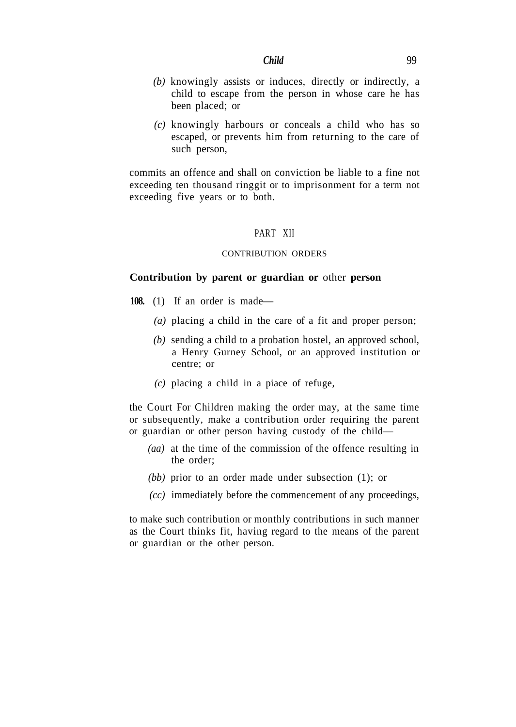- *(b)* knowingly assists or induces, directly or indirectly, a child to escape from the person in whose care he has been placed; or
- *(c)* knowingly harbours or conceals a child who has so escaped, or prevents him from returning to the care of such person,

commits an offence and shall on conviction be liable to a fine not exceeding ten thousand ringgit or to imprisonment for a term not exceeding five years or to both.

### PART XII

### CONTRIBUTION ORDERS

## **Contribution by parent or guardian or** other **person**

- **108.** (1) If an order is made—
	- *(a)* placing a child in the care of a fit and proper person;
	- *(b)* sending a child to a probation hostel, an approved school, a Henry Gurney School, or an approved institution or centre; or
	- *(c)* placing a child in a piace of refuge,

the Court For Children making the order may, at the same time or subsequently, make a contribution order requiring the parent or guardian or other person having custody of the child—

- *(aa)* at the time of the commission of the offence resulting in the order;
- *(bb)* prior to an order made under subsection (1); or
- *(cc)* immediately before the commencement of any proceedings,

to make such contribution or monthly contributions in such manner as the Court thinks fit, having regard to the means of the parent or guardian or the other person.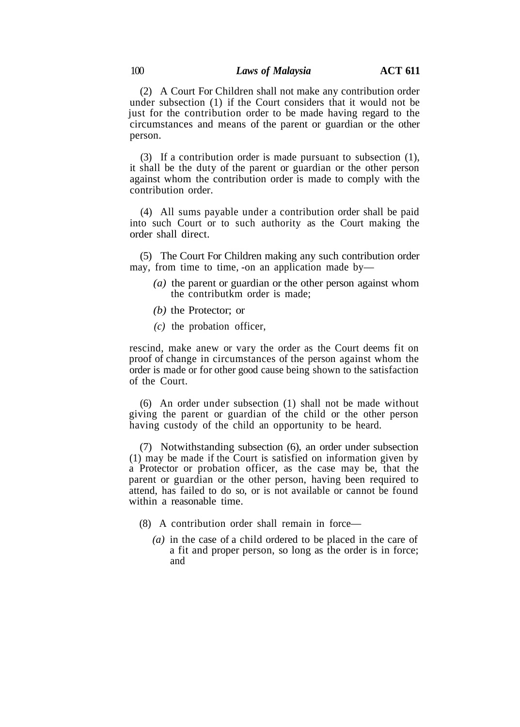(2) A Court For Children shall not make any contribution order under subsection (1) if the Court considers that it would not be just for the contribution order to be made having regard to the circumstances and means of the parent or guardian or the other person.

(3) If a contribution order is made pursuant to subsection (1), it shall be the duty of the parent or guardian or the other person against whom the contribution order is made to comply with the contribution order.

(4) All sums payable under a contribution order shall be paid into such Court or to such authority as the Court making the order shall direct.

(5) The Court For Children making any such contribution order may, from time to time, -on an application made by—

- *(a)* the parent or guardian or the other person against whom the contributkm order is made;
- *(b)* the Protector; or
- *(c)* the probation officer,

rescind, make anew or vary the order as the Court deems fit on proof of change in circumstances of the person against whom the order is made or for other good cause being shown to the satisfaction of the Court.

(6) An order under subsection (1) shall not be made without giving the parent or guardian of the child or the other person having custody of the child an opportunity to be heard.

(7) Notwithstanding subsection (6), an order under subsection (1) may be made if the Court is satisfied on information given by a Protector or probation officer, as the case may be, that the parent or guardian or the other person, having been required to attend, has failed to do so, or is not available or cannot be found within a reasonable time.

- (8) A contribution order shall remain in force—
	- *(a)* in the case of a child ordered to be placed in the care of a fit and proper person, so long as the order is in force; and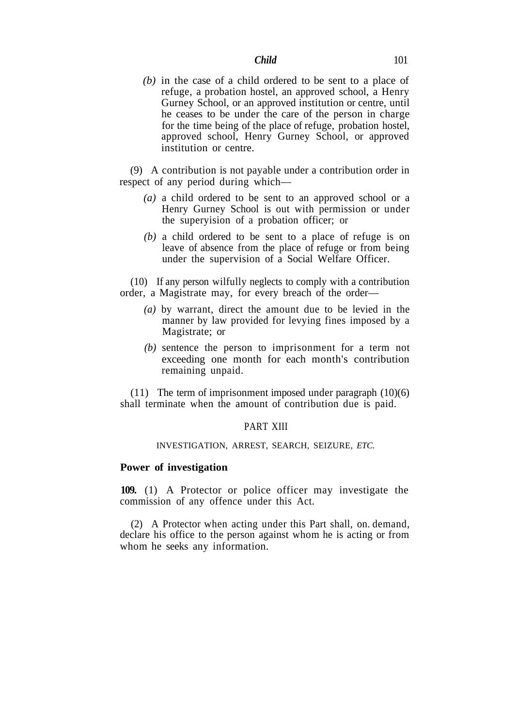*(b)* in the case of a child ordered to be sent to a place of refuge, a probation hostel, an approved school, a Henry Gurney School, or an approved institution or centre, until he ceases to be under the care of the person in charge for the time being of the place of refuge, probation hostel, approved school, Henry Gurney School, or approved institution or centre.

(9) A contribution is not payable under a contribution order in respect of any period during which—

- *(a)* a child ordered to be sent to an approved school or a Henry Gurney School is out with permission or under the superyision of a probation officer; or
- *(b)* a child ordered to be sent to a place of refuge is on leave of absence from the place of refuge or from being under the supervision of a Social Welfare Officer.

(10) If any person wilfully neglects to comply with a contribution order, a Magistrate may, for every breach of the order—

- *(a)* by warrant, direct the amount due to be levied in the manner by law provided for levying fines imposed by a Magistrate; or
- *(b)* sentence the person to imprisonment for a term not exceeding one month for each month's contribution remaining unpaid.

(11) The term of imprisonment imposed under paragraph (10)(6) shall terminate when the amount of contribution due is paid.

## PART XIII

#### INVESTIGATION, ARREST, SEARCH, SEIZURE, *ETC.*

### **Power of investigation**

**109.** (1) A Protector or police officer may investigate the commission of any offence under this Act.

(2) A Protector when acting under this Part shall, on. demand, declare his office to the person against whom he is acting or from whom he seeks any information.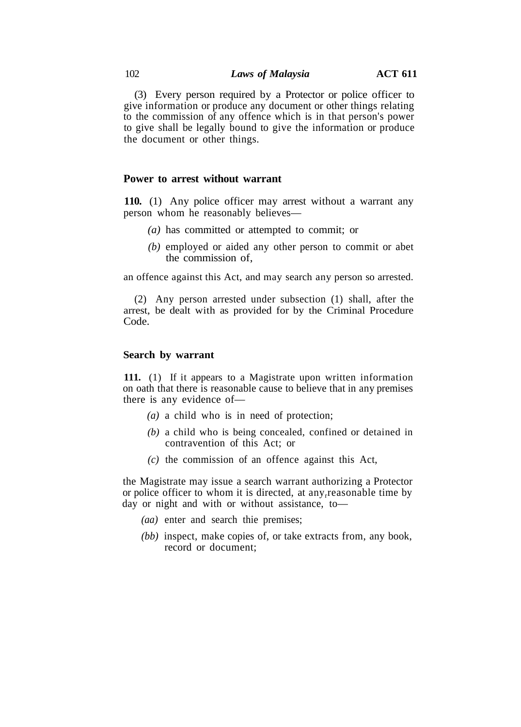(3) Every person required by a Protector or police officer to give information or produce any document or other things relating to the commission of any offence which is in that person's power to give shall be legally bound to give the information or produce the document or other things.

## **Power to arrest without warrant**

**110.** (1) Any police officer may arrest without a warrant any person whom he reasonably believes—

- *(a)* has committed or attempted to commit; or
- *(b)* employed or aided any other person to commit or abet the commission of,

an offence against this Act, and may search any person so arrested.

(2) Any person arrested under subsection (1) shall, after the arrest, be dealt with as provided for by the Criminal Procedure Code.

#### **Search by warrant**

**111.** (1) If it appears to a Magistrate upon written information on oath that there is reasonable cause to believe that in any premises there is any evidence of—

- *(a)* a child who is in need of protection;
- *(b)* a child who is being concealed, confined or detained in contravention of this Act; or
- *(c)* the commission of an offence against this Act,

the Magistrate may issue a search warrant authorizing a Protector or police officer to whom it is directed, at any<sub>r</sub>reasonable time by day or night and with or without assistance, to—

- *(aa)* enter and search thie premises;
- *(bb)* inspect, make copies of, or take extracts from, any book, record or document;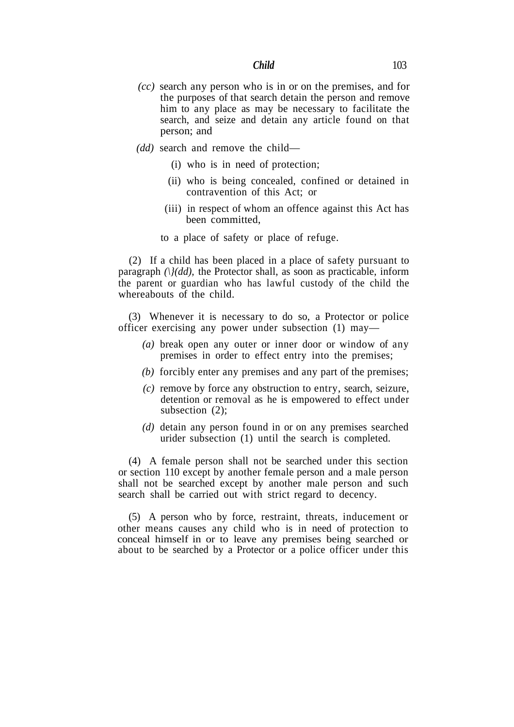- *(cc)* search any person who is in or on the premises, and for the purposes of that search detain the person and remove him to any place as may be necessary to facilitate the search, and seize and detain any article found on that person; and
- *(dd)* search and remove the child—
	- (i) who is in need of protection;
	- (ii) who is being concealed, confined or detained in contravention of this Act; or
	- (iii) in respect of whom an offence against this Act has been committed,
	- to a place of safety or place of refuge.

(2) If a child has been placed in a place of safety pursuant to paragraph *(\}(dd),* the Protector shall, as soon as practicable, inform the parent or guardian who has lawful custody of the child the whereabouts of the child.

(3) Whenever it is necessary to do so, a Protector or police officer exercising any power under subsection (1) may—

- *(a)* break open any outer or inner door or window of any premises in order to effect entry into the premises;
- *(b)* forcibly enter any premises and any part of the premises;
- *(c)* remove by force any obstruction to entry, search, seizure, detention or removal as he is empowered to effect under subsection (2);
- *(d)* detain any person found in or on any premises searched urider subsection (1) until the search is completed.

(4) A female person shall not be searched under this section or section 110 except by another female person and a male person shall not be searched except by another male person and such search shall be carried out with strict regard to decency.

(5) A person who by force, restraint, threats, inducement or other means causes any child who is in need of protection to conceal himself in or to leave any premises being searched or about to be searched by a Protector or a police officer under this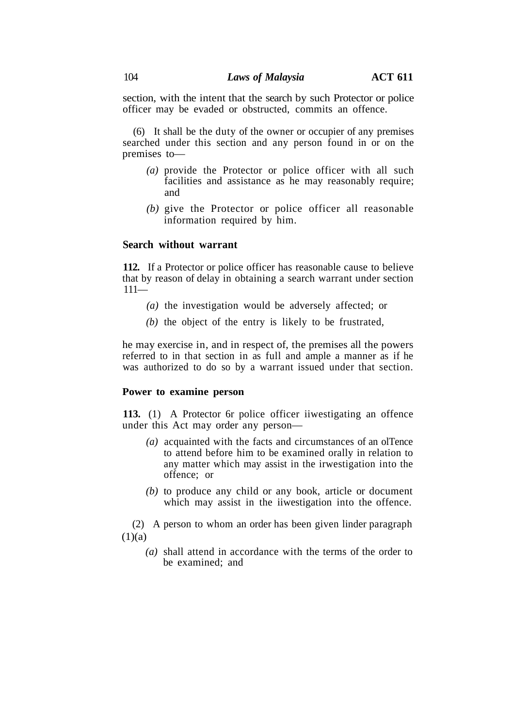section, with the intent that the search by such Protector or police officer may be evaded or obstructed, commits an offence.

(6) It shall be the duty of the owner or occupier of any premises searched under this section and any person found in or on the premises to—

- *(a)* provide the Protector or police officer with all such facilities and assistance as he may reasonably require; and
- *(b)* give the Protector or police officer all reasonable information required by him.

## **Search without warrant**

**112.** If a Protector or police officer has reasonable cause to believe that by reason of delay in obtaining a search warrant under section 111—

- *(a)* the investigation would be adversely affected; or
- *(b)* the object of the entry is likely to be frustrated,

he may exercise in, and in respect of, the premises all the powers referred to in that section in as full and ample a manner as if he was authorized to do so by a warrant issued under that section.

#### **Power to examine person**

**113.** (1) A Protector 6r police officer iiwestigating an offence under this Act may order any person—

- *(a)* acquainted with the facts and circumstances of an olTence to attend before him to be examined orally in relation to any matter which may assist in the irwestigation into the offence; or
- *(b)* to produce any child or any book, article or document which may assist in the iiwestigation into the offence.

(2) A person to whom an order has been given linder paragraph  $(1)(a)$ 

*(a)* shall attend in accordance with the terms of the order to be examined; and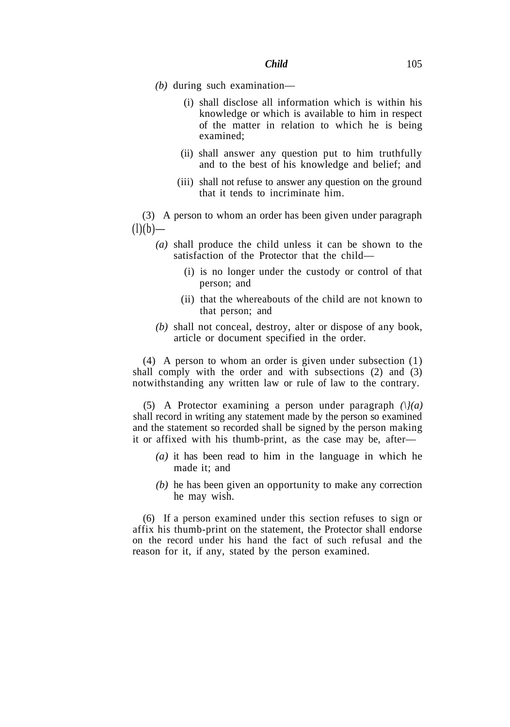- *(b)* during such examination—
	- (i) shall disclose all information which is within his knowledge or which is available to him in respect of the matter in relation to which he is being examined;
	- (ii) shall answer any question put to him truthfully and to the best of his knowledge and belief; and
	- (iii) shall not refuse to answer any question on the ground that it tends to incriminate him.

(3) A person to whom an order has been given under paragraph  $(l)(b)$ —

- *(a)* shall produce the child unless it can be shown to the satisfaction of the Protector that the child—
	- (i) is no longer under the custody or control of that person; and
	- (ii) that the whereabouts of the child are not known to that person; and
- *(b)* shall not conceal, destroy, alter or dispose of any book, article or document specified in the order.

(4) A person to whom an order is given under subsection (1) shall comply with the order and with subsections (2) and (3) notwithstanding any written law or rule of law to the contrary.

(5) A Protector examining a person under paragraph *(\}(a)* shall record in writing any statement made by the person so examined and the statement so recorded shall be signed by the person making it or affixed with his thumb-print, as the case may be, after—

- *(a)* it has been read to him in the language in which he made it; and
- *(b)* he has been given an opportunity to make any correction he may wish.

(6) If a person examined under this section refuses to sign or affix his thumb-print on the statement, the Protector shall endorse on the record under his hand the fact of such refusal and the reason for it, if any, stated by the person examined.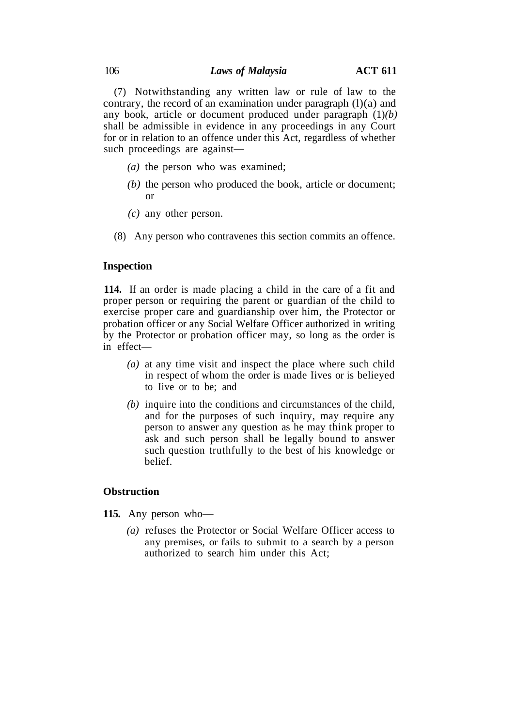(7) Notwithstanding any written law or rule of law to the contrary, the record of an examination under paragraph  $(l)(a)$  and any book, article or document produced under paragraph (1)*(b)* shall be admissible in evidence in any proceedings in any Court for or in relation to an offence under this Act, regardless of whether such proceedings are against—

- *(a)* the person who was examined;
- *(b)* the person who produced the book, article or document; or
- *(c)* any other person.
- (8) Any person who contravenes this section commits an offence.

### **Inspection**

**114.** If an order is made placing a child in the care of a fit and proper person or requiring the parent or guardian of the child to exercise proper care and guardianship over him, the Protector or probation officer or any Social Welfare Officer authorized in writing by the Protector or probation officer may, so long as the order is in effect—

- *(a)* at any time visit and inspect the place where such child in respect of whom the order is made Iives or is belieyed to Iive or to be; and
- *(b)* inquire into the conditions and circumstances of the child, and for the purposes of such inquiry, may require any person to answer any question as he may think proper to ask and such person shall be legally bound to answer such question truthfully to the best of his knowledge or belief.

### **Obstruction**

- **115.** Any person who—
	- *(a)* refuses the Protector or Social Welfare Officer access to any premises, or fails to submit to a search by a person authorized to search him under this Act;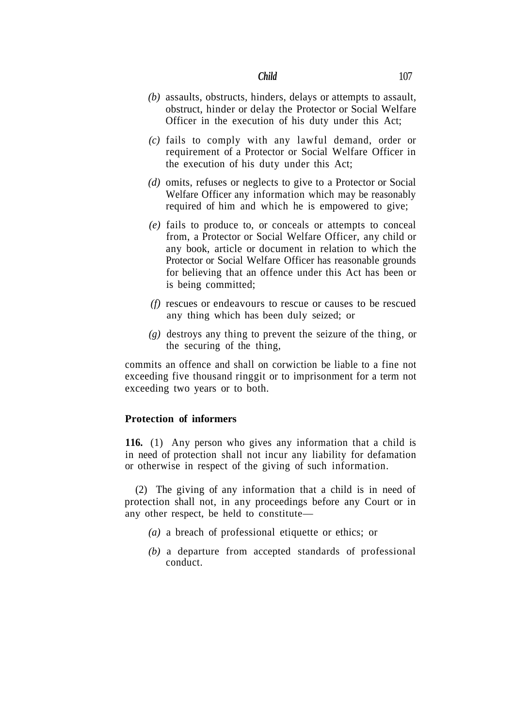- *(b)* assaults, obstructs, hinders, delays or attempts to assault, obstruct, hinder or delay the Protector or Social Welfare Officer in the execution of his duty under this Act;
- *(c)* fails to comply with any lawful demand, order or requirement of a Protector or Social Welfare Officer in the execution of his duty under this Act;
- *(d)* omits, refuses or neglects to give to a Protector or Social Welfare Officer any information which may be reasonably required of him and which he is empowered to give;
- *(e)* fails to produce to, or conceals or attempts to conceal from, a Protector or Social Welfare Officer, any child or any book, article or document in relation to which the Protector or Social Welfare Officer has reasonable grounds for believing that an offence under this Act has been or is being committed;
- *(f)* rescues or endeavours to rescue or causes to be rescued any thing which has been duly seized; or
- *(g)* destroys any thing to prevent the seizure of the thing, or the securing of the thing,

commits an offence and shall on corwiction be liable to a fine not exceeding five thousand ringgit or to imprisonment for a term not exceeding two years or to both.

## **Protection of informers**

**116.** (1) Any person who gives any information that a child is in need of protection shall not incur any liability for defamation or otherwise in respect of the giving of such information.

(2) The giving of any information that a child is in need of protection shall not, in any proceedings before any Court or in any other respect, be held to constitute—

- *(a)* a breach of professional etiquette or ethics; or
- *(b)* a departure from accepted standards of professional conduct.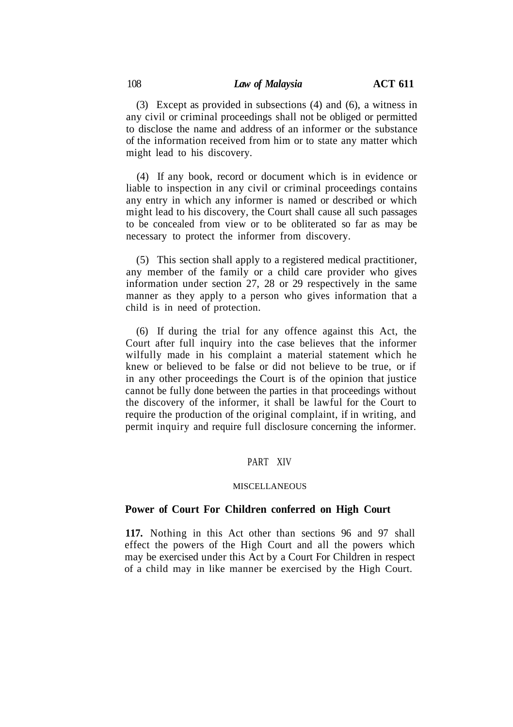(3) Except as provided in subsections (4) and (6), a witness in any civil or criminal proceedings shall not be obliged or permitted to disclose the name and address of an informer or the substance of the information received from him or to state any matter which might lead to his discovery.

(4) If any book, record or document which is in evidence or liable to inspection in any civil or criminal proceedings contains any entry in which any informer is named or described or which might lead to his discovery, the Court shall cause all such passages to be concealed from view or to be obliterated so far as may be necessary to protect the informer from discovery.

(5) This section shall apply to a registered medical practitioner, any member of the family or a child care provider who gives information under section 27, 28 or 29 respectively in the same manner as they apply to a person who gives information that a child is in need of protection.

(6) If during the trial for any offence against this Act, the Court after full inquiry into the case believes that the informer wilfully made in his complaint a material statement which he knew or believed to be false or did not believe to be true, or if in any other proceedings the Court is of the opinion that justice cannot be fully done between the parties in that proceedings without the discovery of the informer, it shall be lawful for the Court to require the production of the original complaint, if in writing, and permit inquiry and require full disclosure concerning the informer.

## PART XIV

#### MISCELLANEOUS

## **Power of Court For Children conferred on High Court**

**117.** Nothing in this Act other than sections 96 and 97 shall effect the powers of the High Court and all the powers which may be exercised under this Act by a Court For Children in respect of a child may in like manner be exercised by the High Court.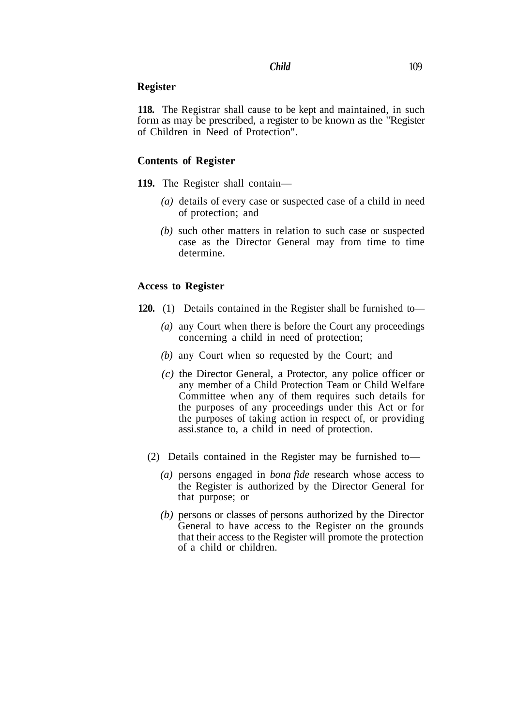# **Register**

**118.** The Registrar shall cause to be kept and maintained, in such form as may be prescribed, a register to be known as the "Register of Children in Need of Protection".

## **Contents of Register**

**119.** The Register shall contain—

- *(a)* details of every case or suspected case of a child in need of protection; and
- *(b)* such other matters in relation to such case or suspected case as the Director General may from time to time determine.

### **Access to Register**

- **120.** (1) Details contained in the Register shall be furnished to—
	- *(a)* any Court when there is before the Court any proceedings concerning a child in need of protection;
	- *(b)* any Court when so requested by the Court; and
	- *(c)* the Director General, a Protector, any police officer or any member of a Child Protection Team or Child Welfare Committee when any of them requires such details for the purposes of any proceedings under this Act or for the purposes of taking action in respect of, or providing assi.stance to, a child in need of protection.
	- (2) Details contained in the Register may be furnished to—
		- *(a)* persons engaged in *bona fide* research whose access to the Register is authorized by the Director General for that purpose; or
		- *(b)* persons or classes of persons authorized by the Director General to have access to the Register on the grounds that their access to the Register will promote the protection of a child or children.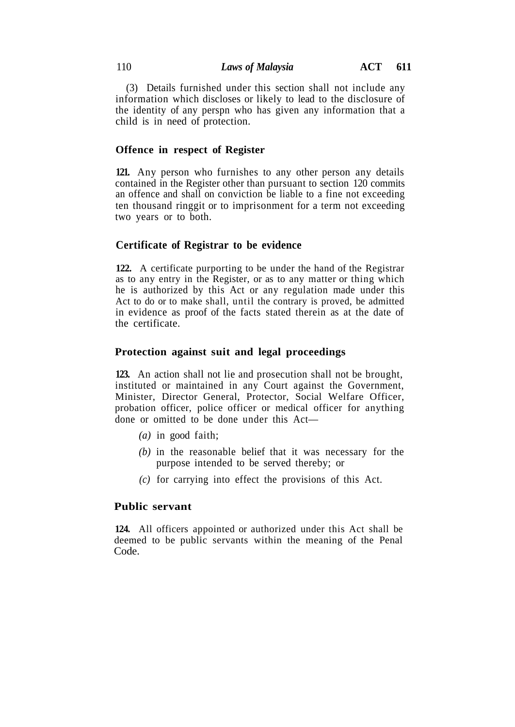## 110 *Laws of Malaysia* **ACT 611**

(3) Details furnished under this section shall not include any information which discloses or likely to lead to the disclosure of the identity of any perspn who has given any information that a child is in need of protection.

# **Offence in respect of Register**

**121.** Any person who furnishes to any other person any details contained in the Register other than pursuant to section 120 commits an offence and shall on conviction be liable to a fine not exceeding ten thousand ringgit or to imprisonment for a term not exceeding two years or to both.

# **Certificate of Registrar to be evidence**

**122.** A certificate purporting to be under the hand of the Registrar as to any entry in the Register, or as to any matter or thing which he is authorized by this Act or any regulation made under this Act to do or to make shall, until the contrary is proved, be admitted in evidence as proof of the facts stated therein as at the date of the certificate.

# **Protection against suit and legal proceedings**

**123.** An action shall not lie and prosecution shall not be brought, instituted or maintained in any Court against the Government, Minister, Director General, Protector, Social Welfare Officer, probation officer, police officer or medical officer for anything done or omitted to be done under this Act—

- *(a)* in good faith;
- *(b)* in the reasonable belief that it was necessary for the purpose intended to be served thereby; or
- *(c)* for carrying into effect the provisions of this Act.

## **Public servant**

**124.** All officers appointed or authorized under this Act shall be deemed to be public servants within the meaning of the Penal Code.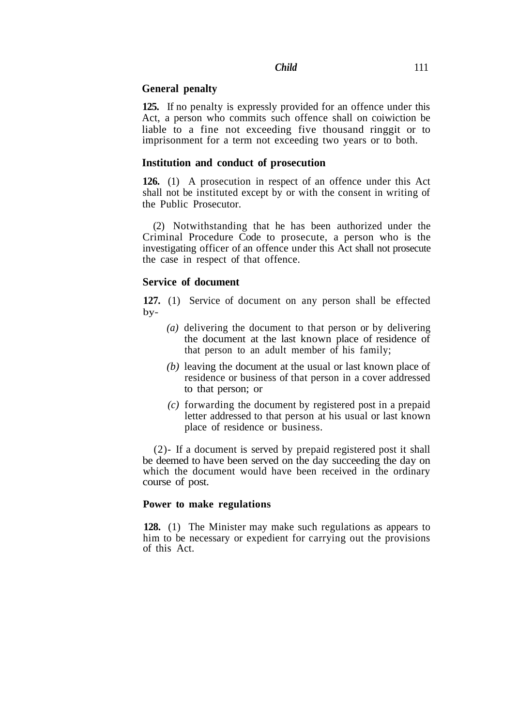# **General penalty**

**125.** If no penalty is expressly provided for an offence under this Act, a person who commits such offence shall on coiwiction be liable to a fine not exceeding five thousand ringgit or to imprisonment for a term not exceeding two years or to both.

## **Institution and conduct of prosecution**

**126.** (1) A prosecution in respect of an offence under this Act shall not be instituted except by or with the consent in writing of the Public Prosecutor.

(2) Notwithstanding that he has been authorized under the Criminal Procedure Code to prosecute, a person who is the investigating officer of an offence under this Act shall not prosecute the case in respect of that offence.

## **Service of document**

**127.** (1) Service of document on any person shall be effected by-

- *(a)* delivering the document to that person or by delivering the document at the last known place of residence of that person to an adult member of his family;
- *(b)* leaving the document at the usual or last known place of residence or business of that person in a cover addressed to that person; or
- *(c)* forwarding the document by registered post in a prepaid letter addressed to that person at his usual or last known place of residence or business.

(2)- If a document is served by prepaid registered post it shall be deemed to have been served on the day succeeding the day on which the document would have been received in the ordinary course of post.

### **Power to make regulations**

**128.** (1) The Minister may make such regulations as appears to him to be necessary or expedient for carrying out the provisions of this Act.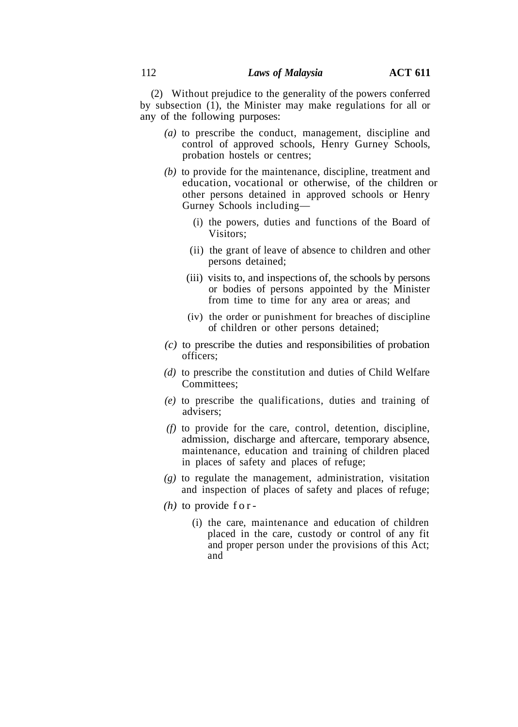(2) Without prejudice to the generality of the powers conferred by subsection  $(1)$ , the Minister may make regulations for all or any of the following purposes:

- *(a)* to prescribe the conduct, management, discipline and control of approved schools, Henry Gurney Schools, probation hostels or centres;
- *(b)* to provide for the maintenance, discipline, treatment and education, vocational or otherwise, of the children or other persons detained in approved schools or Henry Gurney Schools including—
	- (i) the powers, duties and functions of the Board of Visitors;
	- (ii) the grant of leave of absence to children and other persons detained;
	- (iii) visits to, and inspections of, the schools by persons or bodies of persons appointed by the Minister from time to time for any area or areas; and
	- (iv) the order or punishment for breaches of discipline of children or other persons detained;
- *(c)* to prescribe the duties and responsibilities of probation officers;
- *(d)* to prescribe the constitution and duties of Child Welfare Committees;
- *(e)* to prescribe the qualifications, duties and training of advisers;
- *(f)* to provide for the care, control, detention, discipline, admission, discharge and aftercare, temporary absence, maintenance, education and training of children placed in places of safety and places of refuge;
- *(g)* to regulate the management, administration, visitation and inspection of places of safety and places of refuge;
- *(h)* to provide for
	- (i) the care, maintenance and education of children placed in the care, custody or control of any fit and proper person under the provisions of this Act; and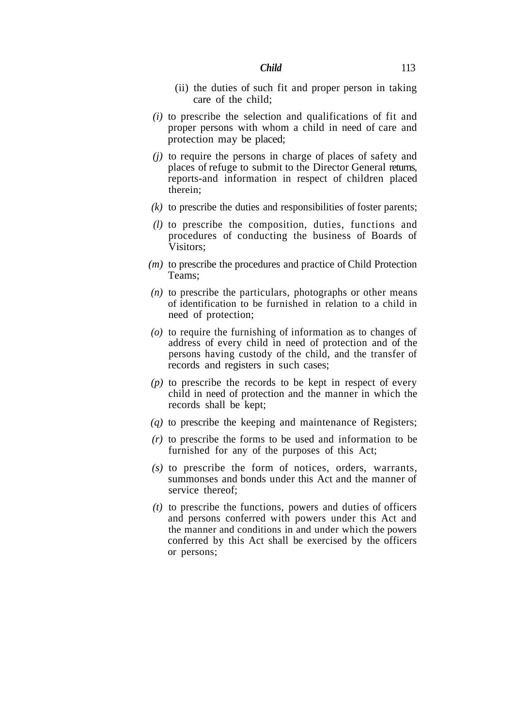- (ii) the duties of such fit and proper person in taking care of the child;
- *(i)* to prescribe the selection and qualifications of fit and proper persons with whom a child in need of care and protection may be placed;
- *(j)* to require the persons in charge of places of safety and places of refuge to submit to the Director General returns, reports-and information in respect of children placed therein;
- *(k)* to prescribe the duties and responsibilities of foster parents;
- *(l)* to prescribe the composition, duties, functions and procedures of conducting the business of Boards of Visitors;
- *(m)* to prescribe the procedures and practice of Child Protection Teams;
- *(n)* to prescribe the particulars, photographs or other means of identification to be furnished in relation to a child in need of protection;
- *(o)* to require the furnishing of information as to changes of address of every child in need of protection and of the persons having custody of the child, and the transfer of records and registers in such cases;
- *(p)* to prescribe the records to be kept in respect of every child in need of protection and the manner in which the records shall be kept;
- *(q)* to prescribe the keeping and maintenance of Registers;
- *(r)* to prescribe the forms to be used and information to be furnished for any of the purposes of this Act;
- *(s)* to prescribe the form of notices, orders, warrants, summonses and bonds under this Act and the manner of service thereof;
- *(t)* to prescribe the functions, powers and duties of officers and persons conferred with powers under this Act and the manner and conditions in and under which the powers conferred by this Act shall be exercised by the officers or persons;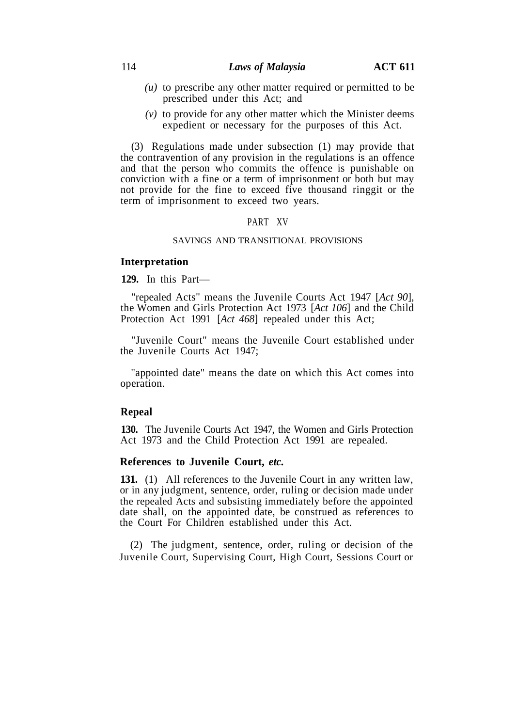- *(u)* to prescribe any other matter required or permitted to be prescribed under this Act; and
- *(v)* to provide for any other matter which the Minister deems expedient or necessary for the purposes of this Act.

(3) Regulations made under subsection (1) may provide that the contravention of any provision in the regulations is an offence and that the person who commits the offence is punishable on conviction with a fine or a term of imprisonment or both but may not provide for the fine to exceed five thousand ringgit or the term of imprisonment to exceed two years.

## PART XV

#### SAVINGS AND TRANSITIONAL PROVISIONS

### **Interpretation**

**129.** In this Part—

"repealed Acts" means the Juvenile Courts Act 1947 [*Act 90*], the Women and Girls Protection Act 1973 [*Act 106*] and the Child Protection Act 1991 [*Act 468*] repealed under this Act;

"Juvenile Court" means the Juvenile Court established under the Juvenile Courts Act 1947;

"appointed date" means the date on which this Act comes into operation.

## **Repeal**

**130.** The Juvenile Courts Act 1947, the Women and Girls Protection Act 1973 and the Child Protection Act 1991 are repealed.

#### **References to Juvenile Court,** *etc.*

**131.** (1) All references to the Juvenile Court in any written law, or in any judgment, sentence, order, ruling or decision made under the repealed Acts and subsisting immediately before the appointed date shall, on the appointed date, be construed as references to the Court For Children established under this Act.

(2) The judgment, sentence, order, ruling or decision of the Juvenile Court, Supervising Court, High Court, Sessions Court or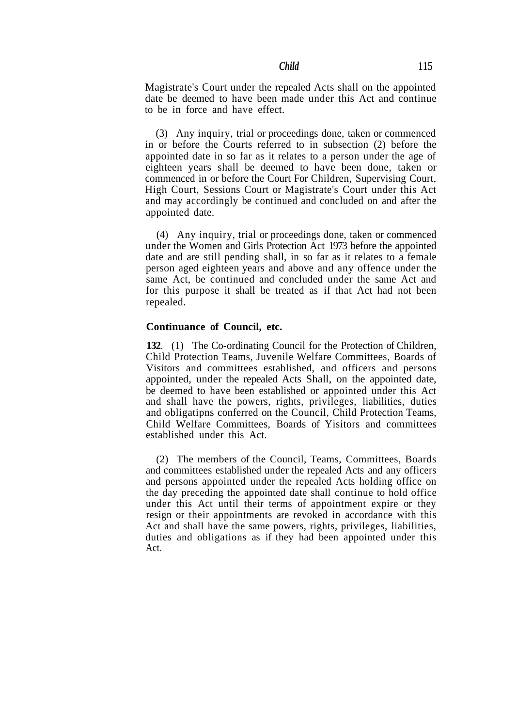*Child* 115

Magistrate's Court under the repealed Acts shall on the appointed date be deemed to have been made under this Act and continue to be in force and have effect.

(3) Any inquiry, trial or proceedings done, taken or commenced in or before the Courts referred to in subsection (2) before the appointed date in so far as it relates to a person under the age of eighteen years shall be deemed to have been done, taken or commenced in or before the Court For Children, Supervising Court, High Court, Sessions Court or Magistrate's Court under this Act and may accordingly be continued and concluded on and after the appointed date.

(4) Any inquiry, trial or proceedings done, taken or commenced under the Women and Girls Protection Act 1973 before the appointed date and are still pending shall, in so far as it relates to a female person aged eighteen years and above and any offence under the same Act, be continued and concluded under the same Act and for this purpose it shall be treated as if that Act had not been repealed.

### **Continuance of Council, etc.**

**132**. (1) The Co-ordinating Council for the Protection of Children, Child Protection Teams, Juvenile Welfare Committees, Boards of Visitors and committees established, and officers and persons appointed, under the repealed Acts Shall, on the appointed date, be deemed to have been established or appointed under this Act and shall have the powers, rights, privileges, liabilities, duties and obligatipns conferred on the Council, Child Protection Teams, Child Welfare Committees, Boards of Yisitors and committees established under this Act.

(2) The members of the Council, Teams, Committees, Boards and committees established under the repealed Acts and any officers and persons appointed under the repealed Acts holding office on the day preceding the appointed date shall continue to hold office under this Act until their terms of appointment expire or they resign or their appointments are revoked in accordance with this Act and shall have the same powers, rights, privileges, liabilities, duties and obligations as if they had been appointed under this Act.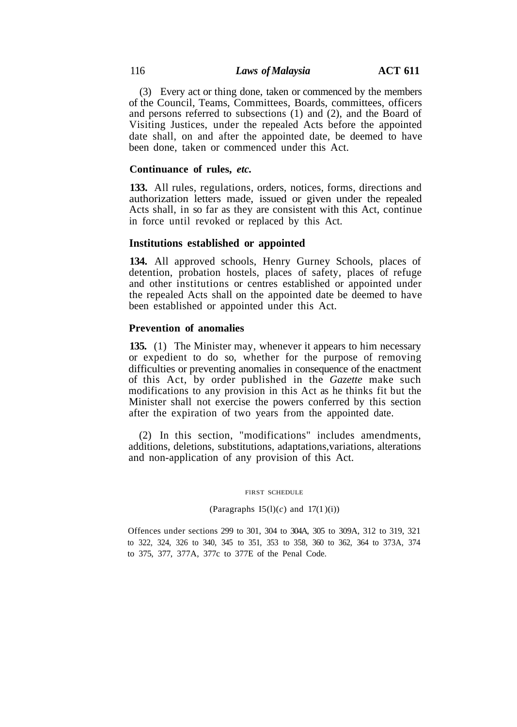### 116 *Laws of Malaysia* **ACT 611**

(3) Every act or thing done, taken or commenced by the members of the Council, Teams, Committees, Boards, committees, officers and persons referred to subsections (1) and (2), and the Board of Visiting Justices, under the repealed Acts before the appointed date shall, on and after the appointed date, be deemed to have been done, taken or commenced under this Act.

### **Continuance of rules,** *etc.*

**133.** All rules, regulations, orders, notices, forms, directions and authorization letters made, issued or given under the repealed Acts shall, in so far as they are consistent with this Act, continue in force until revoked or replaced by this Act.

## **Institutions established or appointed**

**134.** All approved schools, Henry Gurney Schools, places of detention, probation hostels, places of safety, places of refuge and other institutions or centres established or appointed under the repealed Acts shall on the appointed date be deemed to have been established or appointed under this Act.

#### **Prevention of anomalies**

**135.** (1) The Minister may, whenever it appears to him necessary or expedient to do so, whether for the purpose of removing difficulties or preventing anomalies in consequence of the enactment of this Act, by order published in the *Gazette* make such modifications to any provision in this Act as he thinks fit but the Minister shall not exercise the powers conferred by this section after the expiration of two years from the appointed date.

(2) In this section, "modifications" includes amendments, additions, deletions, substitutions, adaptations, variations, alterations and non-application of any provision of this Act.

#### FlRST SCHEDULE

#### (Paragraphs  $I5(1)(c)$  and  $17(1)(i)$ )

Offences under sections 299 to 301, 304 to 304A, 305 to 309A, 312 to 319, 321 to 322, 324, 326 to 340, 345 to 351, 353 to 358, 360 to 362, 364 to 373A, 374 to 375, 377, 377A, 377c to 377E of the Penal Code.